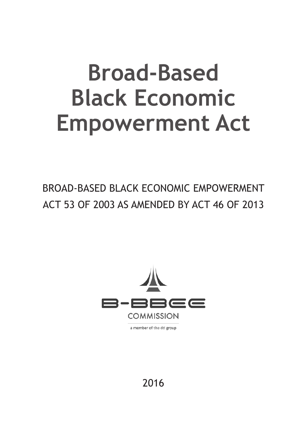# **Broad-Based Black Economic Empowerment Act**

BROAD-BASED BLACK ECONOMIC EMPOWERMENT ACT 53 OF 2003 AS AMENDED BY ACT 46 OF 2013



a member of the dti group

2016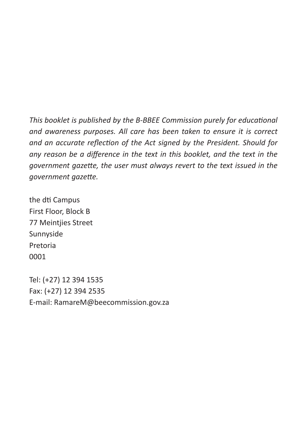*This booklet is published by the B-BBEE Commission purely for educational and awareness purposes. All care has been taken to ensure it is correct and an accurate reflection of the Act signed by the President. Should for any reason be a difference in the text in this booklet, and the text in the government gazette, the user must always revert to the text issued in the government gazette.*

the dti Campus First Floor, Block B 77 Meintjies Street Sunnyside Pretoria 0001

Tel: (+27) 12 394 1535 Fax: (+27) 12 394 2535 E-mail: RamareM@beecommission.gov.za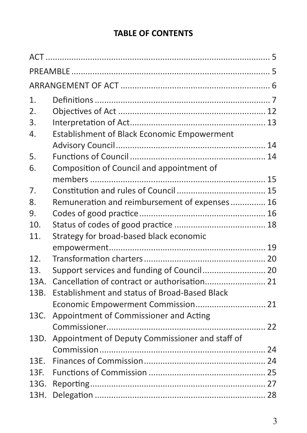# **TABLE OF CONTENTS**

| 1.   |                                                 |  |
|------|-------------------------------------------------|--|
| 2.   |                                                 |  |
| 3.   |                                                 |  |
| 4.   | Establishment of Black Economic Empowerment     |  |
|      |                                                 |  |
| 5.   |                                                 |  |
| 6.   | Composition of Council and appointment of       |  |
|      |                                                 |  |
| 7.   |                                                 |  |
| 8.   | Remuneration and reimbursement of expenses 16   |  |
| 9.   |                                                 |  |
| 10.  |                                                 |  |
| 11.  | Strategy for broad-based black economic         |  |
|      |                                                 |  |
| 12.  |                                                 |  |
| 13.  | Support services and funding of Council 20      |  |
| 13A. |                                                 |  |
| 13B. | Establishment and status of Broad-Based Black   |  |
|      | Economic Empowerment Commission 21              |  |
| 13C. | Appointment of Commissioner and Acting          |  |
|      |                                                 |  |
| 13D. | Appointment of Deputy Commissioner and staff of |  |
|      |                                                 |  |
| 13F. |                                                 |  |
| 13F. |                                                 |  |
| 13G. |                                                 |  |
| 13H. |                                                 |  |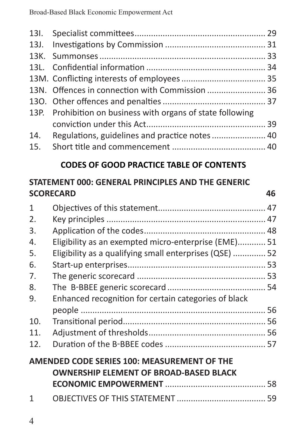| 13N. Offences in connection with Commission  36             |  |
|-------------------------------------------------------------|--|
|                                                             |  |
| 13P. Prohibition on business with organs of state following |  |
|                                                             |  |
| 14. Regulations, guidelines and practice notes              |  |
|                                                             |  |

## **CODES OF GOOD PRACTICE TABLE OF CONTENTS**

## **STATEMENT 000: GENERAL PRINCIPLES AND THE GENERIC SCORECARD 46**

| 1   |                                                       |  |
|-----|-------------------------------------------------------|--|
| 2.  |                                                       |  |
| 3.  |                                                       |  |
| 4.  | Eligibility as an exempted micro-enterprise (EME) 51  |  |
| 5.  | Eligibility as a qualifying small enterprises (QSE)52 |  |
| 6.  |                                                       |  |
| 7.  |                                                       |  |
| 8.  |                                                       |  |
| 9.  | Enhanced recognition for certain categories of black  |  |
|     |                                                       |  |
| 10. |                                                       |  |
| 11. |                                                       |  |
| 12. |                                                       |  |
|     | AMENDED CODE SERIES 100: MEASUREMENT OF THE           |  |
|     | <b>OWNERSHIP ELEMENT OF BROAD-BASED BLACK</b>         |  |
|     |                                                       |  |
| 1   |                                                       |  |
|     |                                                       |  |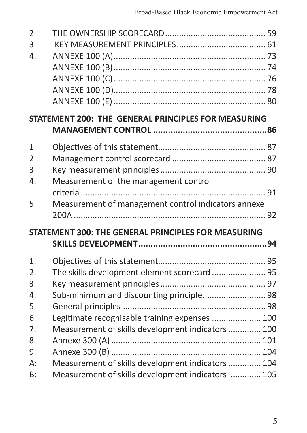| $\overline{2}$ |                                                     |  |
|----------------|-----------------------------------------------------|--|
| 3              |                                                     |  |
| 4.             |                                                     |  |
|                |                                                     |  |
|                |                                                     |  |
|                |                                                     |  |
|                |                                                     |  |
|                | STATEMENT 200: THE GENERAL PRINCIPLES FOR MEASURING |  |
|                |                                                     |  |
| $\mathbf{1}$   |                                                     |  |
| $\overline{2}$ |                                                     |  |
| 3              |                                                     |  |
| 4.             | Measurement of the management control               |  |
|                |                                                     |  |
| 5              | Measurement of management control indicators annexe |  |
|                |                                                     |  |
|                | STATEMENT 300: THE GENERAL PRINCIPLES FOR MEASURING |  |
|                |                                                     |  |
| 1.             |                                                     |  |
| 2.             | The skills development element scorecard  95        |  |
| 3.             |                                                     |  |
| 4.             | Sub-minimum and discounting principle 98            |  |
| 5.             |                                                     |  |
| 6.             | Legitimate recognisable training expenses  100      |  |
| 7.             | Measurement of skills development indicators  100   |  |
| 8.             |                                                     |  |
| 9.             |                                                     |  |
| $A$ :          | Measurement of skills development indicators  104   |  |
| B:             | Measurement of skills development indicators  105   |  |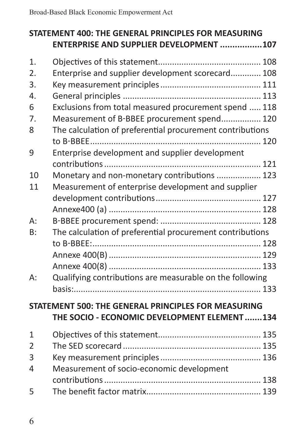|                  | STATEMENT 400: THE GENERAL PRINCIPLES FOR MEASURING<br>ENTERPRISE AND SUPPLIER DEVELOPMENT 107     |
|------------------|----------------------------------------------------------------------------------------------------|
| 1.               |                                                                                                    |
| $\overline{2}$ . | Enterprise and supplier development scorecard 108                                                  |
| 3.               |                                                                                                    |
| 4.               |                                                                                                    |
| 6                | Exclusions from total measured procurement spend  118                                              |
| 7.               | Measurement of B-BBEE procurement spend 120                                                        |
| 8                | The calculation of preferential procurement contributions                                          |
| 9                | Enterprise development and supplier development                                                    |
|                  |                                                                                                    |
| 10               | Monetary and non-monetary contributions  123                                                       |
| 11               | Measurement of enterprise development and supplier                                                 |
|                  |                                                                                                    |
|                  |                                                                                                    |
| A:               |                                                                                                    |
| B:               | The calculation of preferential procurement contributions                                          |
|                  |                                                                                                    |
|                  |                                                                                                    |
|                  |                                                                                                    |
| А:               | Qualifying contributions are measurable on the following                                           |
|                  |                                                                                                    |
|                  | STATEMENT 500: THE GENERAL PRINCIPLES FOR MEASURING<br>THE SOCIO - ECONOMIC DEVELOPMENT ELEMENT134 |
| 1                |                                                                                                    |
| $\overline{2}$   |                                                                                                    |
| 3                |                                                                                                    |
| 4                | Measurement of socio-economic development                                                          |
|                  |                                                                                                    |
| 5                |                                                                                                    |
|                  |                                                                                                    |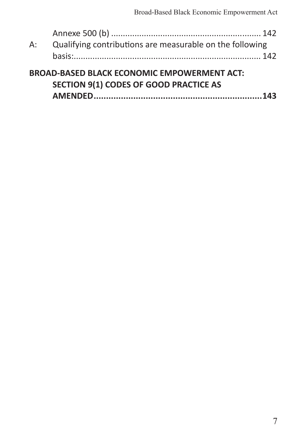| А: | Qualifying contributions are measurable on the following                                     |  |
|----|----------------------------------------------------------------------------------------------|--|
|    |                                                                                              |  |
|    | <b>BROAD-BASED BLACK ECONOMIC EMPOWERMENT ACT:</b><br>SECTION 9(1) CODES OF GOOD PRACTICE AS |  |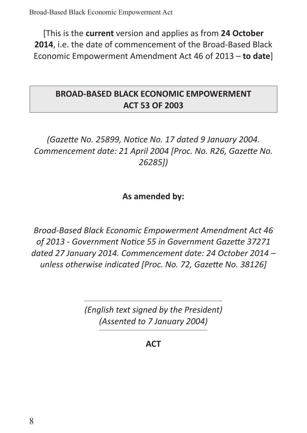[This is the **current** version and applies as from **24 October 2014**, i.e. the date of commencement of the Broad-Based Black Economic Empowerment Amendment Act 46 of 2013 – **to date**]

## **BROAD-BASED BLACK ECONOMIC EMPOWERMENT ACT 53 OF 2003**

# *(Gazette No. 25899, Notice No. 17 dated 9 January 2004. Commencement date: 21 April 2004 [Proc. No. R26, Gazette No. 26285])*

## **As amended by:**

*Broad-Based Black Economic Empowerment Amendment Act 46 of 2013 - Government Notice 55 in Government Gazette 37271 dated 27 January 2014. Commencement date: 24 October 2014 – unless otherwise indicated [Proc. No. 72, Gazette No. 38126]*

> *(English text signed by the President) (Assented to 7 January 2004)*

> > **ACT**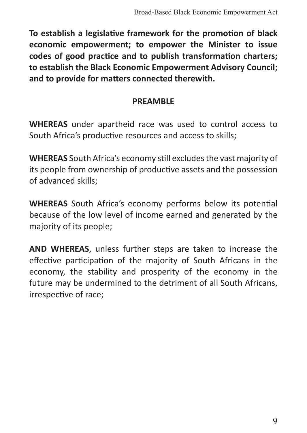**To establish a legislative framework for the promotion of black economic empowerment; to empower the Minister to issue codes of good practice and to publish transformation charters; to establish the Black Economic Empowerment Advisory Council; and to provide for matters connected therewith.**

#### **PREAMBLE**

**WHEREAS** under apartheid race was used to control access to South Africa's productive resources and access to skills;

**WHEREAS** South Africa's economy still excludes the vast majority of its people from ownership of productive assets and the possession of advanced skills;

**WHEREAS** South Africa's economy performs below its potential because of the low level of income earned and generated by the majority of its people;

**AND WHEREAS**, unless further steps are taken to increase the effective participation of the majority of South Africans in the economy, the stability and prosperity of the economy in the future may be undermined to the detriment of all South Africans, irrespective of race;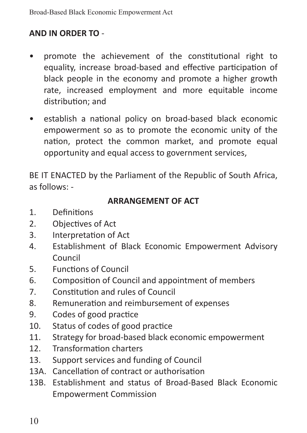## **AND IN ORDER TO** -

- promote the achievement of the constitutional right to equality, increase broad-based and effective participation of black people in the economy and promote a higher growth rate, increased employment and more equitable income distribution; and
- establish a national policy on broad-based black economic empowerment so as to promote the economic unity of the nation, protect the common market, and promote equal opportunity and equal access to government services,

BE IT ENACTED by the Parliament of the Republic of South Africa, as follows: -

#### **ARRANGEMENT OF ACT**

- 1. Definitions
- 2. Objectives of Act
- 3. Interpretation of Act
- 4. Establishment of Black Economic Empowerment Advisory Council
- 5. Functions of Council
- 6. Composition of Council and appointment of members
- 7. Constitution and rules of Council
- 8. Remuneration and reimbursement of expenses
- 9. Codes of good practice
- 10. Status of codes of good practice
- 11. Strategy for broad-based black economic empowerment
- 12. Transformation charters
- 13. Support services and funding of Council
- 13A. Cancellation of contract or authorisation
- 13B. Establishment and status of Broad-Based Black Economic Empowerment Commission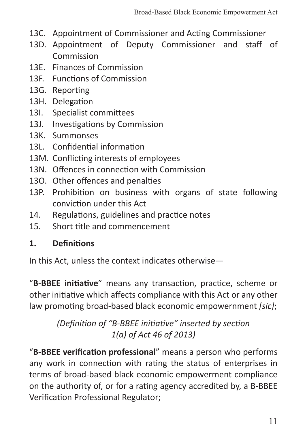- 13C. Appointment of Commissioner and Acting Commissioner
- 13D. Appointment of Deputy Commissioner and staff of Commission
- 13E. Finances of Commission
- 13F. Functions of Commission
- 13G. Reporting
- 13H. Delegation
- 13I. Specialist committees
- 13J. Investigations by Commission
- 13K. Summonses
- 13L. Confidential information
- 13M. Conflicting interests of employees
- 13N. Offences in connection with Commission
- 13O. Other offences and penalties
- 13P. Prohibition on business with organs of state following conviction under this Act
- 14. Regulations, guidelines and practice notes
- 15. Short title and commencement

## **1. Definitions**

In this Act, unless the context indicates otherwise—

"**B-BBEE initiative**" means any transaction, practice, scheme or other initiative which affects compliance with this Act or any other law promoting broad-based black economic empowernment *[sic]*;

> *(Definition of "B-BBEE initiative" inserted by section 1(a) of Act 46 of 2013)*

"**B-BBEE verification professional**" means a person who performs any work in connection with rating the status of enterprises in terms of broad-based black economic empowerment compliance on the authority of, or for a rating agency accredited by, a B-BBEE Verification Professional Regulator;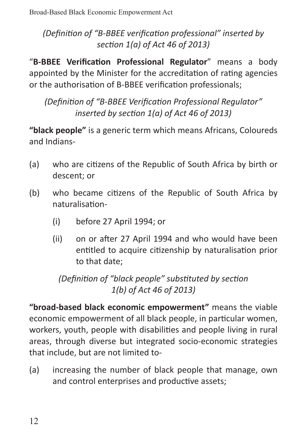*(Definition of "B-BBEE verification professional" inserted by section 1(a) of Act 46 of 2013)*

"**B-BBEE Verification Professional Regulator**" means a body appointed by the Minister for the accreditation of rating agencies or the authorisation of B-BBEE verification professionals;

*(Definition of "B-BBEE Verification Professional Regulator" inserted by section 1(a) of Act 46 of 2013)*

**"black people"** is a generic term which means Africans, Coloureds and Indians-

- (a) who are citizens of the Republic of South Africa by birth or descent; or
- (b) who became citizens of the Republic of South Africa by naturalisation-
	- (i) before 27 April 1994; or
	- (ii) on or after 27 April 1994 and who would have been entitled to acquire citizenship by naturalisation prior to that date;

*(Definition of "black people" substituted by section 1(b) of Act 46 of 2013)*

**"broad-based black economic empowerment"** means the viable economic empowerment of all black people, in particular women, workers, youth, people with disabilities and people living in rural areas, through diverse but integrated socio-economic strategies that include, but are not limited to-

(a) increasing the number of black people that manage, own and control enterprises and productive assets;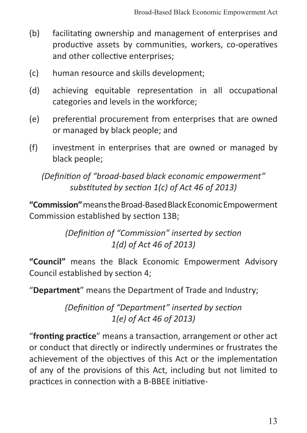- (b) facilitating ownership and management of enterprises and productive assets by communities, workers, co-operatives and other collective enterprises;
- (c) human resource and skills development;
- (d) achieving equitable representation in all occupational categories and levels in the workforce;
- (e) preferential procurement from enterprises that are owned or managed by black people; and
- (f) investment in enterprises that are owned or managed by black people;

*(Definition of "broad-based black economic empowerment" substituted by section 1(c) of Act 46 of 2013)*

**"Commission"** means the Broad-Based Black Economic Empowerment Commission established by section 13B;

> *(Definition of "Commission" inserted by section 1(d) of Act 46 of 2013)*

**"Council"** means the Black Economic Empowerment Advisory Council established by section 4;

"**Department**" means the Department of Trade and Industry;

*(Definition of "Department" inserted by section 1(e) of Act 46 of 2013)*

"**fronting practice**" means a transaction, arrangement or other act or conduct that directly or indirectly undermines or frustrates the achievement of the objectives of this Act or the implementation of any of the provisions of this Act, including but not limited to practices in connection with a B-BBEE initiative-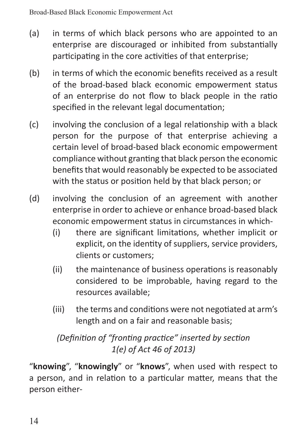- (a) in terms of which black persons who are appointed to an enterprise are discouraged or inhibited from substantially participating in the core activities of that enterprise;
- (b) in terms of which the economic benefits received as a result of the broad-based black economic empowerment status of an enterprise do not flow to black people in the ratio specified in the relevant legal documentation;
- (c) involving the conclusion of a legal relationship with a black person for the purpose of that enterprise achieving a certain level of broad-based black economic empowerment compliance without granting that black person the economic benefits that would reasonably be expected to be associated with the status or position held by that black person; or
- (d) involving the conclusion of an agreement with another enterprise in order to achieve or enhance broad-based black economic empowerment status in circumstances in which-
	- (i) there are significant limitations, whether implicit or explicit, on the identity of suppliers, service providers, clients or customers;
	- (ii) the maintenance of business operations is reasonably considered to be improbable, having regard to the resources available;
	- (iii) the terms and conditions were not negotiated at arm's length and on a fair and reasonable basis;

# *(Definition of "fronting practice" inserted by section 1(e) of Act 46 of 2013)*

"**knowing**", "**knowingly**" or "**knows**", when used with respect to a person, and in relation to a particular matter, means that the person either-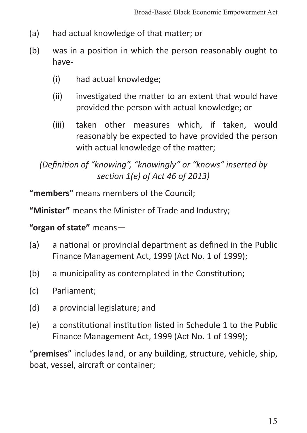- (a) had actual knowledge of that matter; or
- (b) was in a position in which the person reasonably ought to have-
	- (i) had actual knowledge;
	- (ii) investigated the matter to an extent that would have provided the person with actual knowledge; or
	- (iii) taken other measures which, if taken, would reasonably be expected to have provided the person with actual knowledge of the matter;

*(Definition of "knowing", "knowingly" or "knows" inserted by section 1(e) of Act 46 of 2013)*

**"members"** means members of the Council;

**"Minister"** means the Minister of Trade and Industry;

**"organ of state"** means—

- (a) a national or provincial department as defined in the Public Finance Management Act, 1999 (Act No. 1 of 1999);
- (b) a municipality as contemplated in the Constitution;
- (c) Parliament;
- (d) a provincial legislature; and
- (e) a constitutional institution listed in Schedule 1 to the Public Finance Management Act, 1999 (Act No. 1 of 1999);

"**premises**" includes land, or any building, structure, vehicle, ship, boat, vessel, aircraft or container;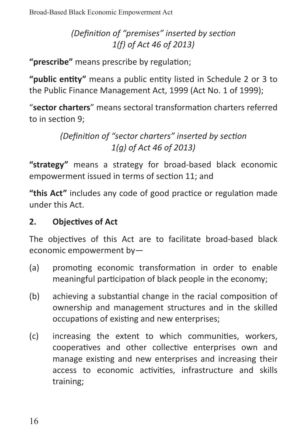*(Definition of "premises" inserted by section 1(f) of Act 46 of 2013)*

**"prescribe"** means prescribe by regulation;

**"public entity"** means a public entity listed in Schedule 2 or 3 to the Public Finance Management Act, 1999 (Act No. 1 of 1999);

"**sector charters**" means sectoral transformation charters referred to in section 9;

> *(Definition of "sector charters" inserted by section 1(g) of Act 46 of 2013)*

**"strategy"** means a strategy for broad-based black economic empowerment issued in terms of section 11; and

**"this Act"** includes any code of good practice or regulation made under this Act.

## **2. Objectives of Act**

The objectives of this Act are to facilitate broad-based black economic empowerment by—

- (a) promoting economic transformation in order to enable meaningful participation of black people in the economy;
- (b) achieving a substantial change in the racial composition of ownership and management structures and in the skilled occupations of existing and new enterprises;
- (c) increasing the extent to which communities, workers, cooperatives and other collective enterprises own and manage existing and new enterprises and increasing their access to economic activities, infrastructure and skills training;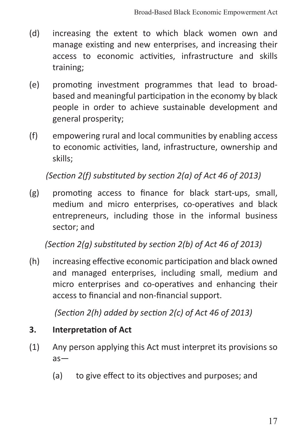- (d) increasing the extent to which black women own and manage existing and new enterprises, and increasing their access to economic activities, infrastructure and skills training;
- (e) promoting investment programmes that lead to broadbased and meaningful participation in the economy by black people in order to achieve sustainable development and general prosperity;
- (f) empowering rural and local communities by enabling access to economic activities, land, infrastructure, ownership and skills;

*(Section 2(f) substituted by section 2(a) of Act 46 of 2013)*

(g) promoting access to finance for black start-ups, small, medium and micro enterprises, co-operatives and black entrepreneurs, including those in the informal business sector; and

*(Section 2(g) substituted by section 2(b) of Act 46 of 2013)*

(h) increasing effective economic participation and black owned and managed enterprises, including small, medium and micro enterprises and co-operatives and enhancing their access to financial and non-financial support.

*(Section 2(h) added by section 2(c) of Act 46 of 2013)*

#### **3. Interpretation of Act**

- (1) Any person applying this Act must interpret its provisions so as—
	- (a) to give effect to its objectives and purposes; and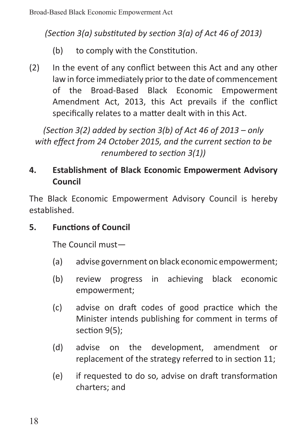*(Section 3(a) substituted by section 3(a) of Act 46 of 2013)*

- (b) to comply with the Constitution.
- (2) In the event of any conflict between this Act and any other law in force immediately prior to the date of commencement of the Broad-Based Black Economic Empowerment Amendment Act, 2013, this Act prevails if the conflict specifically relates to a matter dealt with in this Act.

*(Section 3(2) added by section 3(b) of Act 46 of 2013 – only with effect from 24 October 2015, and the current section to be renumbered to section 3(1))*

# **4. Establishment of Black Economic Empowerment Advisory Council**

The Black Economic Empowerment Advisory Council is hereby established.

# **5. Functions of Council**

The Council must—

- (a) advise government on black economic empowerment;
- (b) review progress in achieving black economic empowerment;
- (c) advise on draft codes of good practice which the Minister intends publishing for comment in terms of section 9(5);
- (d) advise on the development, amendment or replacement of the strategy referred to in section 11;
- (e) if requested to do so, advise on draft transformation charters; and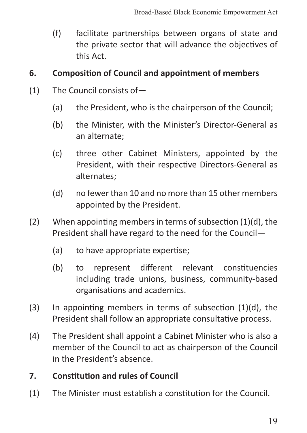(f) facilitate partnerships between organs of state and the private sector that will advance the objectives of this Act.

#### **6. Composition of Council and appointment of members**

- (1) The Council consists of—
	- (a) the President, who is the chairperson of the Council;
	- (b) the Minister, with the Minister's Director-General as an alternate;
	- (c) three other Cabinet Ministers, appointed by the President, with their respective Directors-General as alternates;
	- (d) no fewer than 10 and no more than 15 other members appointed by the President.
- (2) When appointing members in terms of subsection (1)(d), the President shall have regard to the need for the Council—
	- (a) to have appropriate expertise;
	- (b) to represent different relevant constituencies including trade unions, business, community-based organisations and academics.
- (3) In appointing members in terms of subsection (1)(d), the President shall follow an appropriate consultative process.
- (4) The President shall appoint a Cabinet Minister who is also a member of the Council to act as chairperson of the Council in the President's absence.

#### **7. Constitution and rules of Council**

(1) The Minister must establish a constitution for the Council.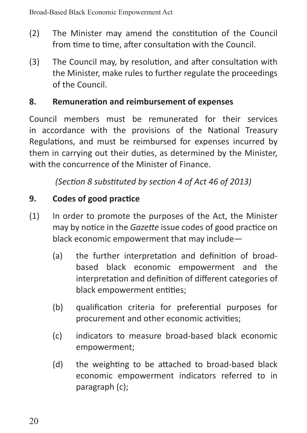- (2) The Minister may amend the constitution of the Council from time to time, after consultation with the Council.
- (3) The Council may, by resolution, and after consultation with the Minister, make rules to further regulate the proceedings of the Council.

## **8. Remuneration and reimbursement of expenses**

Council members must be remunerated for their services in accordance with the provisions of the National Treasury Regulations, and must be reimbursed for expenses incurred by them in carrying out their duties, as determined by the Minister, with the concurrence of the Minister of Finance.

*(Section 8 substituted by section 4 of Act 46 of 2013)*

## **9. Codes of good practice**

- (1) In order to promote the purposes of the Act, the Minister may by notice in the *Gazette* issue codes of good practice on black economic empowerment that may include—
	- (a) the further interpretation and definition of broadbased black economic empowerment and the interpretation and definition of different categories of black empowerment entities;
	- (b) qualification criteria for preferential purposes for procurement and other economic activities;
	- (c) indicators to measure broad-based black economic empowerment;
	- (d) the weighting to be attached to broad-based black economic empowerment indicators referred to in paragraph (c);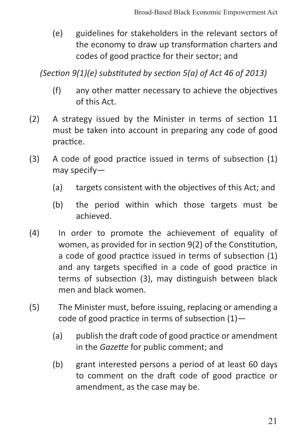(e) guidelines for stakeholders in the relevant sectors of the economy to draw up transformation charters and codes of good practice for their sector; and

*(Section 9(1)(e) substituted by section 5(a) of Act 46 of 2013)*

- (f) any other matter necessary to achieve the objectives of this Act.
- (2) A strategy issued by the Minister in terms of section 11 must be taken into account in preparing any code of good practice.
- (3) A code of good practice issued in terms of subsection (1) may specify—
	- (a) targets consistent with the objectives of this Act; and
	- (b) the period within which those targets must be achieved.
- (4) In order to promote the achievement of equality of women, as provided for in section 9(2) of the Constitution, a code of good practice issued in terms of subsection (1) and any targets specified in a code of good practice in terms of subsection (3), may distinguish between black men and black women.
- (5) The Minister must, before issuing, replacing or amending a code of good practice in terms of subsection (1)—
	- (a) publish the draft code of good practice or amendment in the *Gazette* for public comment; and
	- (b) grant interested persons a period of at least 60 days to comment on the draft code of good practice or amendment, as the case may be.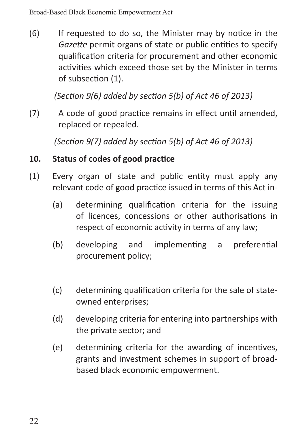(6) If requested to do so, the Minister may by notice in the *Gazette* permit organs of state or public entities to specify qualification criteria for procurement and other economic activities which exceed those set by the Minister in terms of subsection (1).

*(Section 9(6) added by section 5(b) of Act 46 of 2013)*

(7) A code of good practice remains in effect until amended, replaced or repealed.

*(Section 9(7) added by section 5(b) of Act 46 of 2013)*

#### **10. Status of codes of good practice**

- (1) Every organ of state and public entity must apply any relevant code of good practice issued in terms of this Act in-
	- (a) determining qualification criteria for the issuing of licences, concessions or other authorisations in respect of economic activity in terms of any law;
	- (b) developing and implementing a preferential procurement policy;
	- (c) determining qualification criteria for the sale of stateowned enterprises;
	- (d) developing criteria for entering into partnerships with the private sector; and
	- (e) determining criteria for the awarding of incentives, grants and investment schemes in support of broadbased black economic empowerment.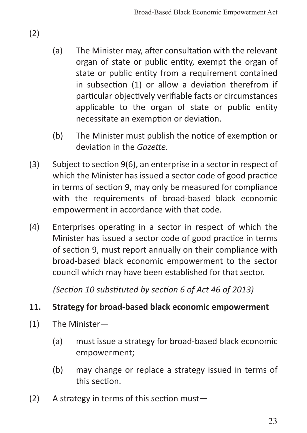- (a) The Minister may, after consultation with the relevant organ of state or public entity, exempt the organ of state or public entity from a requirement contained in subsection (1) or allow a deviation therefrom if particular objectively verifiable facts or circumstances applicable to the organ of state or public entity necessitate an exemption or deviation.
- (b) The Minister must publish the notice of exemption or deviation in the *Gazette*.
- (3) Subject to section 9(6), an enterprise in a sector in respect of which the Minister has issued a sector code of good practice in terms of section 9, may only be measured for compliance with the requirements of broad-based black economic empowerment in accordance with that code.
- (4) Enterprises operating in a sector in respect of which the Minister has issued a sector code of good practice in terms of section 9, must report annually on their compliance with broad-based black economic empowerment to the sector council which may have been established for that sector.

*(Section 10 substituted by section 6 of Act 46 of 2013)*

#### **11. Strategy for broad-based black economic empowerment**

- (1) The Minister—
	- (a) must issue a strategy for broad-based black economic empowerment;
	- (b) may change or replace a strategy issued in terms of this section.
- (2) A strategy in terms of this section must—

(2)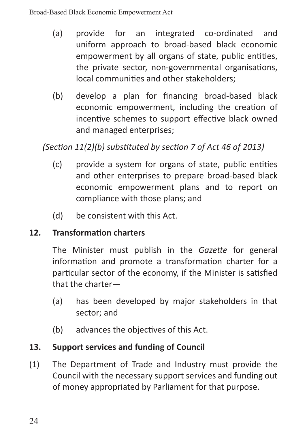- (a) provide for an integrated co-ordinated and uniform approach to broad-based black economic empowerment by all organs of state, public entities, the private sector, non-governmental organisations, local communities and other stakeholders;
- (b) develop a plan for financing broad-based black economic empowerment, including the creation of incentive schemes to support effective black owned and managed enterprises;

# *(Section 11(2)(b) substituted by section 7 of Act 46 of 2013)*

- (c) provide a system for organs of state, public entities and other enterprises to prepare broad-based black economic empowerment plans and to report on compliance with those plans; and
- (d) be consistent with this Act.

#### **12. Transformation charters**

The Minister must publish in the *Gazette* for general information and promote a transformation charter for a particular sector of the economy, if the Minister is satisfied that the charter—

- (a) has been developed by major stakeholders in that sector; and
- (b) advances the objectives of this Act.

#### **13. Support services and funding of Council**

(1) The Department of Trade and Industry must provide the Council with the necessary support services and funding out of money appropriated by Parliament for that purpose.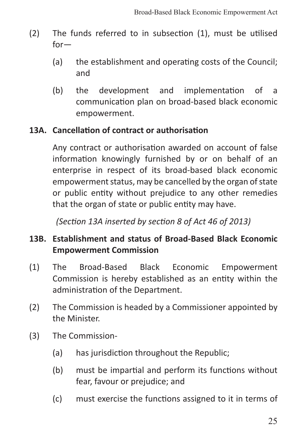- (2) The funds referred to in subsection (1), must be utilised for—
	- (a) the establishment and operating costs of the Council; and
	- (b) the development and implementation of a communication plan on broad-based black economic empowerment.

#### **13A. Cancellation of contract or authorisation**

Any contract or authorisation awarded on account of false information knowingly furnished by or on behalf of an enterprise in respect of its broad-based black economic empowerment status, may be cancelled by the organ of state or public entity without prejudice to any other remedies that the organ of state or public entity may have.

*(Section 13A inserted by section 8 of Act 46 of 2013)*

## **13B. Establishment and status of Broad-Based Black Economic Empowerment Commission**

- (1) The Broad-Based Black Economic Empowerment Commission is hereby established as an entity within the administration of the Department.
- (2) The Commission is headed by a Commissioner appointed by the Minister.
- (3) The Commission-
	- (a) has jurisdiction throughout the Republic;
	- (b) must be impartial and perform its functions without fear, favour or prejudice; and
	- (c) must exercise the functions assigned to it in terms of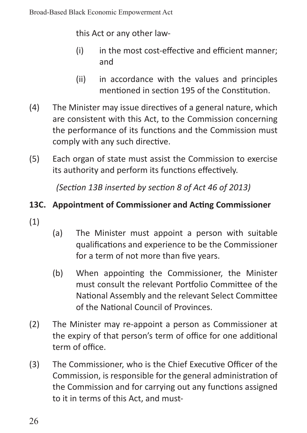this Act or any other law-

- (i) in the most cost-effective and efficient manner; and
- (ii) in accordance with the values and principles mentioned in section 195 of the Constitution.
- (4) The Minister may issue directives of a general nature, which are consistent with this Act, to the Commission concerning the performance of its functions and the Commission must comply with any such directive.
- (5) Each organ of state must assist the Commission to exercise its authority and perform its functions effectively.

*(Section 13B inserted by section 8 of Act 46 of 2013)*

## **13C. Appointment of Commissioner and Acting Commissioner**

- (1)
- (a) The Minister must appoint a person with suitable qualifications and experience to be the Commissioner for a term of not more than five years.
- (b) When appointing the Commissioner, the Minister must consult the relevant Portfolio Committee of the National Assembly and the relevant Select Committee of the National Council of Provinces.
- (2) The Minister may re-appoint a person as Commissioner at the expiry of that person's term of office for one additional term of office.
- (3) The Commissioner, who is the Chief Executive Officer of the Commission, is responsible for the general administration of the Commission and for carrying out any functions assigned to it in terms of this Act, and must-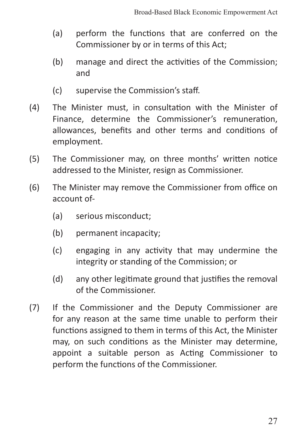- (a) perform the functions that are conferred on the Commissioner by or in terms of this Act;
- (b) manage and direct the activities of the Commission; and
- (c) supervise the Commission's staff.
- (4) The Minister must, in consultation with the Minister of Finance, determine the Commissioner's remuneration, allowances, benefits and other terms and conditions of employment.
- (5) The Commissioner may, on three months' written notice addressed to the Minister, resign as Commissioner.
- (6) The Minister may remove the Commissioner from office on account of-
	- (a) serious misconduct;
	- (b) permanent incapacity;
	- (c) engaging in any activity that may undermine the integrity or standing of the Commission; or
	- (d) any other legitimate ground that justifies the removal of the Commissioner.
- (7) If the Commissioner and the Deputy Commissioner are for any reason at the same time unable to perform their functions assigned to them in terms of this Act, the Minister may, on such conditions as the Minister may determine, appoint a suitable person as Acting Commissioner to perform the functions of the Commissioner.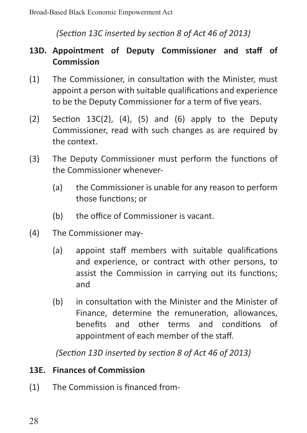## *(Section 13C inserted by section 8 of Act 46 of 2013)*

## **13D. Appointment of Deputy Commissioner and staff of Commission**

- (1) The Commissioner, in consultation with the Minister, must appoint a person with suitable qualifications and experience to be the Deputy Commissioner for a term of five years.
- (2) Section  $13C(2)$ , (4), (5) and (6) apply to the Deputy Commissioner, read with such changes as are required by the context.
- (3) The Deputy Commissioner must perform the functions of the Commissioner whenever-
	- (a) the Commissioner is unable for any reason to perform those functions; or
	- (b) the office of Commissioner is vacant.
- (4) The Commissioner may-
	- (a) appoint staff members with suitable qualifications and experience, or contract with other persons, to assist the Commission in carrying out its functions; and
	- (b) in consultation with the Minister and the Minister of Finance, determine the remuneration, allowances, benefits and other terms and conditions of appointment of each member of the staff.

*(Section 13D inserted by section 8 of Act 46 of 2013)*

#### **13E. Finances of Commission**

(1) The Commission is financed from-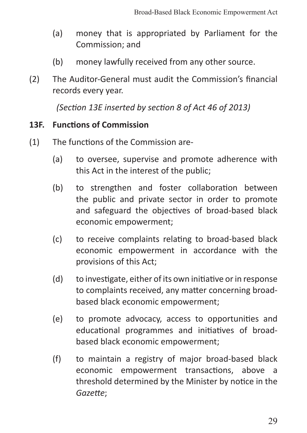- (a) money that is appropriated by Parliament for the Commission; and
- (b) money lawfully received from any other source.
- (2) The Auditor-General must audit the Commission's financial records every year.

*(Section 13E inserted by section 8 of Act 46 of 2013)*

#### **13F. Functions of Commission**

- (1) The functions of the Commission are-
	- (a) to oversee, supervise and promote adherence with this Act in the interest of the public;
	- (b) to strengthen and foster collaboration between the public and private sector in order to promote and safeguard the objectives of broad-based black economic empowerment;
	- (c) to receive complaints relating to broad-based black economic empowerment in accordance with the provisions of this Act;
	- (d) to investigate, either of its own initiative or in response to complaints received, any matter concerning broadbased black economic empowerment;
	- (e) to promote advocacy, access to opportunities and educational programmes and initiatives of broadbased black economic empowerment;
	- (f) to maintain a registry of major broad-based black economic empowerment transactions, above a threshold determined by the Minister by notice in the *Gazette*;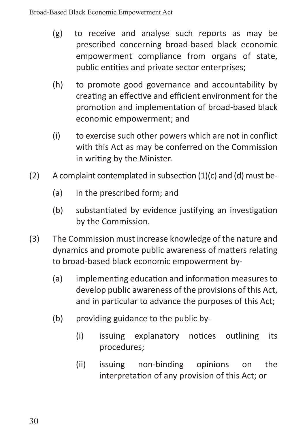- (g) to receive and analyse such reports as may be prescribed concerning broad-based black economic empowerment compliance from organs of state, public entities and private sector enterprises;
- (h) to promote good governance and accountability by creating an effective and efficient environment for the promotion and implementation of broad-based black economic empowerment; and
- (i) to exercise such other powers which are not in conflict with this Act as may be conferred on the Commission in writing by the Minister.
- $(2)$  A complaint contemplated in subsection  $(1)(c)$  and  $(d)$  must be-
	- (a) in the prescribed form; and
	- (b) substantiated by evidence justifying an investigation by the Commission.
- (3) The Commission must increase knowledge of the nature and dynamics and promote public awareness of matters relating to broad-based black economic empowerment by-
	- (a) implementing education and information measures to develop public awareness of the provisions of this Act, and in particular to advance the purposes of this Act;
	- (b) providing guidance to the public by-
		- (i) issuing explanatory notices outlining its procedures;
		- (ii) issuing non-binding opinions on the interpretation of any provision of this Act; or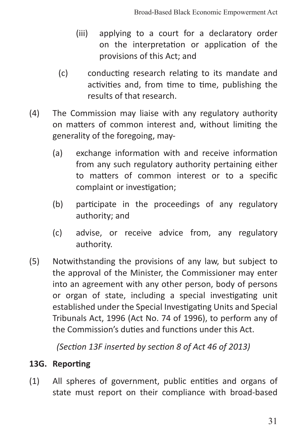- (iii) applying to a court for a declaratory order on the interpretation or application of the provisions of this Act; and
- (c) conducting research relating to its mandate and activities and, from time to time, publishing the results of that research.
- (4) The Commission may liaise with any regulatory authority on matters of common interest and, without limiting the generality of the foregoing, may-
	- (a) exchange information with and receive information from any such regulatory authority pertaining either to matters of common interest or to a specific complaint or investigation;
	- (b) participate in the proceedings of any regulatory authority; and
	- (c) advise, or receive advice from, any regulatory authority.
- (5) Notwithstanding the provisions of any law, but subject to the approval of the Minister, the Commissioner may enter into an agreement with any other person, body of persons or organ of state, including a special investigating unit established under the Special Investigating Units and Special Tribunals Act, 1996 (Act No. 74 of 1996), to perform any of the Commission's duties and functions under this Act.

*(Section 13F inserted by section 8 of Act 46 of 2013)*

#### **13G. Reporting**

(1) All spheres of government, public entities and organs of state must report on their compliance with broad-based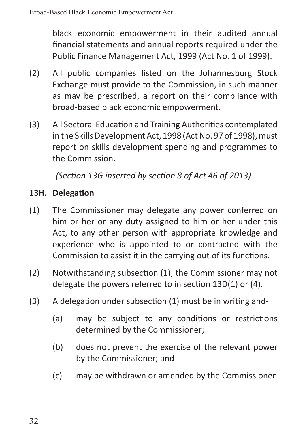black economic empowerment in their audited annual financial statements and annual reports required under the Public Finance Management Act, 1999 (Act No. 1 of 1999).

- (2) All public companies listed on the Johannesburg Stock Exchange must provide to the Commission, in such manner as may be prescribed, a report on their compliance with broad-based black economic empowerment.
- (3) All Sectoral Education and Training Authorities contemplated in the Skills Development Act, 1998 (Act No. 97 of 1998), must report on skills development spending and programmes to the Commission.

*(Section 13G inserted by section 8 of Act 46 of 2013)*

## **13H. Delegation**

- (1) The Commissioner may delegate any power conferred on him or her or any duty assigned to him or her under this Act, to any other person with appropriate knowledge and experience who is appointed to or contracted with the Commission to assist it in the carrying out of its functions.
- (2) Notwithstanding subsection (1), the Commissioner may not delegate the powers referred to in section 13D(1) or (4).
- (3) A delegation under subsection (1) must be in writing and-
	- (a) may be subject to any conditions or restrictions determined by the Commissioner;
	- (b) does not prevent the exercise of the relevant power by the Commissioner; and
	- (c) may be withdrawn or amended by the Commissioner.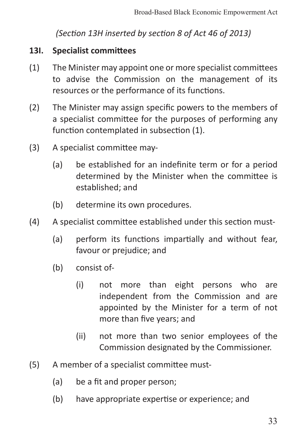*(Section 13H inserted by section 8 of Act 46 of 2013)*

#### **13I. Specialist committees**

- (1) The Minister may appoint one or more specialist committees to advise the Commission on the management of its resources or the performance of its functions.
- (2) The Minister may assign specific powers to the members of a specialist committee for the purposes of performing any function contemplated in subsection (1).
- (3) A specialist committee may-
	- (a) be established for an indefinite term or for a period determined by the Minister when the committee is established; and
	- (b) determine its own procedures.
- (4) A specialist committee established under this section must-
	- (a) perform its functions impartially and without fear, favour or prejudice; and
	- (b) consist of-
		- (i) not more than eight persons who are independent from the Commission and are appointed by the Minister for a term of not more than five years; and
		- (ii) not more than two senior employees of the Commission designated by the Commissioner.
- (5) A member of a specialist committee must-
	- (a) be a fit and proper person;
	- (b) have appropriate expertise or experience; and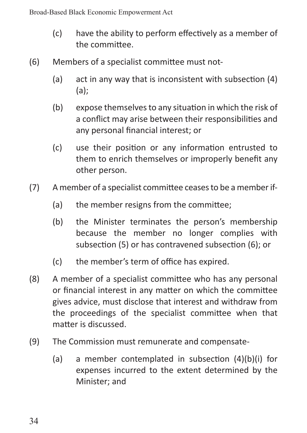- (c) have the ability to perform effectively as a member of the committee.
- (6) Members of a specialist committee must not-
	- (a) act in any way that is inconsistent with subsection (4) (a);
	- (b) expose themselves to any situation in which the risk of a conflict may arise between their responsibilities and any personal financial interest; or
	- (c) use their position or any information entrusted to them to enrich themselves or improperly benefit any other person.
- (7) A member of a specialist committee ceases to be a member if-
	- (a) the member resigns from the committee;
	- (b) the Minister terminates the person's membership because the member no longer complies with subsection (5) or has contravened subsection (6); or
	- (c) the member's term of office has expired.
- (8) A member of a specialist committee who has any personal or financial interest in any matter on which the committee gives advice, must disclose that interest and withdraw from the proceedings of the specialist committee when that matter is discussed.
- (9) The Commission must remunerate and compensate-
	- (a) a member contemplated in subsection (4)(b)(i) for expenses incurred to the extent determined by the Minister; and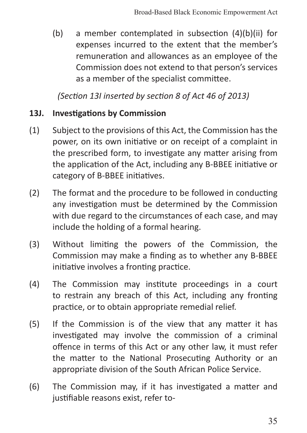(b) a member contemplated in subsection (4)(b)(ii) for expenses incurred to the extent that the member's remuneration and allowances as an employee of the Commission does not extend to that person's services as a member of the specialist committee.

*(Section 13I inserted by section 8 of Act 46 of 2013)*

#### **13J. Investigations by Commission**

- (1) Subject to the provisions of this Act, the Commission has the power, on its own initiative or on receipt of a complaint in the prescribed form, to investigate any matter arising from the application of the Act, including any B-BBEE initiative or category of B-BBEE initiatives.
- (2) The format and the procedure to be followed in conducting any investigation must be determined by the Commission with due regard to the circumstances of each case, and may include the holding of a formal hearing.
- (3) Without limiting the powers of the Commission, the Commission may make a finding as to whether any B-BBEE initiative involves a fronting practice.
- (4) The Commission may institute proceedings in a court to restrain any breach of this Act, including any fronting practice, or to obtain appropriate remedial relief.
- (5) If the Commission is of the view that any matter it has investigated may involve the commission of a criminal offence in terms of this Act or any other law, it must refer the matter to the National Prosecuting Authority or an appropriate division of the South African Police Service.
- (6) The Commission may, if it has investigated a matter and justifiable reasons exist, refer to-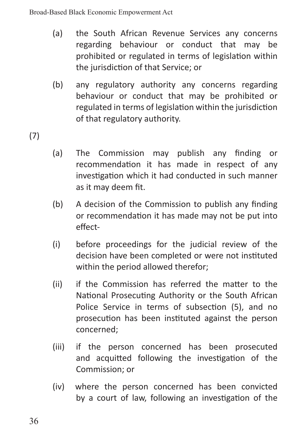- (a) the South African Revenue Services any concerns regarding behaviour or conduct that may be prohibited or regulated in terms of legislation within the jurisdiction of that Service; or
- (b) any regulatory authority any concerns regarding behaviour or conduct that may be prohibited or regulated in terms of legislation within the jurisdiction of that regulatory authority.

(7)

- (a) The Commission may publish any finding or recommendation it has made in respect of any investigation which it had conducted in such manner as it may deem fit.
- (b) A decision of the Commission to publish any finding or recommendation it has made may not be put into effect-
- (i) before proceedings for the judicial review of the decision have been completed or were not instituted within the period allowed therefor;
- (ii) if the Commission has referred the matter to the National Prosecuting Authority or the South African Police Service in terms of subsection (5), and no prosecution has been instituted against the person concerned;
- (iii) if the person concerned has been prosecuted and acquitted following the investigation of the Commission; or
- (iv) where the person concerned has been convicted by a court of law, following an investigation of the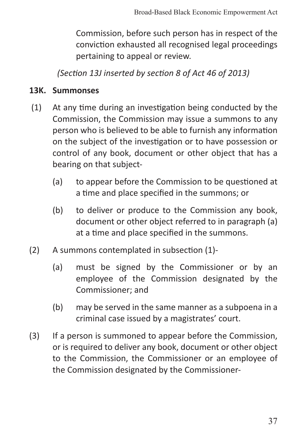Commission, before such person has in respect of the conviction exhausted all recognised legal proceedings pertaining to appeal or review.

*(Section 13J inserted by section 8 of Act 46 of 2013)*

#### **13K. Summonses**

- (1) At any time during an investigation being conducted by the Commission, the Commission may issue a summons to any person who is believed to be able to furnish any information on the subject of the investigation or to have possession or control of any book, document or other object that has a bearing on that subject-
	- (a) to appear before the Commission to be questioned at a time and place specified in the summons; or
	- (b) to deliver or produce to the Commission any book, document or other object referred to in paragraph (a) at a time and place specified in the summons.
- (2) A summons contemplated in subsection (1)-
	- (a) must be signed by the Commissioner or by an employee of the Commission designated by the Commissioner; and
	- (b) may be served in the same manner as a subpoena in a criminal case issued by a magistrates' court.
- (3) If a person is summoned to appear before the Commission, or is required to deliver any book, document or other object to the Commission, the Commissioner or an employee of the Commission designated by the Commissioner-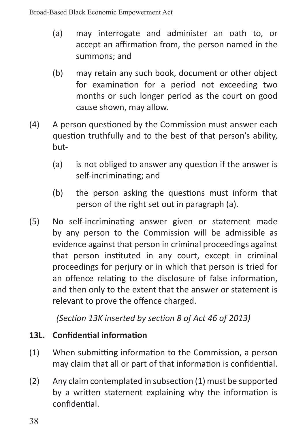- (a) may interrogate and administer an oath to, or accept an affirmation from, the person named in the summons; and
- (b) may retain any such book, document or other object for examination for a period not exceeding two months or such longer period as the court on good cause shown, may allow.
- (4) A person questioned by the Commission must answer each question truthfully and to the best of that person's ability, but-
	- (a) is not obliged to answer any question if the answer is self-incriminating; and
	- (b) the person asking the questions must inform that person of the right set out in paragraph (a).
- (5) No self-incriminating answer given or statement made by any person to the Commission will be admissible as evidence against that person in criminal proceedings against that person instituted in any court, except in criminal proceedings for perjury or in which that person is tried for an offence relating to the disclosure of false information, and then only to the extent that the answer or statement is relevant to prove the offence charged.

*(Section 13K inserted by section 8 of Act 46 of 2013)*

## **13L. Confidential information**

- (1) When submitting information to the Commission, a person may claim that all or part of that information is confidential.
- (2) Any claim contemplated in subsection (1) must be supported by a written statement explaining why the information is confidential.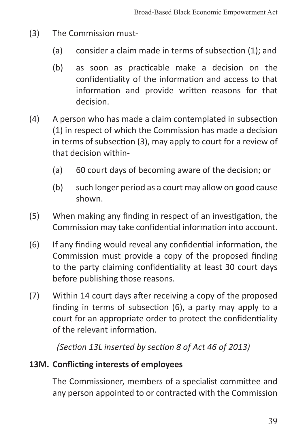- (3) The Commission must-
	- (a) consider a claim made in terms of subsection (1); and
	- (b) as soon as practicable make a decision on the confidentiality of the information and access to that information and provide written reasons for that decision.
- (4) A person who has made a claim contemplated in subsection (1) in respect of which the Commission has made a decision in terms of subsection (3), may apply to court for a review of that decision within-
	- (a) 60 court days of becoming aware of the decision; or
	- (b) such longer period as a court may allow on good cause shown.
- (5) When making any finding in respect of an investigation, the Commission may take confidential information into account.
- (6) If any finding would reveal any confidential information, the Commission must provide a copy of the proposed finding to the party claiming confidentiality at least 30 court days before publishing those reasons.
- (7) Within 14 court days after receiving a copy of the proposed finding in terms of subsection (6), a party may apply to a court for an appropriate order to protect the confidentiality of the relevant information.

*(Section 13L inserted by section 8 of Act 46 of 2013)*

### **13M. Conflicting interests of employees**

The Commissioner, members of a specialist committee and any person appointed to or contracted with the Commission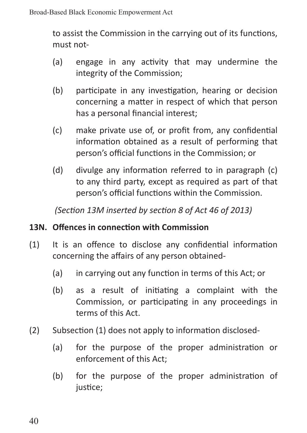to assist the Commission in the carrying out of its functions, must not-

- (a) engage in any activity that may undermine the integrity of the Commission;
- (b) participate in any investigation, hearing or decision concerning a matter in respect of which that person has a personal financial interest;
- (c) make private use of, or profit from, any confidential information obtained as a result of performing that person's official functions in the Commission; or
- (d) divulge any information referred to in paragraph (c) to any third party, except as required as part of that person's official functions within the Commission.

*(Section 13M inserted by section 8 of Act 46 of 2013)*

## **13N. Offences in connection with Commission**

- (1) It is an offence to disclose any confidential information concerning the affairs of any person obtained-
	- (a) in carrying out any function in terms of this Act; or
	- (b) as a result of initiating a complaint with the Commission, or participating in any proceedings in terms of this Act.
- (2) Subsection (1) does not apply to information disclosed-
	- (a) for the purpose of the proper administration or enforcement of this Act;
	- (b) for the purpose of the proper administration of justice: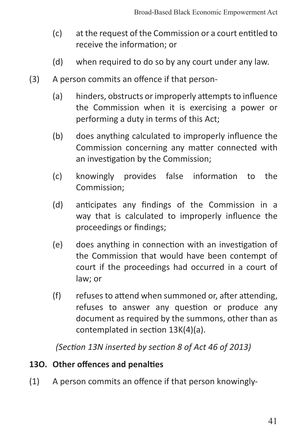- (c) at the request of the Commission or a court entitled to receive the information; or
- (d) when required to do so by any court under any law.
- (3) A person commits an offence if that person-
	- (a) hinders, obstructs or improperly attempts to influence the Commission when it is exercising a power or performing a duty in terms of this Act;
	- (b) does anything calculated to improperly influence the Commission concerning any matter connected with an investigation by the Commission;
	- (c) knowingly provides false information to the Commission;
	- (d) anticipates any findings of the Commission in a way that is calculated to improperly influence the proceedings or findings;
	- (e) does anything in connection with an investigation of the Commission that would have been contempt of court if the proceedings had occurred in a court of law; or
	- (f) refuses to attend when summoned or, after attending, refuses to answer any question or produce any document as required by the summons, other than as contemplated in section 13K(4)(a).

*(Section 13N inserted by section 8 of Act 46 of 2013)*

### **13O. Other offences and penalties**

(1) A person commits an offence if that person knowingly-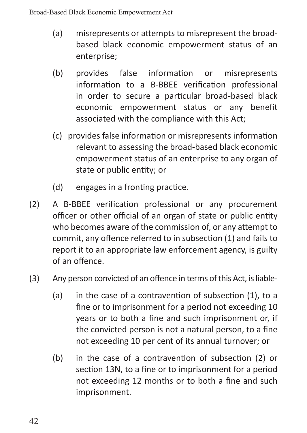- (a) misrepresents or attempts to misrepresent the broadbased black economic empowerment status of an enterprise;
- (b) provides false information or misrepresents information to a B-BBEE verification professional in order to secure a particular broad-based black economic empowerment status or any benefit associated with the compliance with this Act;
- (c) provides false information or misrepresents information relevant to assessing the broad-based black economic empowerment status of an enterprise to any organ of state or public entity; or
- (d) engages in a fronting practice.
- (2) A B-BBEE verification professional or any procurement officer or other official of an organ of state or public entity who becomes aware of the commission of, or any attempt to commit, any offence referred to in subsection (1) and fails to report it to an appropriate law enforcement agency, is guilty of an offence.

# (3) Any person convicted of an offence in terms of this Act, is liable-

- (a) in the case of a contravention of subsection (1), to a fine or to imprisonment for a period not exceeding 10 years or to both a fine and such imprisonment or, if the convicted person is not a natural person, to a fine not exceeding 10 per cent of its annual turnover; or
- (b) in the case of a contravention of subsection (2) or section 13N, to a fine or to imprisonment for a period not exceeding 12 months or to both a fine and such imprisonment.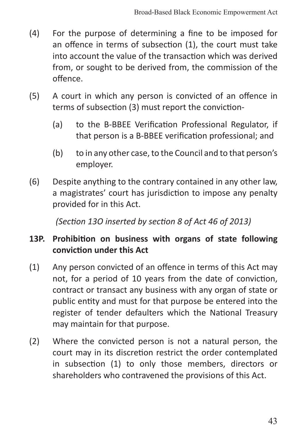- (4) For the purpose of determining a fine to be imposed for an offence in terms of subsection (1), the court must take into account the value of the transaction which was derived from, or sought to be derived from, the commission of the offence.
- (5) A court in which any person is convicted of an offence in terms of subsection (3) must report the conviction-
	- (a) to the B-BBEE Verification Professional Regulator, if that person is a B-BBEE verification professional; and
	- (b) to in any other case, to the Council and to that person's employer.
- (6) Despite anything to the contrary contained in any other law, a magistrates' court has jurisdiction to impose any penalty provided for in this Act.

*(Section 13O inserted by section 8 of Act 46 of 2013)*

## **13P. Prohibition on business with organs of state following conviction under this Act**

- (1) Any person convicted of an offence in terms of this Act may not, for a period of 10 years from the date of conviction, contract or transact any business with any organ of state or public entity and must for that purpose be entered into the register of tender defaulters which the National Treasury may maintain for that purpose.
- (2) Where the convicted person is not a natural person, the court may in its discretion restrict the order contemplated in subsection (1) to only those members, directors or shareholders who contravened the provisions of this Act.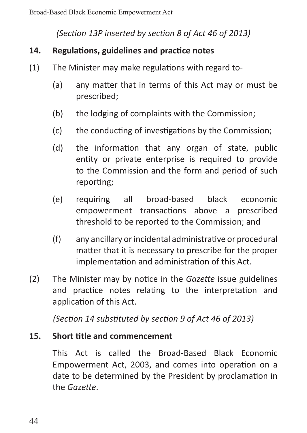*(Section 13P inserted by section 8 of Act 46 of 2013)*

### **14. Regulations, guidelines and practice notes**

- (1) The Minister may make regulations with regard to-
	- (a) any matter that in terms of this Act may or must be prescribed;
	- (b) the lodging of complaints with the Commission;
	- (c) the conducting of investigations by the Commission;
	- (d) the information that any organ of state, public entity or private enterprise is required to provide to the Commission and the form and period of such reporting;
	- (e) requiring all broad-based black economic empowerment transactions above a prescribed threshold to be reported to the Commission; and
	- (f) any ancillary or incidental administrative or procedural matter that it is necessary to prescribe for the proper implementation and administration of this Act.
- (2) The Minister may by notice in the *Gazette* issue guidelines and practice notes relating to the interpretation and application of this Act.

*(Section 14 substituted by section 9 of Act 46 of 2013)*

### **15. Short title and commencement**

This Act is called the Broad-Based Black Economic Empowerment Act, 2003, and comes into operation on a date to be determined by the President by proclamation in the *Gazette*.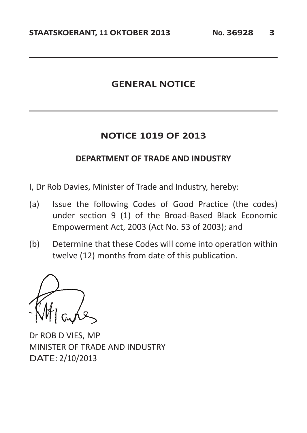### **GENERAL NOTICE**

#### **NOTICE 1019 OF 2013**

#### **DEPARTMENT OF TRADE AND INDUSTRY**

- I, Dr Rob Davies, Minister of Trade and Industry, hereby:
- (a) Issue the following Codes of Good Practice (the codes) under section 9 (1) of the Broad-Based Black Economic Empowerment Act, 2003 (Act No. 53 of 2003); and
- (b) Determine that these Codes will come into operation within twelve (12) months from date of this publication.

Dr ROB D VIES, MP MINISTER OF TRADE AND INDUSTRY DATE: 2/10/2013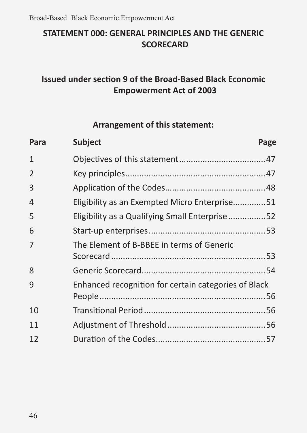# **STATEMENT 000: GENERAL PRINCIPLES AND THE GENERIC SCORECARD**

# **Issued under section 9 of the Broad-Based Black Economic Empowerment Act of 2003**

### **Arrangement of this statement:**

| Para | <b>Subject</b>                                       | Page |
|------|------------------------------------------------------|------|
| 1    |                                                      |      |
| 2    |                                                      |      |
| 3    |                                                      |      |
| 4    | Eligibility as an Exempted Micro Enterprise51        |      |
| 5    | Eligibility as a Qualifying Small Enterprise52       |      |
| 6    |                                                      |      |
| 7    | The Element of B-BBEE in terms of Generic            |      |
|      |                                                      |      |
| 8    |                                                      |      |
| 9    | Enhanced recognition for certain categories of Black |      |
| 10   |                                                      |      |
| 11   |                                                      |      |
| 12   |                                                      |      |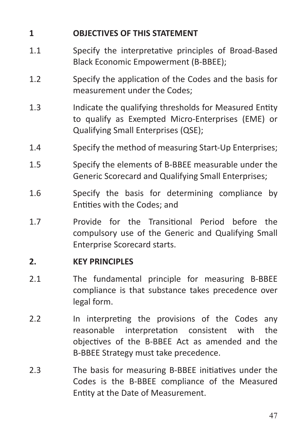# **1 OBJECTIVES OF THIS STATEMENT**

- 1.1 Specify the interpretative principles of Broad-Based Black Economic Empowerment (B-BBEE);
- 1.2 Specify the application of the Codes and the basis for measurement under the Codes;
- 1.3 Indicate the qualifying thresholds for Measured Entity to qualify as Exempted Micro-Enterprises (EME) or Qualifying Small Enterprises (QSE);
- 1.4 Specify the method of measuring Start-Up Enterprises;
- 1.5 Specify the elements of B-BBEE measurable under the Generic Scorecard and Qualifying Small Enterprises;
- 1.6 Specify the basis for determining compliance by Entities with the Codes; and
- 1.7 Provide for the Transitional Period before the compulsory use of the Generic and Qualifying Small Enterprise Scorecard starts.

### **2. KEY PRINCIPLES**

- 2.1 The fundamental principle for measuring B-BBEE compliance is that substance takes precedence over legal form.
- 2.2 In interpreting the provisions of the Codes any reasonable interpretation consistent with the objectives of the B-BBEE Act as amended and the B-BBEE Strategy must take precedence.
- 2.3 The basis for measuring B-BBEE initiatives under the Codes is the B-BBEE compliance of the Measured Entity at the Date of Measurement.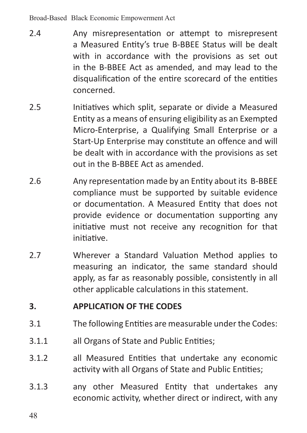Broad-Based Black Economic Empowerment Act

- 2.4 Any misrepresentation or attempt to misrepresent a Measured Entity's true B-BBEE Status will be dealt with in accordance with the provisions as set out in the B-BBEE Act as amended, and may lead to the disqualification of the entire scorecard of the entities concerned.
- 2.5 Initiatives which split, separate or divide a Measured Entity as a means of ensuring eligibility as an Exempted Micro-Enterprise, a Qualifying Small Enterprise or a Start-Up Enterprise may constitute an offence and will be dealt with in accordance with the provisions as set out in the B-BBEE Act as amended.
- 2.6 Any representation made by an Entity about its B-BBEE compliance must be supported by suitable evidence or documentation. A Measured Entity that does not provide evidence or documentation supporting any initiative must not receive any recognition for that initiative.
- 2.7 Wherever a Standard Valuation Method applies to measuring an indicator, the same standard should apply, as far as reasonably possible, consistently in all other applicable calculations in this statement.

### **3. APPLICATION OF THE CODES**

- 3.1 The following Entities are measurable under the Codes:
- 3.1.1 all Organs of State and Public Entities;
- 3.1.2 all Measured Entities that undertake any economic activity with all Organs of State and Public Entities;
- 3.1.3 any other Measured Entity that undertakes any economic activity, whether direct or indirect, with any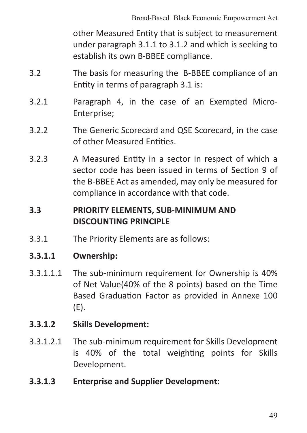other Measured Entity that is subject to measurement under paragraph 3.1.1 to 3.1.2 and which is seeking to establish its own B-BBEE compliance.

- 3.2 The basis for measuring the B-BBEE compliance of an Entity in terms of paragraph 3.1 is:
- 3.2.1 Paragraph 4, in the case of an Exempted Micro-Enterprise;
- 3.2.2 The Generic Scorecard and QSE Scorecard, in the case of other Measured Entities.
- 3.2.3 A Measured Entity in a sector in respect of which a sector code has been issued in terms of Section 9 of the B-BBEE Act as amended, may only be measured for compliance in accordance with that code.

### **3.3 PRIORITY ELEMENTS, SUB-MINIMUM AND DISCOUNTING PRINCIPLE**

3.3.1 The Priority Elements are as follows:

### **3.3.1.1 Ownership:**

- 3.3.1.1.1 The sub-minimum requirement for Ownership is 40% of Net Value(40% of the 8 points) based on the Time Based Graduation Factor as provided in Annexe 100 (E).
- **3.3.1.2 Skills Development:**
- 3.3.1.2.1 The sub-minimum requirement for Skills Development is 40% of the total weighting points for Skills Development.
- **3.3.1.3 Enterprise and Supplier Development:**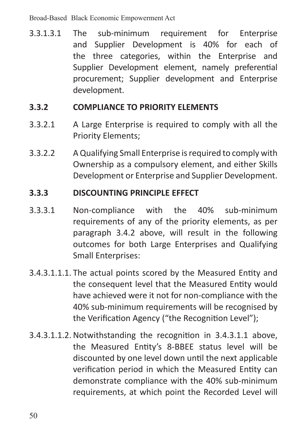Broad-Based Black Economic Empowerment Act

3.3.1.3.1 The sub-minimum requirement for Enterprise and Supplier Development is 40% for each of the three categories, within the Enterprise and Supplier Development element, namely preferential procurement; Supplier development and Enterprise development.

#### **3.3.2 COMPLIANCE TO PRIORITY ELEMENTS**

- 3.3.2.1 A Large Enterprise is required to comply with all the Priority Elements;
- 3.3.2.2 AQualifying Small Enterprise isrequired to comply with Ownership as a compulsory element, and either Skills Development or Enterprise and Supplier Development.

#### **3.3.3 DISCOUNTING PRINCIPLE EFFECT**

- 3.3.3.1 Non-compliance with the 40% sub-minimum requirements of any of the priority elements, as per paragraph 3.4.2 above, will result in the following outcomes for both Large Enterprises and Qualifying Small Enterprises:
- 3.4.3.1.1.1. The actual points scored by the Measured Entity and the consequent level that the Measured Entity would have achieved were it not for non-compliance with the 40% sub-minimum requirements will be recognised by the Verification Agency ("the Recognition Level");
- 3.4.3.1.1.2. Notwithstanding the recognition in 3.4.3.1.1 above, the Measured Entity's 8-BBEE status level will be discounted by one level down until the next applicable verification period in which the Measured Entity can demonstrate compliance with the 40% sub-minimum requirements, at which point the Recorded Level will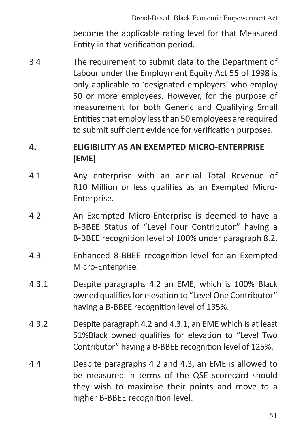become the applicable rating level for that Measured Entity in that verification period.

3.4 The requirement to submit data to the Department of Labour under the Employment Equity Act 55 of 1998 is only applicable to 'designated employers' who employ 50 or more employees. However, for the purpose of measurement for both Generic and Qualifying Small Entitiesthat employ lessthan 50 employees are required to submit sufficient evidence for verification purposes.

# **4. ELIGIBILITY AS AN EXEMPTED MICRO-ENTERPRISE (EME)**

- 4.1 Any enterprise with an annual Total Revenue of R10 Million or less qualifies as an Exempted Micro-Enterprise.
- 4.2 An Exempted Micro-Enterprise is deemed to have a B-BBEE Status of "Level Four Contributor" having a B-BBEE recognition level of 100% under paragraph 8.2.
- 4.3 Enhanced 8-BBEE recognition level for an Exempted Micro-Enterprise:
- 4.3.1 Despite paragraphs 4.2 an EME, which is 100% Black owned qualifies for elevation to "Level One Contributor" having a B-BBEE recognition level of 135%.
- 4.3.2 Despite paragraph 4.2 and 4.3.1, an EME which is at least 51%Black owned qualifies for elevation to "Level Two Contributor" having a B-BBEE recognition level of 125%.
- 4.4 Despite paragraphs 4.2 and 4.3, an EME is allowed to be measured in terms of the QSE scorecard should they wish to maximise their points and move to a higher B-BBEE recognition level.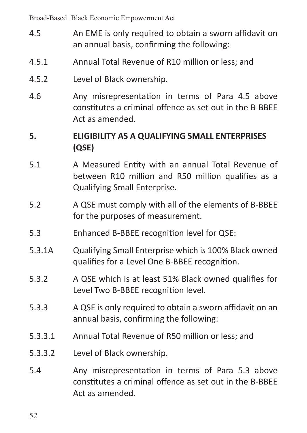Broad-Based Black Economic Empowerment Act

- 4.5 An EME is only required to obtain a sworn affidavit on an annual basis, confirming the following:
- 4.5.1 Annual Total Revenue of R10 million or less; and
- 4.5.2 Level of Black ownership.
- 4.6 Any misrepresentation in terms of Para 4.5 above constitutes a criminal offence as set out in the B-BBEE Act as amended.

# **5. ELIGIBILITY AS A QUALIFYING SMALL ENTERPRISES (QSE)**

- 5.1 A Measured Entity with an annual Total Revenue of between R10 million and R50 million qualifies as a Qualifying Small Enterprise.
- 5.2 A QSE must comply with all of the elements of B-BBEE for the purposes of measurement.
- 5.3 Enhanced B-BBEE recognition level for QSE:
- 5.3.1A Qualifying Small Enterprise which is 100% Black owned qualifies for a Level One B-BBEE recognition.
- 5.3.2 A QSE which is at least 51% Black owned qualifies for Level Two B-BBEE recognition level.
- 5.3.3 A QSE is only required to obtain a sworn affidavit on an annual basis, confirming the following:
- 5.3.3.1 Annual Total Revenue of R50 million or less; and
- 5.3.3.2 Level of Black ownership.
- 5.4 Any misrepresentation in terms of Para 5.3 above constitutes a criminal offence as set out in the B-BBEE Act as amended.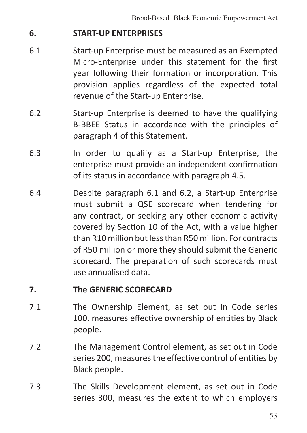#### **6. START-UP ENTERPRISES**

- 6.1 Start-up Enterprise must be measured as an Exempted Micro-Enterprise under this statement for the first year following their formation or incorporation. This provision applies regardless of the expected total revenue of the Start-up Enterprise.
- 6.2 Start-up Enterprise is deemed to have the qualifying B-BBEE Status in accordance with the principles of paragraph 4 of this Statement.
- 6.3 In order to qualify as a Start-up Enterprise, the enterprise must provide an independent confirmation of its status in accordance with paragraph 4.5.
- 6.4 Despite paragraph 6.1 and 6.2, a Start-up Enterprise must submit a QSE scorecard when tendering for any contract, or seeking any other economic activity covered by Section 10 of the Act, with a value higher than R10 million butlessthan R50 million. For contracts of R50 million or more they should submit the Generic scorecard. The preparation of such scorecards must use annualised data.

### **7. The GENERIC SCORECARD**

- 7.1 The Ownership Element, as set out in Code series 100, measures effective ownership of entities by Black people.
- 7.2 The Management Control element, as set out in Code series 200, measures the effective control of entities by Black people.
- 7.3 The Skills Development element, as set out in Code series 300, measures the extent to which employers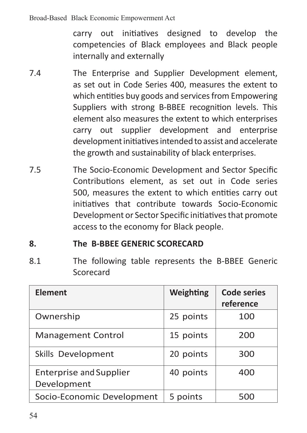carry out initiatives designed to develop the competencies of Black employees and Black people internally and externally

- 7.4 The Enterprise and Supplier Development element, as set out in Code Series 400, measures the extent to which entities buy goods and services from Empowering Suppliers with strong B-BBEE recognition levels. This element also measures the extent to which enterprises carry out supplier development and enterprise development initiatives intended to assist and accelerate the growth and sustainability of black enterprises.
- 7.5 The Socio-Economic Development and Sector Specific Contributions element, as set out in Code series 500, measures the extent to which entities carry out initiatives that contribute towards Socio-Economic Development or Sector Specific initiativesthat promote access to the economy for Black people.

### **8. The B-BBEE GENERIC SCORECARD**

8.1 The following table represents the B-BBEE Generic Scorecard

| Element                                       | Weighting | <b>Code series</b><br>reference |
|-----------------------------------------------|-----------|---------------------------------|
| Ownership                                     | 25 points | 100                             |
| <b>Management Control</b>                     | 15 points | 200                             |
| Skills Development                            | 20 points | 300                             |
| <b>Enterprise and Supplier</b><br>Development | 40 points | 400                             |
| Socio-Economic Development                    | 5 points  | 500                             |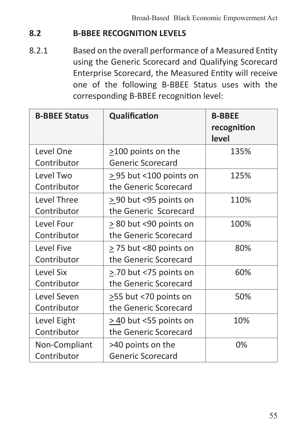## **8.2 B-BBEE RECOGNITION LEVELS**

8.2.1 Based on the overall performance of a Measured Entity using the Generic Scorecard and Qualifying Scorecard Enterprise Scorecard, the Measured Entity will receive one of the following B-BBEE Status uses with the corresponding B-BBEE recognition level:

| <b>B-BBEE Status</b> | Qualification               | <b>B-BBEE</b><br>recognition<br>level |
|----------------------|-----------------------------|---------------------------------------|
| Level One            | $>100$ points on the        | 135%                                  |
| Contributor          | Generic Scorecard           |                                       |
| Level Two            | > 95 but <100 points on     | 125%                                  |
| Contributor          | the Generic Scorecard       |                                       |
| Level Three          | $>$ 90 but < 95 points on   | 110%                                  |
| Contributor          | the Generic Scorecard       |                                       |
| Level Four           | $\geq$ 80 but <90 points on | 100%                                  |
| Contributor          | the Generic Scorecard       |                                       |
| Level Five           | $\geq$ 75 but <80 points on | 80%                                   |
| Contributor          | the Generic Scorecard       |                                       |
| Level Six            | >.70 but <75 points on      | 60%                                   |
| Contributor          | the Generic Scorecard       |                                       |
| Level Seven          | $\geq$ 55 but <70 points on | 50%                                   |
| Contributor          | the Generic Scorecard       |                                       |
| Level Eight          | > 40 but <55 points on      | 10%                                   |
| Contributor          | the Generic Scorecard       |                                       |
| Non-Compliant        | >40 points on the           | 0%                                    |
| Contributor          | Generic Scorecard           |                                       |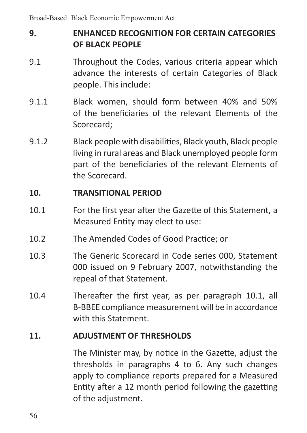# **9. ENHANCED RECOGNITION FOR CERTAIN CATEGORIES OF BLACK PEOPLE**

- 9.1 Throughout the Codes, various criteria appear which advance the interests of certain Categories of Black people. This include:
- 9.1.1 Black women, should form between 40% and 50% of the beneficiaries of the relevant Elements of the Scorecard;
- 9.1.2 Black people with disabilities, Black youth, Black people living in rural areas and Black unemployed people form part of the beneficiaries of the relevant Elements of the Scorecard.

#### **10. TRANSITIONAL PERIOD**

- 10.1 For the first year after the Gazette of this Statement, a Measured Entity may elect to use:
- 10.2 The Amended Codes of Good Practice; or
- 10.3 The Generic Scorecard in Code series 000, Statement 000 issued on 9 February 2007, notwithstanding the repeal of that Statement.
- 10.4 Thereafter the first year, as per paragraph 10.1, all B-BBEE compliance measurement will be in accordance with this Statement.

### **11. ADJUSTMENT OF THRESHOLDS**

The Minister may, by notice in the Gazette, adjust the thresholds in paragraphs 4 to 6. Any such changes apply to compliance reports prepared for a Measured Entity after a 12 month period following the gazetting of the adjustment.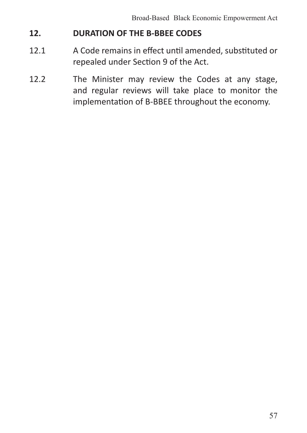## **12. DURATION OF THE B-BBEE CODES**

- 12.1 A Code remains in effect until amended, substituted or repealed under Section 9 of the Act.
- 12.2 The Minister may review the Codes at any stage, and regular reviews will take place to monitor the implementation of B-BBEE throughout the economy.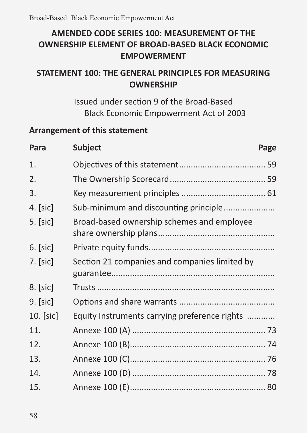# **AMENDED CODE SERIES 100: MEASUREMENT OF THE OWNERSHIP ELEMENT OF BROAD-BASED BLACK ECONOMIC EMPOWERMENT**

# **STATEMENT 100: THE GENERAL PRINCIPLES FOR MEASURING OWNERSHIP**

Issued under section 9 of the Broad-Based Black Economic Empowerment Act of 2003

## **Arrangement of this statement**

| Para        | <b>Subject</b>                                | Page |
|-------------|-----------------------------------------------|------|
| 1.          |                                               |      |
| 2.          |                                               |      |
| 3.          |                                               |      |
| 4. $[sic]$  | Sub-minimum and discounting principle         |      |
| $5.$ [sic]  | Broad-based ownership schemes and employee    |      |
| $6.$ [sic]  |                                               |      |
| $7.$ [sic]  | Section 21 companies and companies limited by |      |
| $8.$ [sic]  |                                               |      |
| $9.$ [sic]  |                                               |      |
| $10.$ [sic] | Equity Instruments carrying preference rights |      |
| 11.         |                                               |      |
| 12.         |                                               |      |
| 13.         |                                               |      |
| 14.         |                                               |      |
| 15.         |                                               |      |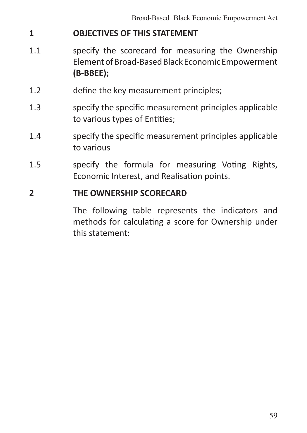## **1 OBJECTIVES OF THIS STATEMENT**

- 1.1 Specify the scorecard for measuring the Ownership ElementofBroad-BasedBlack Economic Empowerment **(B-BBEE);**
- 1.2 define the key measurement principles;
- 1.3 specify the specific measurement principles applicable to various types of Entities;
- 1.4 specify the specific measurement principles applicable to various
- 1.5 specify the formula for measuring Voting Rights, Economic Interest, and Realisation points.

### **2 THE OWNERSHIP SCORECARD**

The following table represents the indicators and methods for calculating a score for Ownership under this statement: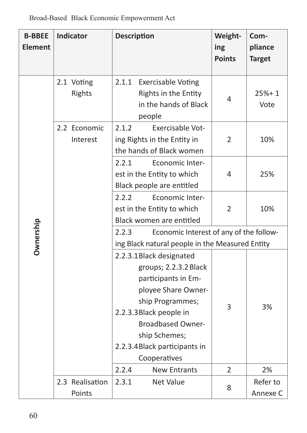| <b>B-BBEE</b><br><b>Element</b> | Indicator                 | <b>Description</b>                                                                                                                                                                                                                                                           | Weight-<br>ing<br><b>Points</b> | Com-<br>pliance<br><b>Target</b> |
|---------------------------------|---------------------------|------------------------------------------------------------------------------------------------------------------------------------------------------------------------------------------------------------------------------------------------------------------------------|---------------------------------|----------------------------------|
| Ownership                       | 2.1 Voting<br>Rights      | 2.1.1<br><b>Exercisable Voting</b><br>Rights in the Entity<br>in the hands of Black<br>people                                                                                                                                                                                | 4                               | $25% + 1$<br>Vote                |
|                                 | 2.2 Economic<br>Interest  | 2.1.2<br>Exercisable Vot-<br>ing Rights in the Entity in<br>the hands of Black women                                                                                                                                                                                         | $\overline{2}$                  | 10%                              |
|                                 |                           | 2.2.1<br>Economic Inter-<br>est in the Entity to which<br>Black people are entitled                                                                                                                                                                                          | 4                               | 25%                              |
|                                 |                           | 2.2.2<br>Economic Inter-<br>est in the Entity to which<br>Black women are entitled                                                                                                                                                                                           | $\overline{2}$                  | 10%                              |
|                                 |                           | Economic Interest of any of the follow-<br>2.2.3<br>ing Black natural people in the Measured Entity                                                                                                                                                                          |                                 |                                  |
|                                 |                           | 2.2.3.1 Black designated<br>groups; 2.2.3.2 Black<br>participants in Em-<br>ployee Share Owner-<br>ship Programmes;<br>2.2.3.3 Black people in<br><b>Broadbased Owner-</b><br>ship Schemes;<br>2.2.3.4 Black participants in<br>Cooperatives<br>2.2.4<br><b>New Entrants</b> | 3<br>$\overline{2}$             | 3%<br>2%                         |
|                                 |                           |                                                                                                                                                                                                                                                                              |                                 |                                  |
|                                 | 2.3 Realisation<br>Points | 2.3.1<br>Net Value                                                                                                                                                                                                                                                           | 8                               | Refer to<br>Annexe C             |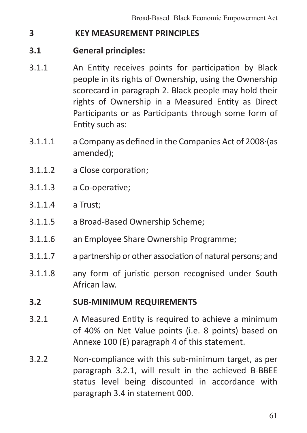### **3 KEY MEASUREMENT PRINCIPLES**

### **3.1 General principles:**

- 3.1.1 An Entity receives points for participation by Black people in its rights of Ownership, using the Ownership scorecard in paragraph 2. Black people may hold their rights of Ownership in a Measured Entity as Direct Participants or as Participants through some form of Entity such as:
- 3.1.1.1 a Company as defined in the Companies Act of 2008·(as amended);
- 3.1.1.2 a Close corporation;
- 3.1.1.3 a Co-operative;
- 3.1.1.4 a Trust;
- 3.1.1.5 a Broad-Based Ownership Scheme;
- 3.1.1.6 an Employee Share Ownership Programme;
- 3.1.1.7 a partnership or other association of natural persons; and
- 3.1.1.8 any form of juristic person recognised under South African law.

#### **3.2 SUB-MINIMUM REQUIREMENTS**

- 3.2.1 A Measured Entity is required to achieve a minimum of 40% on Net Value points (i.e. 8 points) based on Annexe 100 (E) paragraph 4 of this statement.
- 3.2.2 Non-compliance with this sub-minimum target, as per paragraph 3.2.1, will result in the achieved B-BBEE status level being discounted in accordance with paragraph 3.4 in statement 000.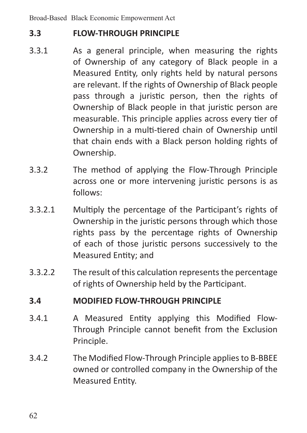## **3.3 FLOW-THROUGH PRINCIPLE**

- 3.3.1 As a general principle, when measuring the rights of Ownership of any category of Black people in a Measured Entity, only rights held by natural persons are relevant. If the rights of Ownership of Black people pass through a juristic person, then the rights of Ownership of Black people in that juristic person are measurable. This principle applies across every tier of Ownership in a multi-tiered chain of Ownership until that chain ends with a Black person holding rights of Ownership.
- 3.3.2 The method of applying the Flow-Through Principle across one or more intervening juristic persons is as follows:
- 3.3.2.1 Multiply the percentage of the Participant's rights of Ownership in the juristic persons through which those rights pass by the percentage rights of Ownership of each of those juristic persons successively to the Measured Entity; and
- 3.3.2.2 The result of this calculation represents the percentage of rights of Ownership held by the Participant.

## **3.4 MODIFIED FLOW-THROUGH PRINCIPLE**

- 3.4.1 A Measured Entity applying this Modified Flow-Through Principle cannot benefit from the Exclusion Principle.
- 3.4.2 The Modified Flow-Through Principle appliesto B-BBEE owned or controlled company in the Ownership of the Measured Entity.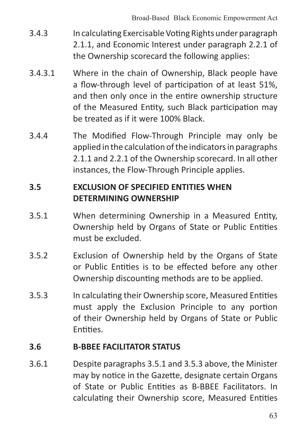- 3.4.3 In calculating Exercisable Voting Rights under paragraph 2.1.1, and Economic Interest under paragraph 2.2.1 of the Ownership scorecard the following applies:
- 3.4.3.1 Where in the chain of Ownership, Black people have a flow-through level of participation of at least 51%, and then only once in the entire ownership structure of the Measured Entity, such Black participation may be treated as if it were 100% Black.
- 3.4.4 The Modified Flow-Through Principle may only be applied in the calculation of the indicators in paragraphs 2.1.1 and 2.2.1 of the Ownership scorecard. In all other instances, the Flow-Through Principle applies.

## **3.5 EXCLUSION OF SPECIFIED ENTITIES WHEN DETERMINING OWNERSHIP**

- 3.5.1 When determining Ownership in a Measured Entity, Ownership held by Organs of State or Public Entities must be excluded.
- 3.5.2 Exclusion of Ownership held by the Organs of State or Public Entities is to be effected before any other Ownership discounting methods are to be applied.
- 3.5.3 In calculating their Ownership score, Measured Entities must apply the Exclusion Principle to any portion of their Ownership held by Organs of State or Public Entities.

### **3.6 B-BBEE FACILITATOR STATUS**

3.6.1 Despite paragraphs 3.5.1 and 3.5.3 above, the Minister may by notice in the Gazette, designate certain Organs of State or Public Entities as B-BBEE Facilitators. In calculating their Ownership score, Measured Entities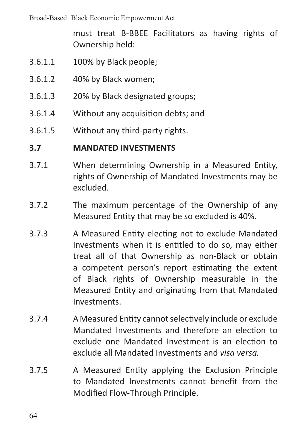Broad-Based Black Economic Empowerment Act

must treat B-BBEE Facilitators as having rights of Ownership held:

- 3.6.1.1 100% by Black people;
- 3.6.1.2 40% by Black women;
- 3.6.1.3 20% by Black designated groups;
- 3.6.1.4 Without any acquisition debts; and
- 3.6.1.5 Without any third-party rights.

#### **3.7 MANDATED INVESTMENTS**

- 3.7.1 When determining Ownership in a Measured Entity, rights of Ownership of Mandated Investments may be excluded.
- 3.7.2 The maximum percentage of the Ownership of any Measured Entity that may be so excluded is 40%.
- 3.7.3 A Measured Entity electing not to exclude Mandated Investments when it is entitled to do so, may either treat all of that Ownership as non-Black or obtain a competent person's report estimating the extent of Black rights of Ownership measurable in the Measured Entity and originating from that Mandated Investments.
- 3.7.4 A Measured Entity cannotselectively include or exclude Mandated Investments and therefore an election to exclude one Mandated Investment is an election to exclude all Mandated Investments and *visa versa.*
- 3.7.5 A Measured Entity applying the Exclusion Principle to Mandated Investments cannot benefit from the Modified Flow-Through Principle.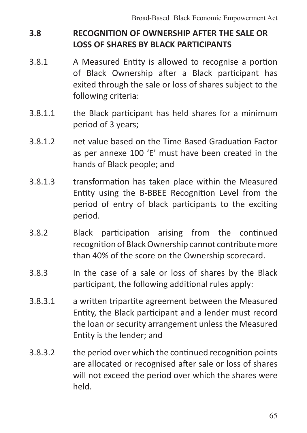# **3.8 RECOGNITION OF OWNERSHIP AFTER THE SALE OR LOSS OF SHARES BY BLACK PARTICIPANTS**

- 3.8.1 A Measured Entity is allowed to recognise a portion of Black Ownership after a Black participant has exited through the sale or loss of shares subject to the following criteria:
- 3.8.1.1 the Black participant has held shares for a minimum period of 3 years;
- 3.8.1.2 net value based on the Time Based Graduation Factor as per annexe 100 'E' must have been created in the hands of Black people; and
- 3.8.1.3 transformation has taken place within the Measured Entity using the B-BBEE Recognition Level from the period of entry of black participants to the exciting period.
- 3.8.2 Black participation arising from the continued recognition of Black Ownership cannot contribute more than 40% of the score on the Ownership scorecard.
- 3.8.3 In the case of a sale or loss of shares by the Black participant, the following additional rules apply:
- 3.8.3.1 a written tripartite agreement between the Measured Entity, the Black participant and a lender must record the loan or security arrangement unless the Measured Entity is the lender; and
- 3.8.3.2 the period over which the continued recognition points are allocated or recognised after sale or loss of shares will not exceed the period over which the shares were held.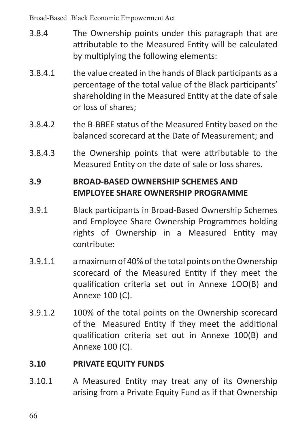Broad-Based Black Economic Empowerment Act

- 3.8.4 The Ownership points under this paragraph that are attributable to the Measured Entity will be calculated by multiplying the following elements:
- 3.8.4.1 the value created in the hands of Black participants as a percentage of the total value of the Black participants' shareholding in the Measured Entity at the date of sale or loss of shares;
- 3.8.4.2 the B-BBEE status of the Measured Entity based on the balanced scorecard at the Date of Measurement; and
- 3.8.4.3 the Ownership points that were attributable to the Measured Entity on the date of sale or loss shares.

## **3.9 BROAD-BASED OWNERSHIP SCHEMES AND EMPLOYEE SHARE OWNERSHIP PROGRAMME**

- 3.9.1 Black participants in Broad-Based Ownership Schemes and Employee Share Ownership Programmes holding rights of Ownership in a Measured Entity may contribute:
- 3.9.1.1 amaximumof 40% ofthe total points on theOwnership scorecard of the Measured Entity if they meet the qualification criteria set out in Annexe 1OO(B) and Annexe 100 (C).
- 3.9.1.2 100% of the total points on the Ownership scorecard of the Measured Entity if they meet the additional qualification criteria set out in Annexe 100(B) and Annexe 100 (C).

### **3.10 PRIVATE EQUITY FUNDS**

3.10.1 A Measured Entity may treat any of its Ownership arising from a Private Equity Fund as if that Ownership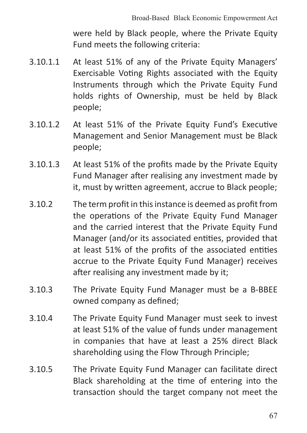were held by Black people, where the Private Equity Fund meets the following criteria:

- 3.10.1.1 At least 51% of any of the Private Equity Managers' Exercisable Voting Rights associated with the Equity Instruments through which the Private Equity Fund holds rights of Ownership, must be held by Black people;
- 3.10.1.2 At least 51% of the Private Equity Fund's Executive Management and Senior Management must be Black people;
- 3.10.1.3 At least 51% of the profits made by the Private Equity Fund Manager after realising any investment made by it, must by written agreement, accrue to Black people;
- 3.10.2 The term profit in this instance is deemed as profit from the operations of the Private Equity Fund Manager and the carried interest that the Private Equity Fund Manager (and/or its associated entities, provided that at least 51% of the profits of the associated entities accrue to the Private Equity Fund Manager) receives after realising any investment made by it;
- 3.10.3 The Private Equity Fund Manager must be a B-BBEE owned company as defined;
- 3.10.4 The Private Equity Fund Manager must seek to invest at least 51% of the value of funds under management in companies that have at least a 25% direct Black shareholding using the Flow Through Principle;
- 3.10.5 The Private Equity Fund Manager can facilitate direct Black shareholding at the time of entering into the transaction should the target company not meet the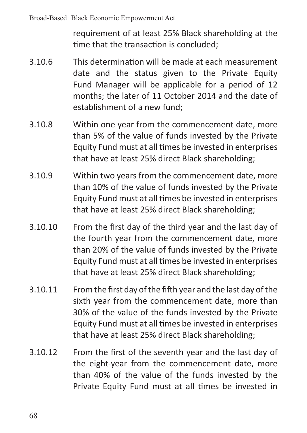requirement of at least 25% Black shareholding at the time that the transaction is concluded;

- 3.10.6 This determination will be made at each measurement date and the status given to the Private Equity Fund Manager will be applicable for a period of 12 months; the later of 11 October 2014 and the date of establishment of a new fund;
- 3.10.8 Within one year from the commencement date, more than 5% of the value of funds invested by the Private Equity Fund must at all times be invested in enterprises that have at least 25% direct Black shareholding;
- 3.10.9 Within two years from the commencement date, more than 10% of the value of funds invested by the Private Equity Fund must at all times be invested in enterprises that have at least 25% direct Black shareholding;
- 3.10.10 From the first day of the third year and the last day of the fourth year from the commencement date, more than 20% of the value of funds invested by the Private Equity Fund must at all times be invested in enterprises that have at least 25% direct Black shareholding;
- 3.10.11 From the first day of the fifth year and the last day of the sixth year from the commencement date, more than 30% of the value of the funds invested by the Private Equity Fund must at all times be invested in enterprises that have at least 25% direct Black shareholding;
- 3.10.12 From the first of the seventh year and the last day of the eight-year from the commencement date, more than 40% of the value of the funds invested by the Private Equity Fund must at all times be invested in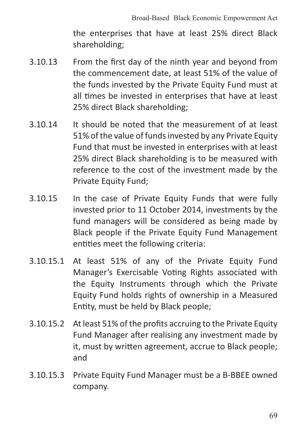the enterprises that have at least 25% direct Black shareholding;

- 3.10.13 From the first day of the ninth year and beyond from the commencement date, at least 51% of the value of the funds invested by the Private Equity Fund must at all times be invested in enterprises that have at least 25% direct Black shareholding;
- 3.10.14 It should be noted that the measurement of at least 51% of the value of fundsinvested by any Private Equity Fund that must be invested in enterprises with at least 25% direct Black shareholding is to be measured with reference to the cost of the investment made by the Private Equity Fund;
- 3.10.15 In the case of Private Equity Funds that were fully invested prior to 11 October 2014, investments by the fund managers will be considered as being made by Black people if the Private Equity Fund Management entities meet the following criteria:
- 3.10.15.1 At least 51% of any of the Private Equity Fund Manager's Exercisable Voting Rights associated with the Equity Instruments through which the Private Equity Fund holds rights of ownership in a Measured Entity, must be held by Black people;
- 3.10.15.2 Atleast 51% of the profits accruing to the Private Equity Fund Manager after realising any investment made by it, must by written agreement, accrue to Black people; and
- 3.10.15.3 Private Equity Fund Manager must be a B-BBEE owned company.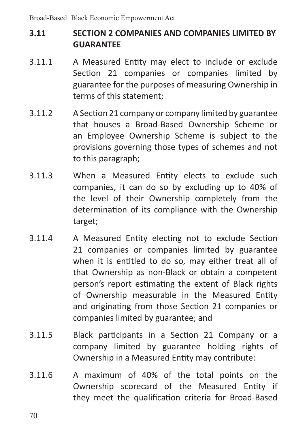# **3.11 SECTION 2 COMPANIES AND COMPANIES LIMITED BY GUARANTEE**

- 3.11.1 A Measured Entity may elect to include or exclude Section 21 companies or companies limited by guarantee for the purposes of measuring Ownership in terms of this statement;
- 3.11.2 A Section 21 company or company limited by guarantee that houses a Broad-Based Ownership Scheme or an Employee Ownership Scheme is subject to the provisions governing those types of schemes and not to this paragraph;
- 3.11.3 When a Measured Entity elects to exclude such companies, it can do so by excluding up to 40% of the level of their Ownership completely from the determination of its compliance with the Ownership target;
- 3.11.4 A Measured Entity electing not to exclude Section 21 companies or companies limited by guarantee when it is entitled to do so, may either treat all of that Ownership as non-Black or obtain a competent person's report estimating the extent of Black rights of Ownership measurable in the Measured Entity and originating from those Section 21 companies or companies limited by guarantee; and
- 3.11.5 Black participants in a Section 21 Company or a company limited by guarantee holding rights of Ownership in a Measured Entity may contribute:
- 3.11.6 A maximum of 40% of the total points on the Ownership scorecard of the Measured Entity if they meet the qualification criteria for Broad-Based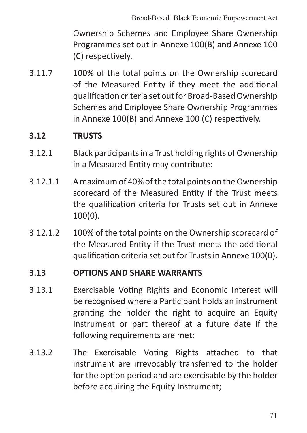Ownership Schemes and Employee Share Ownership Programmes set out in Annexe 100(B) and Annexe 100 (C) respectively.

3.11.7 100% of the total points on the Ownership scorecard of the Measured Entity if they meet the additional qualification criteria set outfor Broad-BasedOwnership Schemes and Employee Share Ownership Programmes in Annexe 100(B) and Annexe 100 (C) respectively.

### **3.12 TRUSTS**

- 3.12.1 Black participants in a Trust holding rights of Ownership in a Measured Entity may contribute:
- 3.12.1.1 Amaximumof 40% ofthe total points on theOwnership scorecard of the Measured Entity if the Trust meets the qualification criteria for Trusts set out in Annexe 100(0).
- 3.12.1.2 100% of the total points on the Ownership scorecard of the Measured Entity if the Trust meets the additional qualification criteria set out for Trusts in Annexe 100(0).

#### **3.13 OPTIONS AND SHARE WARRANTS**

- 3.13.1 Exercisable Voting Rights and Economic Interest will be recognised where a Participant holds an instrument granting the holder the right to acquire an Equity Instrument or part thereof at a future date if the following requirements are met:
- 3.13.2 The Exercisable Voting Rights attached to that instrument are irrevocably transferred to the holder for the option period and are exercisable by the holder before acquiring the Equity Instrument: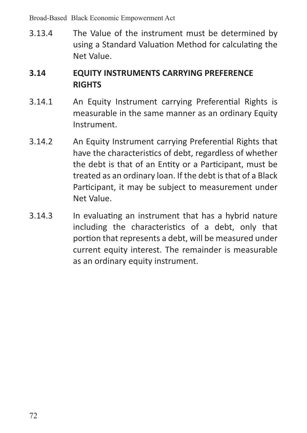Broad-Based Black Economic Empowerment Act

3.13.4 The Value of the instrument must be determined by using a Standard Valuation Method for calculating the Net Value.

# **3.14 EQUITY INSTRUMENTS CARRYING PREFERENCE RIGHTS**

- 3.14.1 An Equity Instrument carrying Preferential Rights is measurable in the same manner as an ordinary Equity Instrument.
- 3.14.2 An Equity Instrument carrying Preferential Rights that have the characteristics of debt, regardless of whether the debt is that of an Entity or a Participant, must be treated as an ordinary loan. If the debt is that of a Black Participant, it may be subject to measurement under Net Value.
- 3.14.3 In evaluating an instrument that has a hybrid nature including the characteristics of a debt, only that portion that represents a debt, will be measured under current equity interest. The remainder is measurable as an ordinary equity instrument.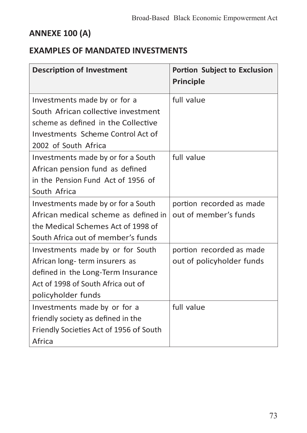# **ANNEXE 100 (A)**

# **EXAMPLES OF MANDATED INVESTMENTS**

| <b>Description of Investment</b>        | <b>Portion Subject to Exclusion</b><br><b>Principle</b> |
|-----------------------------------------|---------------------------------------------------------|
| Investments made by or for a            | full value                                              |
| South African collective investment     |                                                         |
| scheme as defined in the Collective     |                                                         |
| Investments Scheme Control Act of       |                                                         |
| 2002 of South Africa                    |                                                         |
| Investments made by or for a South      | full value                                              |
| African pension fund as defined         |                                                         |
| in the Pension Fund Act of 1956 of      |                                                         |
| South Africa                            |                                                         |
| Investments made by or for a South      | portion recorded as made                                |
| African medical scheme as defined in    | out of member's funds                                   |
| the Medical Schemes Act of 1998 of      |                                                         |
| South Africa out of member's funds      |                                                         |
| Investments made by or for South        | portion recorded as made                                |
| African long-term insurers as           | out of policyholder funds                               |
| defined in the Long-Term Insurance      |                                                         |
| Act of 1998 of South Africa out of      |                                                         |
| policyholder funds                      |                                                         |
| Investments made by or for a            | full value                                              |
| friendly society as defined in the      |                                                         |
| Friendly Societies Act of 1956 of South |                                                         |
| Africa                                  |                                                         |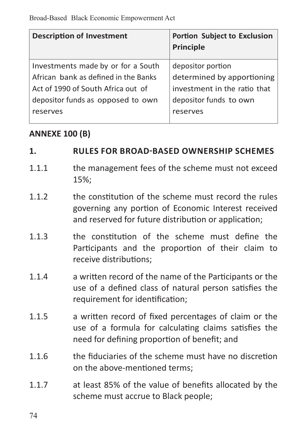| <b>Description of Investment</b>     | Portion Subject to Exclusion<br>Principle |
|--------------------------------------|-------------------------------------------|
| Investments made by or for a South   | depositor portion                         |
| African bank as defined in the Banks | determined by apportioning                |
| Act of 1990 of South Africa out of   | investment in the ratio that              |
| depositor funds as opposed to own    | depositor funds to own                    |
| reserves                             | reserves                                  |

### **ANNEXE 100 (B)**

#### **1. RULES FOR BROAD-BASED OWNERSHIP SCHEMES**

- 1.1.1 **the management fees of the scheme must not exceed** 15%;
- 1.1.2 **the constitution of the scheme must record the rules** governing any portion of Economic Interest received and reserved for future distribution or application;
- 1.1.3 the constitution of the scheme must define the Participants and the proportion of their claim to receive distributions;
- 1.1.4 a written record of the name of the Participants or the use of a defined class of natural person satisfies the requirement for identification;
- 1.1.5 a written record of fixed percentages of claim or the use of a formula for calculating claims satisfies the need for defining proportion of benefit; and
- 1.1.6 the fiduciaries of the scheme must have no discretion on the above-mentioned terms;
- 1.1.7 at least 85% of the value of benefits allocated by the scheme must accrue to Black people;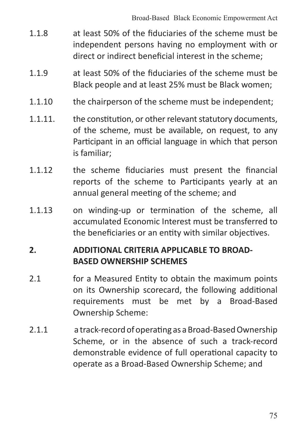- 1.1.8 at least 50% of the fiduciaries of the scheme must be independent persons having no employment with or direct or indirect beneficial interest in the scheme;
- 1.1.9 at least 50% of the fiduciaries of the scheme must be Black people and at least 25% must be Black women;
- 1.1.10 the chairperson of the scheme must be independent:
- 1.1.11. the constitution, or other relevant statutory documents, of the scheme, must be available, on request, to any Participant in an official language in which that person is familiar;
- 1.1.12 the scheme fiduciaries must present the financial reports of the scheme to Participants yearly at an annual general meeting of the scheme; and
- 1.1.13 on winding-up or termination of the scheme, all accumulated Economic Interest must be transferred to the beneficiaries or an entity with similar objectives.

### **2. ADDITIONAL CRITERIA APPLICABLE TO BROAD-BASED OWNERSHIP SCHEMES**

- 2.1 **For a Measured Entity to obtain the maximum points** on its Ownership scorecard, the following additional requirements must be met by a Broad-Based Ownership Scheme:
- 2.1.1 a track-record of operating as a Broad-Based Ownership Scheme, or in the absence of such a track-record demonstrable evidence of full operational capacity to operate as a Broad-Based Ownership Scheme; and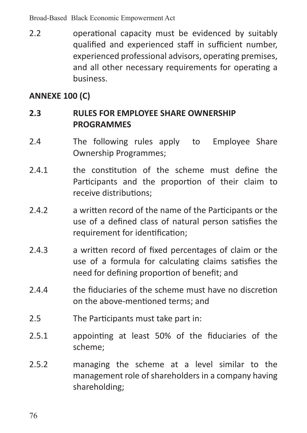Broad-Based Black Economic Empowerment Act

2.2 **operational capacity must be evidenced by suitably** qualified and experienced staff in sufficient number, experienced professional advisors, operating premises, and all other necessary requirements for operating a business.

## **ANNEXE 100 (C)**

### **2.3 RULES FOR EMPLOYEE SHARE OWNERSHIP PROGRAMMES**

- 2.4 The following rules apply to Employee Share Ownership Programmes;
- 2.4.1 **the constitution of the scheme must define the** Participants and the proportion of their claim to receive distributions;
- 2.4.2 a written record of the name of the Participants or the use of a defined class of natural person satisfies the requirement for identification;
- 2.4.3 a written record of fixed percentages of claim or the use of a formula for calculating claims satisfies the need for defining proportion of benefit; and
- 2.4.4 the fiduciaries of the scheme must have no discretion on the above-mentioned terms; and
- 2.5 The Participants must take part in:
- 2.5.1 appointing at least 50% of the fiduciaries of the scheme;
- 2.5.2 managing the scheme at a level similar to the management role of shareholders in a company having shareholding;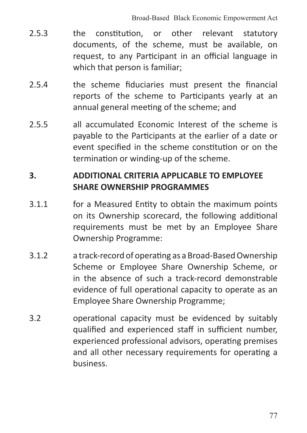- 2.5.3 **the constitution, or other relevant statutory** documents, of the scheme, must be available, on request, to any Participant in an official language in which that person is familiar;
- 2.5.4 the scheme fiduciaries must present the financial reports of the scheme to Participants yearly at an annual general meeting of the scheme; and
- 2.5.5 all accumulated Economic Interest of the scheme is payable to the Participants at the earlier of a date or event specified in the scheme constitution or on the termination or winding-up of the scheme.

### **3. ADDITIONAL CRITERIA APPLICABLE TO EMPLOYEE SHARE OWNERSHIP PROGRAMMES**

- 3.1.1 for a Measured Entity to obtain the maximum points on its Ownership scorecard, the following additional requirements must be met by an Employee Share Ownership Programme:
- 3.1.2 a track-record of operating as a Broad-BasedOwnership Scheme or Employee Share Ownership Scheme, or in the absence of such a track-record demonstrable evidence of full operational capacity to operate as an Employee Share Ownership Programme;
- 3.2 operational capacity must be evidenced by suitably qualified and experienced staff in sufficient number, experienced professional advisors, operating premises and all other necessary requirements for operating a business.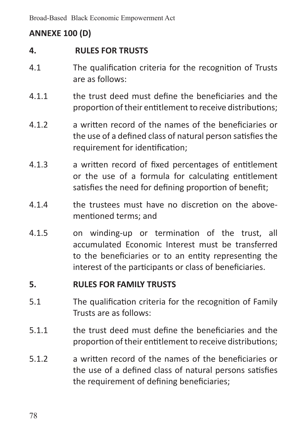# **ANNEXE 100 (D)**

### **4. RULES FOR TRUSTS**

- 4.1 The qualification criteria for the recognition of Trusts are as follows:
- 4.1.1 the trust deed must define the beneficiaries and the proportion of their entitlement to receive distributions:
- 4.1.2 a written record of the names of the beneficiaries or the use of a defined class of natural person satisfies the requirement for identification;
- 4.1.3 a written record of fixed percentages of entitlement or the use of a formula for calculating entitlement satisfies the need for defining proportion of benefit;
- 4.1.4 the trustees must have no discretion on the abovementioned terms; and
- 4.1.5 on winding-up or termination of the trust, all accumulated Economic Interest must be transferred to the beneficiaries or to an entity representing the interest of the participants or class of beneficiaries.

#### **5. RULES FOR FAMILY TRUSTS**

- 5.1 The qualification criteria for the recognition of Family Trusts are as follows:
- 5.1.1 the trust deed must define the beneficiaries and the proportion of their entitlement to receive distributions;
- 5.1.2 a written record of the names of the beneficiaries or the use of a defined class of natural persons satisfies the requirement of defining beneficiaries;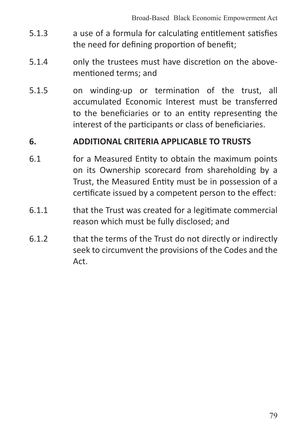- 5.1.3 a use of a formula for calculating entitlement satisfies the need for defining proportion of benefit;
- 5.1.4 only the trustees must have discretion on the abovementioned terms; and
- 5.1.5 on winding-up or termination of the trust, all accumulated Economic Interest must be transferred to the beneficiaries or to an entity representing the interest of the participants or class of beneficiaries.

#### **6. ADDITIONAL CRITERIA APPLICABLE TO TRUSTS**

- 6.1 for a Measured Entity to obtain the maximum points on its Ownership scorecard from shareholding by a Trust, the Measured Entity must be in possession of a certificate issued by a competent person to the effect:
- 6.1.1 that the Trust was created for a legitimate commercial reason which must be fully disclosed; and
- 6.1.2 that the terms of the Trust do not directly or indirectly seek to circumvent the provisions of the Codes and the Act.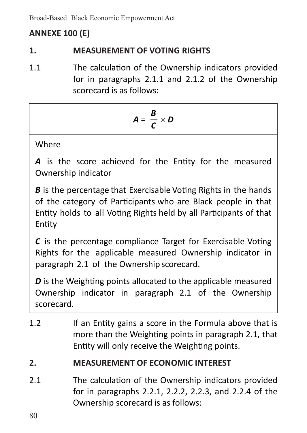Broad-Based Black Economic Empowerment Act

# **ANNEXE 100 (E)**

### **1. MEASUREMENT OF VOTING RIGHTS**

1.1 The calculation of the Ownership indicators provided for in paragraphs 2.1.1 and 2.1.2 of the Ownership scorecard is as follows:

$$
A = \frac{B}{C} \times D
$$

Where

A is the score achieved for the Entity for the measured Ownership indicator

*B* is the percentage that Exercisable Voting Rights in the hands of the category of Participants who are Black people in that Entity holds to all Voting Rights held by all Participants of that Entity

*C* is the percentage compliance Target for Exercisable Voting Rights for the applicable measured Ownership indicator in paragraph 2.1 of the Ownership scorecard.

*D* is the Weighting points allocated to the applicable measured Ownership indicator in paragraph 2.1 of the Ownership scorecard.

1.2 **If an Entity gains a score in the Formula above that is** more than the Weighting points in paragraph 2.1, that Entity will only receive the Weighting points.

## **2. MEASUREMENT OF ECONOMIC INTEREST**

2.1 The calculation of the Ownership indicators provided for in paragraphs 2.2.1, 2.2.2, 2.2.3, and 2.2.4 of the Ownership scorecard is as follows:

80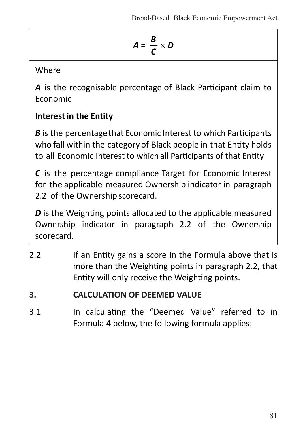$$
A = \frac{B}{C} \times D
$$

Where

*A* is the recognisable percentage of Black Participant claim to Economic

# **Interest in the Entity**

*B* is the percentage that Economic Interest to which Participants who fall within the category of Black people in that Entity holds to all Economic Interest to which all Participants of that Entity

*C* is the percentage compliance Target for Economic Interest for the applicable measured Ownership indicator in paragraph 2.2 of the Ownership scorecard.

*D* is the Weighting points allocated to the applicable measured Ownership indicator in paragraph 2.2 of the Ownership scorecard.

- 2.2 If an Entity gains a score in the Formula above that is more than the Weighting points in paragraph 2.2, that Entity will only receive the Weighting points.
- **3. CALCULATION OF DEEMED VALUE**
- 3.1 In calculating the "Deemed Value" referred to in Formula 4 below, the following formula applies: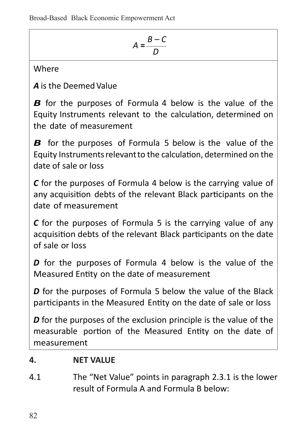$$
A = \frac{B - C}{D}
$$

Where

*A* is the DeemedValue

*B* for the purposes of Formula 4 below is the value of the Equity Instruments relevant to the calculation, determined on the date of measurement

*B* for the purposes of Formula 5 below is the value of the Equity Instrumentsrelevantto the calculation, determined on the date of sale or loss

*C* for the purposes of Formula 4 below is the carrying value of any acquisition debts of the relevant Black participants on the date of measurement

*C* for the purposes of Formula 5 is the carrying value of any acquisition debts of the relevant Black participants on the date of sale or loss

*D* for the purposes of Formula 4 below is the value of the Measured Entity on the date of measurement

*D* for the purposes of Formula 5 below the value of the Black participants in the Measured Entity on the date of sale or loss

*D* for the purposes of the exclusion principle is the value of the measurable portion of the Measured Entity on the date of measurement

## **4. NET VALUE**

4.1 The "Net Value" points in paragraph 2.3.1 is the lower result of Formula A and Formula B below: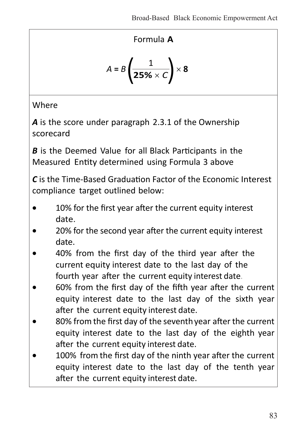### Formula **A**

$$
A = B\left(\frac{1}{25\% \times C}\right) \times 8
$$

**Where** 

A is the score under paragraph 2.3.1 of the Ownership scorecard

*B* is the Deemed Value for all Black Participants in the Measured Entity determined using Formula 3 above

*C* is the Time-Based Graduation Factor of the Economic Interest compliance target outlined below:

- 10% for the first year after the current equity interest date.
- 20% for the second year after the current equity interest date.
- 40% from the first day of the third year after the current equity interest date to the last day of the fourth year after the current equity interest date.
- 60% from the first day of the fifth year after the current equity interest date to the last day of the sixth year after the current equity interest date.
- 80% from the first day of the seventh year after the current equity interest date to the last day of the eighth year after the current equity interest date.
- 100% from the first day of the ninth year after the current equity interest date to the last day of the tenth year after the current equity interest date.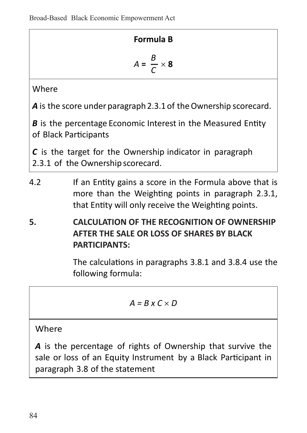#### **Formula B**

$$
A = \frac{B}{C} \times 8
$$

Where

*A* is the score under paragraph 2.3.1 of the Ownership scorecard.

*B* is the percentage Economic Interest in the Measured Entity of Black Participants

*C* is the target for the Ownership indicator in paragraph 2.3.1 of the Ownership scorecard.

- 4.2 If an Entity gains a score in the Formula above that is more than the Weighting points in paragraph 2.3.1, that Entity will only receive the Weighting points.
- **5. CALCULATION OF THE RECOGNITION OF OWNERSHIP AFTER THE SALE OR LOSS OF SHARES BY BLACK PARTICIPANTS:**

 The calculations in paragraphs 3.8.1 and 3.8.4 use the following formula:

$$
A=B\times C\times D
$$

**Where** 

*A* is the percentage of rights of Ownership that survive the sale or loss of an Equity Instrument by a Black Participant in paragraph 3.8 of the statement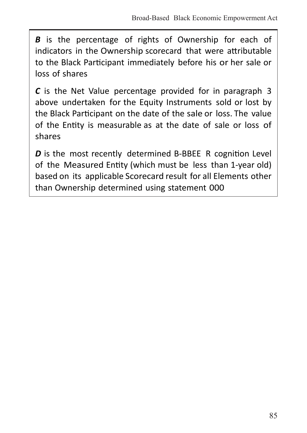*B* is the percentage of rights of Ownership for each of indicators in the Ownership scorecard that were attributable to the Black Participant immediately before his or her sale or loss of shares

*C* is the Net Value percentage provided for in paragraph 3 above undertaken for the Equity Instruments sold or lost by the Black Participant on the date of the sale or loss. The value of the Entity is measurable as at the date of sale or loss of shares

*D* is the most recently determined B-BBEE R cognition Level of the Measured Entity (which must be less than 1-year old) based on its applicable Scorecard result for all Elements other than Ownership determined using statement 000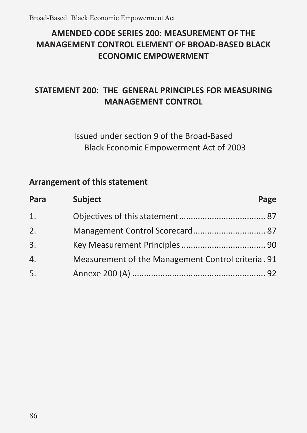## **AMENDED CODE SERIES 200: MEASUREMENT OF THE MANAGEMENT CONTROL ELEMENT OF BROAD-BASED BLACK ECONOMIC EMPOWERMENT**

### **STATEMENT 200: THE GENERAL PRINCIPLES FOR MEASURING MANAGEMENT CONTROL**

Issued under section 9 of the Broad-Based Black Economic Empowerment Act of 2003

#### **Arrangement of this statement**

| Para             | <b>Subject</b>                                     | Page |
|------------------|----------------------------------------------------|------|
| 1.               |                                                    |      |
| 2.               |                                                    |      |
| 3.               |                                                    |      |
| $\overline{4}$ . | Measurement of the Management Control criteria. 91 |      |
| 5.               |                                                    |      |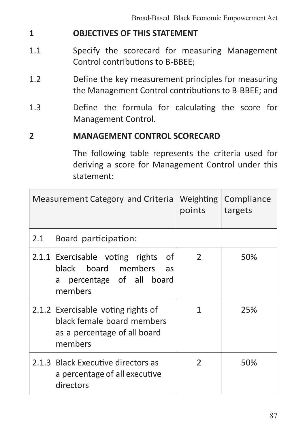### **1 OBJECTIVES OF THIS STATEMENT**

- 1.1 Specify the scorecard for measuring Management Control contributions to B-BBEE;
- 1.2 Define the key measurement principles for measuring the Management Control contributions to B-BBEE; and
- 1.3 Define the formula for calculating the score for Management Control.

#### **2 MANAGEMENT CONTROL SCORECARD**

 The following table represents the criteria used for deriving a score for Management Control under this statement:

|     | Measurement Category and Criteria                                                                             | Weighting<br>points | Compliance<br>targets |
|-----|---------------------------------------------------------------------------------------------------------------|---------------------|-----------------------|
| 2.1 | Board participation:                                                                                          |                     |                       |
|     | οf<br>2.1.1 Exercisable voting rights<br>black board members<br>as<br>percentage of all board<br>a<br>members | $\mathcal{P}$       | 50%                   |
|     | 2.1.2 Exercisable voting rights of<br>black female board members<br>as a percentage of all board<br>members   | 1                   | 25%                   |
|     | 2.1.3 Black Executive directors as<br>a percentage of all executive<br>directors                              | $\mathcal{P}$       | 50%                   |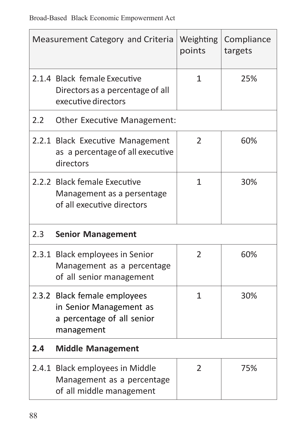|     | Measurement Category and Criteria                                                                   | Weighting<br>points | Compliance<br>targets |
|-----|-----------------------------------------------------------------------------------------------------|---------------------|-----------------------|
|     | 2.1.4 Black female Executive<br>Directors as a percentage of all<br>executive directors             | 25%                 |                       |
| 2.2 | Other Executive Management:                                                                         |                     |                       |
|     | 2.2.1 Black Executive Management<br>as a percentage of all executive<br>directors                   | $\overline{2}$      | 60%                   |
|     | 2.2.2 Black female Executive<br>Management as a persentage<br>of all executive directors            | $\mathbf{1}$        | 30%                   |
| 2.3 | <b>Senior Management</b>                                                                            |                     |                       |
|     | 2.3.1 Black employees in Senior<br>Management as a percentage<br>of all senior management           | 2                   | 60%                   |
|     | 2.3.2 Black female employees<br>in Senior Management as<br>a percentage of all senior<br>management | $\mathbf{1}$        | 30%                   |
| 2.4 | <b>Middle Management</b>                                                                            |                     |                       |
|     | 2.4.1 Black employees in Middle<br>Management as a percentage<br>of all middle management           | $\overline{2}$      | 75%                   |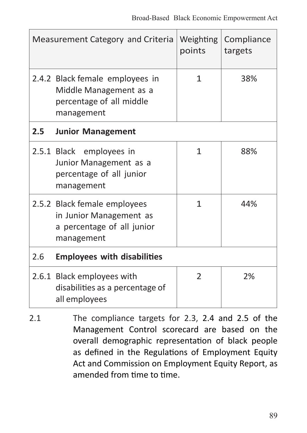|     | Measurement Category and Criteria                                                                   | Weighting<br>points | Compliance<br>targets |
|-----|-----------------------------------------------------------------------------------------------------|---------------------|-----------------------|
|     | 2.4.2 Black female employees in<br>Middle Management as a<br>percentage of all middle<br>management | 1                   | 38%                   |
| 2.5 | <b>Junior Management</b>                                                                            |                     |                       |
|     | 2.5.1 Black employees in<br>Junior Management as a<br>percentage of all junior<br>management        | 1                   | 88%                   |
|     | 2.5.2 Black female employees<br>in Junior Management as<br>a percentage of all junior<br>management | 1                   | 44%                   |
| 2.6 | <b>Employees with disabilities</b>                                                                  |                     |                       |
|     | 2.6.1 Black employees with<br>disabilities as a percentage of<br>all employees                      | $\mathcal{P}$       | 2%                    |

2.1 The compliance targets for 2.3, 2.4 and 2.5 of the Management Control scorecard are based on the overall demographic representation of black people as defined in the Regulations of Employment Equity Act and Commission on Employment Equity Report, as amended from time to time.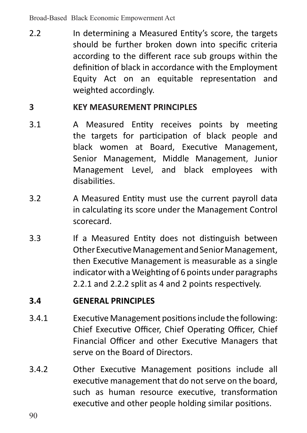2.2 In determining a Measured Entity's score, the targets should be further broken down into specific criteria according to the different race sub groups within the definition of black in accordance with the Employment Equity Act on an equitable representation and weighted accordingly.

#### **3 KEY MEASUREMENT PRINCIPLES**

- 3.1 A Measured Entity receives points by meeting the targets for participation of black people and black women at Board, Executive Management, Senior Management, Middle Management, Junior Management Level, and black employees with disabilities.
- 3.2 A Measured Entity must use the current payroll data in calculating its score under the Management Control scorecard.
- 3.3 If a Measured Entity does not distinguish between Other Executive Management and Senior Management. then Executive Management is measurable as a single indicator with a Weighting of 6 points under paragraphs 2.2.1 and 2.2.2 split as 4 and 2 points respectively.

#### **3.4 GENERAL PRINCIPLES**

- 3.4.1 Executive Management positionsinclude the following: Chief Executive Officer, Chief Operating Officer, Chief Financial Officer and other Executive Managers that serve on the Board of Directors.
- 3.4.2 Other Executive Management positions include all executive management that do not serve on the board, such as human resource executive, transformation executive and other people holding similar positions.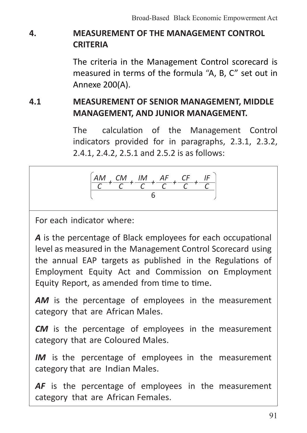# **4. MEASUREMENT OF THE MANAGEMENT CONTROL CRITERIA**

The criteria in the Management Control scorecard is measured in terms of the formula "A, B, C" set out in Annexe 200(A).

**4.1 MEASUREMENT OF SENIOR MANAGEMENT, MIDDLE MANAGEMENT, AND JUNIOR MANAGEMENT.**

> The calculation of the Management Control indicators provided for in paragraphs, 2.3.1, 2.3.2, 2.4.1, 2.4.2, 2.5.1 and 2.5.2 is as follows:



For each indicator where:

A is the percentage of Black employees for each occupational level as measured in the Management Control Scorecard using the annual EAP targets as published in the Regulations of Employment Equity Act and Commission on Employment Equity Report, as amended from time to time.

AM is the percentage of employees in the measurement category that are African Males.

**CM** is the percentage of employees in the measurement category that are Coloured Males.

**IM** is the percentage of employees in the measurement category that are Indian Males.

AF is the percentage of employees in the measurement category that are African Females.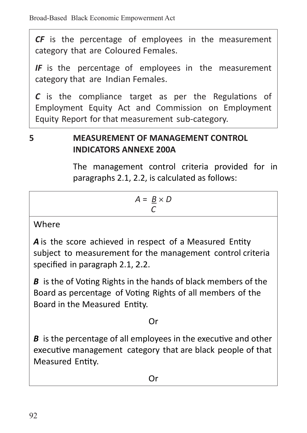*CF* is the percentage of employees in the measurement category that are Coloured Females.

*IF* is the percentage of employees in the measurement category that are Indian Females.

*C* is the compliance target as per the Regulations of Employment Equity Act and Commission on Employment Equity Report for that measurement sub-category.

# **5 MEASUREMENT OF MANAGEMENT CONTROL INDICATORS ANNEXE 200A**

The management control criteria provided for in paragraphs 2.1, 2.2, is calculated as follows:

$$
A = \frac{B}{C} \times D
$$

**Where** 

A is the score achieved in respect of a Measured Entity subject to measurement for the management control criteria specified in paragraph 2.1, 2.2.

*B* is the of Voting Rights in the hands of black members of the Board as percentage of Voting Rights of all members of the Board in the Measured Entity.

### Or

*B* is the percentage of all employees in the executive and other executive management category that are black people of that Measured Entity.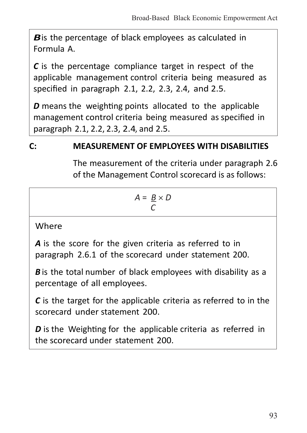*B* is the percentage of black employees as calculated in Formula A.

*C* is the percentage compliance target in respect of the applicable management control criteria being measured as specified in paragraph 2.1, 2.2, 2.3, 2.4, and 2.5.

*D* means the weighting points allocated to the applicable management control criteria being measured as specified in paragraph 2.1, 2.2, 2.3, 2.4, and 2.5.

### **C: MEASUREMENT OF EMPLOYEES WITH DISABILITIES**

 The measurement of the criteria under paragraph 2.6 of the Management Control scorecard is as follows:

$$
A = \frac{B}{C} \times D
$$

**Where** 

A is the score for the given criteria as referred to in paragraph 2.6.1 of the scorecard under statement 200.

*B* is the total number of black employees with disability as a percentage of all employees.

*C* is the target for the applicable criteria as referred to in the scorecard under statement 200.

*D* is the Weighting for the applicable criteria as referred in the scorecard under statement 200.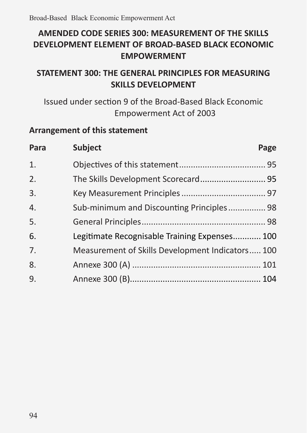## **AMENDED CODE SERIES 300: MEASUREMENT OF THE SKILLS DEVELOPMENT ELEMENT OF BROAD-BASED BLACK ECONOMIC EMPOWERMENT**

### **STATEMENT 300: THE GENERAL PRINCIPLES FOR MEASURING SKILLS DEVELOPMENT**

### Issued under section 9 of the Broad-Based Black Economic Empowerment Act of 2003

#### **Arrangement of this statement**

| Para             | <b>Subject</b>                                   | Page |
|------------------|--------------------------------------------------|------|
| $\mathbf{1}$ .   |                                                  |      |
| 2.               |                                                  |      |
| 3.               |                                                  |      |
| $\overline{4}$ . | Sub-minimum and Discounting Principles 98        |      |
| 5.               |                                                  |      |
| 6.               | Legitimate Recognisable Training Expenses 100    |      |
| 7.               | Measurement of Skills Development Indicators 100 |      |
| 8.               |                                                  |      |
| 9.               |                                                  |      |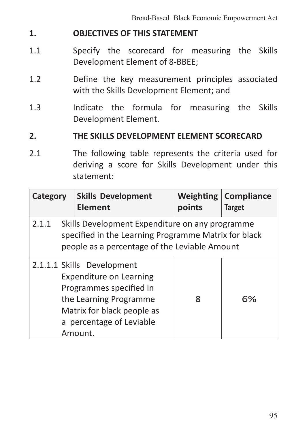#### **1. OBJECTIVES OF THIS STATEMENT**

- 1.1 Specify the scorecard for measuring the Skills Development Element of 8-BBEE;
- 1.2 Define the key measurement principles associated with the Skills Development Element; and
- 1.3 Indicate the formula for measuring the Skills Development Element.

#### **2. THE SKILLS DEVELOPMENT ELEMENT SCORECARD**

2.1 The following table represents the criteria used for deriving a score for Skills Development under this statement:

| Category                                                                                                                                                          |  | <b>Skills Development</b><br><b>Element</b>                                                                                                                                     | Weighting<br>points | Compliance<br><b>Target</b> |
|-------------------------------------------------------------------------------------------------------------------------------------------------------------------|--|---------------------------------------------------------------------------------------------------------------------------------------------------------------------------------|---------------------|-----------------------------|
| Skills Development Expenditure on any programme<br>2.1.1<br>specified in the Learning Programme Matrix for black<br>people as a percentage of the Leviable Amount |  |                                                                                                                                                                                 |                     |                             |
|                                                                                                                                                                   |  | 2.1.1.1 Skills Development<br>Expenditure on Learning<br>Programmes specified in<br>the Learning Programme<br>Matrix for black people as<br>a percentage of Leviable<br>Amount. | Ջ                   | 6%                          |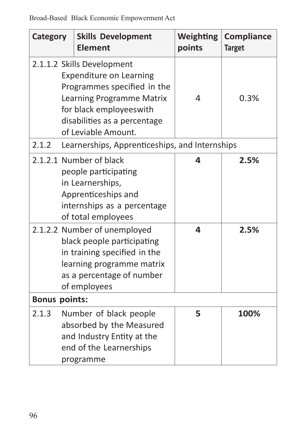| Category                                                                                                                                                             |  | <b>Skills Development</b><br>Element                                                                                                                                                                       | Weighting<br>points | Compliance<br><b>Target</b> |
|----------------------------------------------------------------------------------------------------------------------------------------------------------------------|--|------------------------------------------------------------------------------------------------------------------------------------------------------------------------------------------------------------|---------------------|-----------------------------|
|                                                                                                                                                                      |  | 2.1.1.2 Skills Development<br><b>Expenditure on Learning</b><br>Programmes specified in the<br>Learning Programme Matrix<br>for black employeeswith<br>disabilities as a percentage<br>of Leviable Amount. | 4                   | 0.3%                        |
| 2.1.2                                                                                                                                                                |  | Learnerships, Apprenticeships, and Internships                                                                                                                                                             |                     |                             |
|                                                                                                                                                                      |  | 2.1.2.1 Number of black<br>people participating<br>in Learnerships,<br>Apprenticeships and<br>internships as a percentage<br>of total employees                                                            | Δ                   | 2.5%                        |
| 2.1.2.2 Number of unemployed<br>black people participating<br>in training specified in the<br>learning programme matrix<br>as a percentage of number<br>of employees |  | 4                                                                                                                                                                                                          | 2.5%                |                             |
| <b>Bonus points:</b>                                                                                                                                                 |  |                                                                                                                                                                                                            |                     |                             |
| 2.1.3                                                                                                                                                                |  | Number of black people<br>absorbed by the Measured<br>and Industry Entity at the<br>end of the Learnerships<br>programme                                                                                   | 5                   | 100%                        |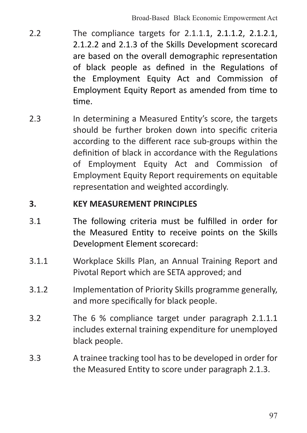- 2.2 The compliance targets for 2.1.1.1, 2.1.1.2, 2.1.2.1, 2.1.2.2 and 2.1.3 of the Skills Development scorecard are based on the overall demographic representation of black people as defined in the Regulations of the Employment Equity Act and Commission of Employment Equity Report as amended from time to time.
- 2.3 In determining a Measured Entity's score, the targets should be further broken down into specific criteria according to the different race sub-groups within the definition of black in accordance with the Regulations of Employment Equity Act and Commission of Employment Equity Report requirements on equitable representation and weighted accordingly.

#### **3. KEY MEASUREMENT PRINCIPLES**

- 3.1 The following criteria must be fulfilled in order for the Measured Entity to receive points on the Skills Development Element scorecard:
- 3.1.1 Workplace Skills Plan, an Annual Training Report and Pivotal Report which are SETA approved; and
- 3.1.2 Implementation of Priority Skills programme generally, and more specifically for black people.
- 3.2 The 6 % compliance target under paragraph 2.1.1.1 includes external training expenditure for unemployed black people.
- 3.3 A trainee tracking tool has to be developed in order for the Measured Entity to score under paragraph 2.1.3.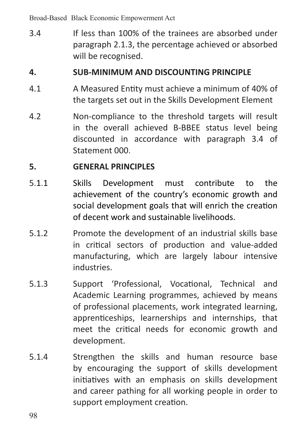Broad-Based Black Economic Empowerment Act

3.4 If less than 100% of the trainees are absorbed under paragraph 2.1.3, the percentage achieved or absorbed will be recognised.

#### **4. SUB-MINIMUM AND DISCOUNTING PRINCIPLE**

- 4.1 A Measured Entity must achieve a minimum of 40% of the targets set out in the Skills Development Element
- 4.2 Non-compliance to the threshold targets will result in the overall achieved B-BBEE status level being discounted in accordance with paragraph 3.4 of Statement 000.

#### **5. GENERAL PRINCIPLES**

- 5.1.1 Skills Development must contribute to the achievement of the country's economic growth and social development goals that will enrich the creation of decent work and sustainable livelihoods.
- 5.1.2 Promote the development of an industrial skills base in critical sectors of production and value-added manufacturing, which are largely labour intensive industries.
- 5.1.3 Support 'Professional, Vocational, Technical and Academic Learning programmes, achieved by means of professional placements, work integrated learning, apprenticeships, learnerships and internships, that meet the critical needs for economic growth and development.
- 5.1.4 Strengthen the skills and human resource base by encouraging the support of skills development initiatives with an emphasis on skills development and career pathing for all working people in order to support employment creation.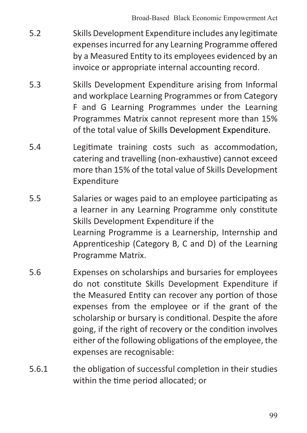- 5.2 Skills Development Expenditure includes any legitimate expensesincurred for any Learning Programme offered by a Measured Entity to its employees evidenced by an invoice or appropriate internal accounting record.
- 5.3 Skills Development Expenditure arising from Informal and workplace Learning Programmes or from Category F and G Learning Programmes under the Learning Programmes Matrix cannot represent more than 15% of the total value of Skills Development Expenditure.
- 5.4 Legitimate training costs such as accommodation, catering and travelling (non-exhaustive) cannot exceed more than 15% of the total value of Skills Development Expenditure
- 5.5 Salaries or wages paid to an employee participating as a learner in any Learning Programme only constitute Skills Development Expenditure if the Learning Programme is a Learnership, Internship and Apprenticeship (Category B, C and D) of the Learning Programme Matrix.
- 5.6 Expenses on scholarships and bursaries for employees do not constitute Skills Development Expenditure if the Measured Entity can recover any portion of those expenses from the employee or if the grant of the scholarship or bursary is conditional. Despite the afore going, if the right of recovery or the condition involves either of the following obligations of the employee, the expenses are recognisable:
- 5.6.1 the obligation of successful completion in their studies within the time period allocated; or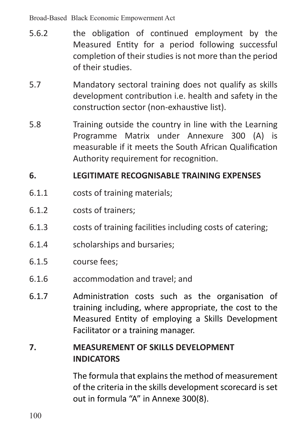Broad-Based Black Economic Empowerment Act

- 5.6.2 the obligation of continued employment by the Measured Entity for a period following successful completion of their studies is not more than the period of their studies.
- 5.7 Mandatory sectoral training does not qualify as skills development contribution i.e. health and safety in the construction sector (non-exhaustive list).
- 5.8 Training outside the country in line with the Learning Programme Matrix under Annexure 300 (A) is measurable if it meets the South African Qualification Authority requirement for recognition.

#### **6. LEGITIMATE RECOGNISABLE TRAINING EXPENSES**

- 6.1.1 costs of training materials;
- 6.1.2 costs of trainers;
- 6.1.3 costs of training facilities including costs of catering;
- 6.1.4 scholarships and bursaries;
- 6.1.5 course fees;
- 6.1.6 accommodation and travel; and
- 6.1.7 Administration costs such as the organisation of training including, where appropriate, the cost to the Measured Entity of employing a Skills Development Facilitator or a training manager.

### **7. MEASUREMENT OF SKILLS DEVELOPMENT INDICATORS**

The formula that explains the method of measurement of the criteria in the skills development scorecard is set out in formula "A" in Annexe 300(8).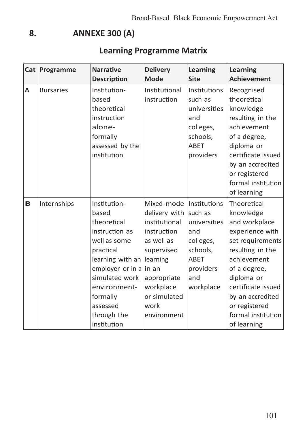### **8. ANNEXE 300 (A)**

# **Learning Programme Matrix**

|   | Cat Programme    | <b>Narrative</b><br><b>Description</b>                                                                                                                                                                                    | <b>Delivery</b><br>Mode                                                                                                                                                          | Learning<br>Site                                                                                      | Learning<br><b>Achievement</b>                                                                                                                                                                                                                    |
|---|------------------|---------------------------------------------------------------------------------------------------------------------------------------------------------------------------------------------------------------------------|----------------------------------------------------------------------------------------------------------------------------------------------------------------------------------|-------------------------------------------------------------------------------------------------------|---------------------------------------------------------------------------------------------------------------------------------------------------------------------------------------------------------------------------------------------------|
| A | <b>Bursaries</b> | Institution-<br>based<br>theoretical<br>instruction<br>alone-<br>formally<br>assessed by the<br>institution                                                                                                               | Institutional<br>instruction                                                                                                                                                     | Institutions<br>such as<br>universities<br>and<br>colleges,<br>schools,<br>ABET<br>providers          | Recognised<br>theoretical<br>knowledge<br>resulting in the<br>achievement<br>of a degree,<br>diploma or<br>certificate issued<br>by an accredited<br>or registered<br>formal institution<br>of learning                                           |
| B | Internships      | Institution-<br>based<br>theoretical<br>instruction as<br>well as some<br>practical<br>learning with an<br>employer or in a in an<br>simulated work<br>environment-<br>formally<br>assessed<br>through the<br>institution | Mixed-mode<br>delivery with   such as<br>institutional<br>instruction<br>as well as<br>supervised<br>learning<br>appropriate<br>workplace<br>or simulated<br>work<br>environment | Institutions<br>universities<br>and<br>colleges,<br>schools,<br>ABET<br>providers<br>and<br>workplace | Theoretical<br>knowledge<br>and workplace<br>experience with<br>set requirements<br>resulting in the<br>achievement<br>of a degree,<br>diploma or<br>certificate issued<br>by an accredited<br>or registered<br>formal institution<br>of learning |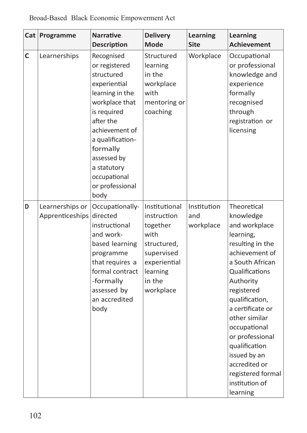| Cat | Programme                          | <b>Narrative</b><br><b>Description</b>                                                                                                                                                                                                                | <b>Delivery</b><br>Mode                                                                                                          | Learning<br><b>Site</b>         | Learning<br><b>Achievement</b>                                                                                                                                                                                                                                                                                                                              |
|-----|------------------------------------|-------------------------------------------------------------------------------------------------------------------------------------------------------------------------------------------------------------------------------------------------------|----------------------------------------------------------------------------------------------------------------------------------|---------------------------------|-------------------------------------------------------------------------------------------------------------------------------------------------------------------------------------------------------------------------------------------------------------------------------------------------------------------------------------------------------------|
| C   | Learnerships                       | Recognised<br>or registered<br>structured<br>experiential<br>learning in the<br>workplace that<br>is required<br>after the<br>achievement of<br>a qualification-<br>formally<br>assessed by<br>a statutory<br>occupational<br>or professional<br>body | Structured<br>learning<br>in the<br>workplace<br>with<br>mentoring or<br>coaching                                                | Workplace                       | Occupational<br>or professional<br>knowledge and<br>experience<br>formally<br>recognised<br>through<br>registration or<br>licensing                                                                                                                                                                                                                         |
| D   | Learnerships or<br>Apprenticeships | Occupationally-<br>directed<br>instructional<br>and work-<br>based learning<br>programme<br>that requires a<br>formal contract<br>-formally<br>assessed by<br>an accredited<br>body                                                                   | Institutional<br>instruction<br>together<br>with<br>structured,<br>supervised<br>experiential<br>learning<br>in the<br>workplace | Institution<br>and<br>workplace | Theoretical<br>knowledge<br>and workplace<br>learning,<br>resulting in the<br>achievement of<br>a South African<br>Qualifications<br>Authority<br>registered<br>qualification.<br>a certificate or<br>other similar<br>occupational<br>or professional<br>qualification<br>issued by an<br>accredited or<br>registered formal<br>institution of<br>learning |

Broad-Based Black Economic Empowerment Act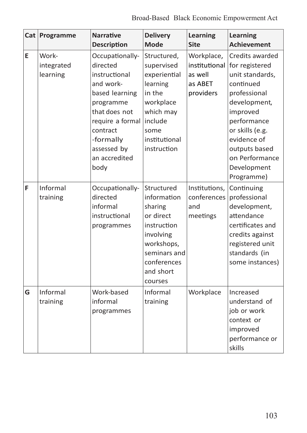|   | Cat Programme                   | <b>Narrative</b><br><b>Description</b>                                                                                                                                                         | <b>Delivery</b><br>Mode                                                                                                                            | Learning<br><b>Site</b>                         | Learning<br><b>Achievement</b>                                                                                                                                                                                                               |
|---|---------------------------------|------------------------------------------------------------------------------------------------------------------------------------------------------------------------------------------------|----------------------------------------------------------------------------------------------------------------------------------------------------|-------------------------------------------------|----------------------------------------------------------------------------------------------------------------------------------------------------------------------------------------------------------------------------------------------|
| E | Work-<br>integrated<br>learning | Occupationally-<br>directed<br>instructional<br>and work-<br>based learning<br>programme<br>that does not<br>require a formal<br>contract<br>-formally<br>assessed by<br>an accredited<br>body | Structured,<br>supervised<br>experiential<br>learning<br>in the<br>workplace<br>which may<br>include<br>some<br>institutional<br>instruction       | Workplace,<br>as well<br>as ABET<br>providers   | Credits awarded<br>institutional for registered<br>unit standards,<br>continued<br>professional<br>development,<br>improved<br>performance<br>or skills (e.g.<br>evidence of<br>outputs based<br>on Performance<br>Development<br>Programme) |
| F | Informal<br>training            | Occupationally-<br>directed<br>informal<br>instructional<br>programmes                                                                                                                         | Structured<br>information<br>sharing<br>or direct<br>instruction<br>involving<br>workshops,<br>seminars and<br>conferences<br>and short<br>courses | Institutions,<br>conferences<br>and<br>meetings | Continuing<br>professional<br>development,<br>attendance<br>certificates and<br>credits against<br>registered unit<br>standards (in<br>some instances)                                                                                       |
| G | Informal<br>training            | Work-based<br>informal<br>programmes                                                                                                                                                           | Informal<br>training                                                                                                                               | Workplace                                       | Increased<br>understand of<br>job or work<br>context or<br>improved<br>performance or<br>skills                                                                                                                                              |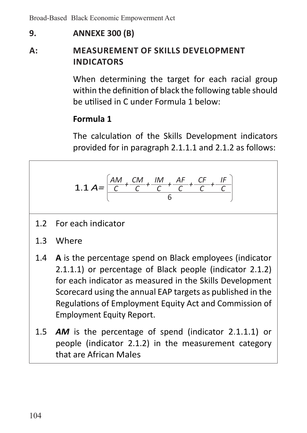Broad-Based Black Economic Empowerment Act

### **9. ANNEXE 300 (B)**

# **A: MEASUREMENT OF SKILLS DEVELOPMENT INDICATORS**

 When determining the target for each racial group within the definition of black the following table should be utilised in C under Formula 1 below:

## **Formula 1**

 The calculation of the Skills Development indicators provided for in paragraph 2.1.1.1 and 2.1.2 as follows:

1.1 
$$
A = \frac{\left(AM + \frac{CM}{C} + \frac{1M}{C} + \frac{AF}{C} + \frac{CF}{C} + \frac{IF}{C}\right)}{6}
$$

- 1.2 For each indicator
- 1.3 Where
- 1.4 **A** is the percentage spend on Black employees (indicator 2.1.1.1) or percentage of Black people (indicator 2.1.2) for each indicator as measured in the Skills Development Scorecard using the annual EAP targets as published in the Regulations of Employment Equity Act and Commission of Employment Equity Report.
- 1.5 AM is the percentage of spend (indicator 2.1.1.1) or people (indicator 2.1.2) in the measurement category that are African Males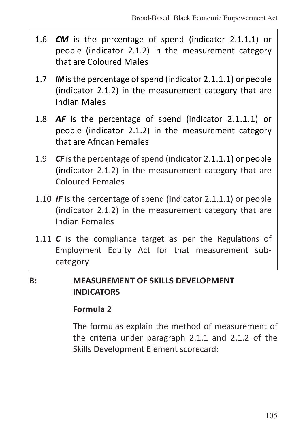- 1.6 *CM* is the percentage of spend (indicator 2.1.1.1) or people (indicator 2.1.2) in the measurement category that are Coloured Males
- 1.7 *IM* is the percentage of spend (indicator 2.1.1.1) or people (indicator 2.1.2) in the measurement category that are Indian Males
- 1.8 *AF* is the percentage of spend (indicator 2.1.1.1) or people (indicator 2.1.2) in the measurement category that are African Females
- 1.9 CF is the percentage of spend (indicator 2.1.1.1) or people (indicator 2.1.2) in the measurement category that are Coloured Females
- 1.10 *IF* is the percentage of spend (indicator 2.1.1.1) or people (indicator 2.1.2) in the measurement category that are Indian Females
- 1.11 C is the compliance target as per the Regulations of Employment Equity Act for that measurement subcategory

#### **B: MEASUREMENT OF SKILLS DEVELOPMENT INDICATORS**

#### **Formula 2**

 The formulas explain the method of measurement of the criteria under paragraph 2.1.1 and 2.1.2 of the Skills Development Element scorecard: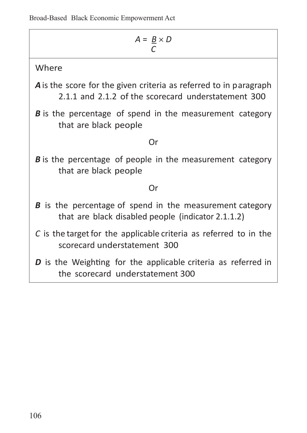| $A = \underline{B} \times D$                                                                                                    |  |  |  |  |
|---------------------------------------------------------------------------------------------------------------------------------|--|--|--|--|
| Where                                                                                                                           |  |  |  |  |
| <b>A</b> is the score for the given criteria as referred to in paragraph<br>2.1.1 and 2.1.2 of the scorecard understatement 300 |  |  |  |  |
| <b>B</b> is the percentage of spend in the measurement category<br>that are black people                                        |  |  |  |  |
| Ωr                                                                                                                              |  |  |  |  |
| <b>B</b> is the percentage of people in the measurement category<br>that are black people                                       |  |  |  |  |
| Ωr                                                                                                                              |  |  |  |  |
| <b>B</b> is the percentage of spend in the measurement category<br>that are black disabled people (indicator 2.1.1.2)           |  |  |  |  |
| C is the target for the applicable criteria as referred to in the<br>scorecard understatement 300                               |  |  |  |  |
| <b>D</b> is the Weighting for the applicable criteria as referred in<br>the scorecard understatement 300                        |  |  |  |  |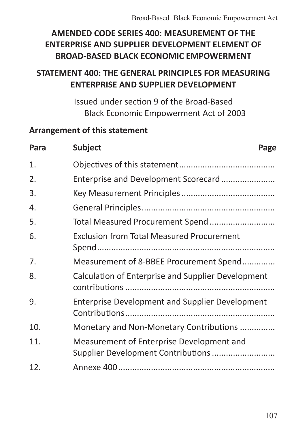# **AMENDED CODE SERIES 400: MEASUREMENT OF THE ENTERPRISE AND SUPPLIER DEVELOPMENT ELEMENT OF BROAD-BASED BLACK ECONOMIC EMPOWERMENT**

# **STATEMENT 400: THE GENERAL PRINCIPLES FOR MEASURING ENTERPRISE AND SUPPLIER DEVELOPMENT**

Issued under section 9 of the Broad-Based Black Economic Empowerment Act of 2003

#### **Arrangement of this statement**

| Para | <b>Subject</b>                                         | Page |
|------|--------------------------------------------------------|------|
| 1.   |                                                        |      |
| 2.   |                                                        |      |
| 3.   |                                                        |      |
| 4.   |                                                        |      |
| 5.   |                                                        |      |
| 6.   | <b>Exclusion from Total Measured Procurement</b>       |      |
| 7.   | Measurement of 8-BBEE Procurement Spend                |      |
| 8.   | Calculation of Enterprise and Supplier Development     |      |
| 9.   | <b>Enterprise Development and Supplier Development</b> |      |
| 10.  | Monetary and Non-Monetary Contributions                |      |
| 11.  | Measurement of Enterprise Development and              |      |
| 12.  |                                                        |      |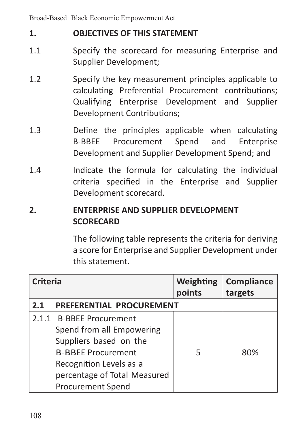### **1. OBJECTIVES OF THIS STATEMENT**

- 1.1 Specify the scorecard for measuring Enterprise and Supplier Development;
- 1.2 Specify the key measurement principles applicable to calculating Preferential Procurement contributions; Qualifying Enterprise Development and Supplier Development Contributions;
- 1.3 Define the principles applicable when calculating B-BBEE Procurement Spend and Enterprise Development and Supplier Development Spend; and
- 1.4 **Indicate the formula for calculating the individual** criteria specified in the Enterprise and Supplier Development scorecard.

### **2. ENTERPRISE AND SUPPLIER DEVELOPMENT SCORECARD**

The following table represents the criteria for deriving a score for Enterprise and Supplier Development under this statement.

| Criteria                        |                                                                                                                                                                                                     | Weighting<br>points | Compliance<br>targets |  |
|---------------------------------|-----------------------------------------------------------------------------------------------------------------------------------------------------------------------------------------------------|---------------------|-----------------------|--|
| PREFERENTIAL PROCUREMENT<br>2.1 |                                                                                                                                                                                                     |                     |                       |  |
|                                 | 2.1.1 B-BBEE Procurement<br>Spend from all Empowering<br>Suppliers based on the<br><b>B-BBFF Procurement</b><br>Recognition Levels as a<br>percentage of Total Measured<br><b>Procurement Spend</b> | 5                   | 80%                   |  |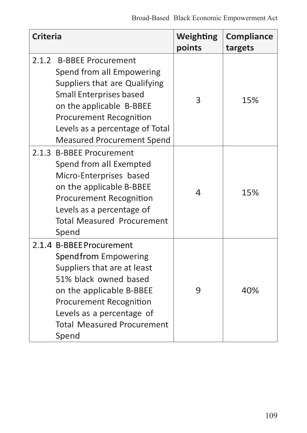| <b>Criteria</b> |                                                                                                                                                                                                                                                   | Weighting<br>points | Compliance<br>targets |
|-----------------|---------------------------------------------------------------------------------------------------------------------------------------------------------------------------------------------------------------------------------------------------|---------------------|-----------------------|
| 2.1.2           | <b>B-BBEE Procurement</b><br>Spend from all Empowering<br>Suppliers that are Qualifying<br>Small Enterprises based<br>on the applicable B-BBEE<br>Procurement Recognition<br>Levels as a percentage of Total<br><b>Measured Procurement Spend</b> | 3                   | 15%                   |
|                 | 2.1.3 B-BBEE Procurement<br>Spend from all Exempted<br>Micro-Enterprises based<br>on the applicable B-BBEE<br><b>Procurement Recognition</b><br>Levels as a percentage of<br><b>Total Measured Procurement</b><br>Spend                           | 4                   | 15%                   |
|                 | 2.1.4 B-BBEE Procurement<br>Spend from Empowering<br>Suppliers that are at least<br>51% black owned based<br>on the applicable B-BBEE<br>Procurement Recognition<br>Levels as a percentage of<br><b>Total Measured Procurement</b><br>Spend       | 9                   | 40%                   |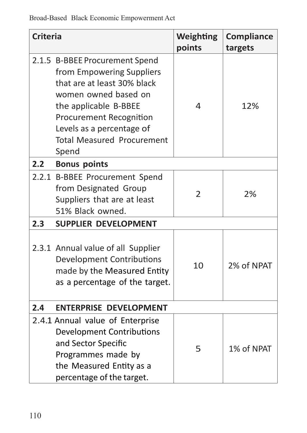| <b>Criteria</b> |                                                                                                                                                                                                                                                   | Weighting<br>points | Compliance<br>targets |
|-----------------|---------------------------------------------------------------------------------------------------------------------------------------------------------------------------------------------------------------------------------------------------|---------------------|-----------------------|
|                 | 2.1.5 B-BBEE Procurement Spend<br>from Empowering Suppliers<br>that are at least 30% black<br>women owned based on<br>the applicable B-BBEE<br>Procurement Recognition<br>Levels as a percentage of<br><b>Total Measured Procurement</b><br>Spend | 4                   | 12%                   |
| 2.2             | <b>Bonus points</b>                                                                                                                                                                                                                               |                     |                       |
|                 | 2.2.1 B-BBEE Procurement Spend<br>from Designated Group<br>Suppliers that are at least<br>51% Black owned.                                                                                                                                        | $\overline{2}$      | 2%                    |
| 2.3             | <b>SUPPLIER DEVELOPMENT</b>                                                                                                                                                                                                                       |                     |                       |
|                 | 2.3.1 Annual value of all Supplier<br>Development Contributions<br>made by the Measured Entity<br>as a percentage of the target.                                                                                                                  | 10                  | 2% of NPAT            |
| 2.4             | <b>ENTERPRISE DEVELOPMENT</b>                                                                                                                                                                                                                     |                     |                       |
|                 | 2.4.1 Annual value of Enterprise<br><b>Development Contributions</b><br>and Sector Specific<br>Programmes made by<br>the Measured Entity as a<br>percentage of the target.                                                                        | 5                   | 1% of NPAT            |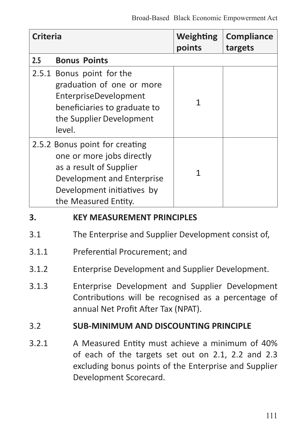| Criteria |                                                                                                                                                                            | Weighting<br>points | Compliance<br>targets |
|----------|----------------------------------------------------------------------------------------------------------------------------------------------------------------------------|---------------------|-----------------------|
| 2.5      | <b>Bonus Points</b>                                                                                                                                                        |                     |                       |
|          | 2.5.1 Bonus point for the<br>graduation of one or more<br>EnterpriseDevelopment<br>beneficiaries to graduate to<br>the Supplier Development<br>level.                      | 1                   |                       |
|          | 2.5.2 Bonus point for creating<br>one or more jobs directly<br>as a result of Supplier<br>Development and Enterprise<br>Development initiatives by<br>the Measured Entity. | 1                   |                       |
| 3.       | <b>KEY MEASUREMENT PRINCIPLES</b>                                                                                                                                          |                     |                       |

- 3.1 The Enterprise and Supplier Development consist of,
- 3.1.1 Preferential Procurement; and
- 3.1.2 Enterprise Development and Supplier Development.
- 3.1.3 Enterprise Development and Supplier Development Contributions will be recognised as a percentage of annual Net Profit After Tax (NPAT).

### 3.2 **SUB-MINIMUM AND DISCOUNTING PRINCIPLE**

3.2.1 A Measured Entity must achieve a minimum of 40% of each of the targets set out on 2.1, 2.2 and 2.3 excluding bonus points of the Enterprise and Supplier Development Scorecard.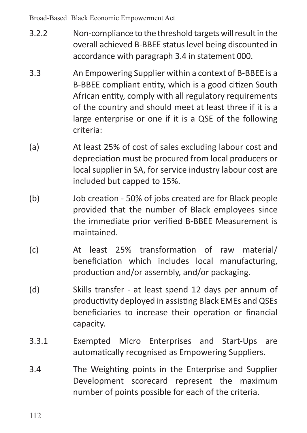- 3.2.2 Non-compliance to the threshold targets will result in the overall achieved B-BBEE status level being discounted in accordance with paragraph 3.4 in statement 000.
- 3.3 An Empowering Supplier within a context of B-BBEE is a B-BBEE compliant entity, which is a good citizen South African entity, comply with all regulatory requirements of the country and should meet at least three if it is a large enterprise or one if it is a QSE of the following criteria:
- (a) At least 25% of cost of sales excluding labour cost and depreciation must be procured from local producers or local supplier in SA, for service industry labour cost are included but capped to 15%.
- (b) Job creation 50% of jobs created are for Black people provided that the number of Black employees since the immediate prior verified B-BBEE Measurement is maintained.
- (c) At least 25% transformation of raw material/ beneficiation which includes local manufacturing, production and/or assembly, and/or packaging.
- (d) Skills transfer at least spend 12 days per annum of productivity deployed in assisting Black EMEs and QSEs beneficiaries to increase their operation or financial capacity.
- 3.3.1 Exempted Micro Enterprises and Start-Ups are automatically recognised as Empowering Suppliers.
- 3.4 The Weighting points in the Enterprise and Supplier Development scorecard represent the maximum number of points possible for each of the criteria.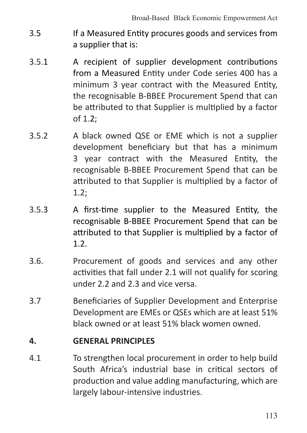- 3.5 If a Measured Entity procures goods and services from a supplier that is:
- 3.5.1 A recipient of supplier development contributions from a Measured Entity under Code series 400 has a minimum 3 year contract with the Measured Entity, the recognisable B-BBEE Procurement Spend that can be attributed to that Supplier is multiplied by a factor of 1.2;
- 3.5.2 A black owned QSE or EME which is not a supplier development beneficiary but that has a minimum 3 year contract with the Measured Entity, the recognisable B-BBEE Procurement Spend that can be attributed to that Supplier is multiplied by a factor of 1.2;
- 3.5.3 A first-time supplier to the Measured Entity, the recognisable B-BBEE Procurement Spend that can be attributed to that Supplier is multiplied by a factor of 1.2.
- 3.6. Procurement of goods and services and any other activities that fall under 2.1 will not qualify for scoring under 2.2 and 2.3 and vice versa.
- 3.7 Beneficiaries of Supplier Development and Enterprise Development are EMEs or QSEs which are at least 51% black owned or at least 51% black women owned.

#### **4. GENERAL PRINCIPLES**

4.1 To strengthen local procurement in order to help build South Africa's industrial base in critical sectors of production and value adding manufacturing, which are largely labour-intensive industries.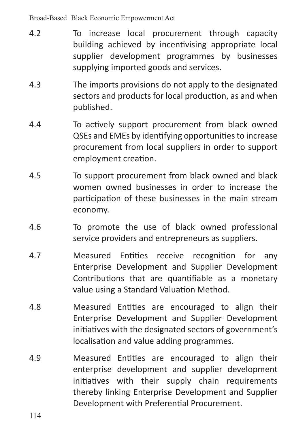- 4.2 To increase local procurement through capacity building achieved by incentivising appropriate local supplier development programmes by businesses supplying imported goods and services.
- 4.3 The imports provisions do not apply to the designated sectors and products for local production, as and when published.
- 4.4 To actively support procurement from black owned QSEs and EMEs by identifying opportunitiesto increase procurement from local suppliers in order to support employment creation.
- 4.5 To support procurement from black owned and black women owned businesses in order to increase the participation of these businesses in the main stream economy.
- 4.6 To promote the use of black owned professional service providers and entrepreneurs as suppliers.
- 4.7 Measured Entities receive recognition for any Enterprise Development and Supplier Development Contributions that are quantifiable as a monetary value using a Standard Valuation Method.
- 4.8 Measured Entities are encouraged to align their Enterprise Development and Supplier Development initiatives with the designated sectors of government's localisation and value adding programmes.
- 4.9 Measured Entities are encouraged to align their enterprise development and supplier development initiatives with their supply chain requirements thereby linking Enterprise Development and Supplier Development with Preferential Procurement.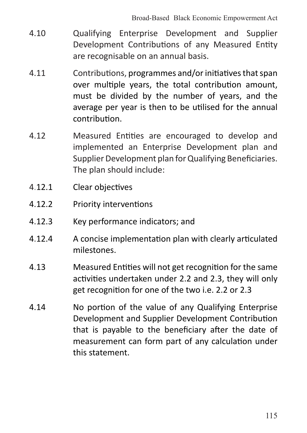- 4.10 Qualifying Enterprise Development and Supplier Development Contributions of any Measured Entity are recognisable on an annual basis.
- 4.11 Contributions, programmes and/orinitiativesthatspan over multiple years, the total contribution amount, must be divided by the number of years, and the average per year is then to be utilised for the annual contribution.
- 4.12 Measured Entities are encouraged to develop and implemented an Enterprise Development plan and Supplier Development plan for Qualifying Beneficiaries. The plan should include:
- 4.12.1 Clear objectives
- 4.12.2 Priority interventions
- 4.12.3 Key performance indicators; and
- 4.12.4 A concise implementation plan with clearly articulated milestones.
- 4.13 Measured Entities will not get recognition for the same activities undertaken under 2.2 and 2.3, they will only get recognition for one of the two i.e. 2.2 or 2.3
- 4.14 No portion of the value of any Qualifying Enterprise Development and Supplier Development Contribution that is payable to the beneficiary after the date of measurement can form part of any calculation under this statement.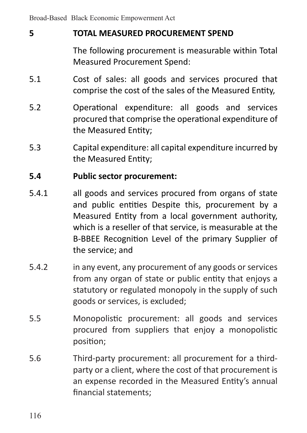# **5 TOTAL MEASURED PROCUREMENT SPEND**

The following procurement is measurable within Total Measured Procurement Spend:

- 5.1 Cost of sales: all goods and services procured that comprise the cost of the sales of the Measured Entity,
- 5.2 Operational expenditure: all goods and services procured that comprise the operational expenditure of the Measured Entity;
- 5.3 Capital expenditure: all capital expenditure incurred by the Measured Entity;

### **5.4 Public sector procurement:**

- 5.4.1 all goods and services procured from organs of state and public entities Despite this, procurement by a Measured Entity from a local government authority, which is a reseller of that service, is measurable at the B-BBEE Recognition Level of the primary Supplier of the service; and
- 5.4.2 in any event, any procurement of any goods or services from any organ of state or public entity that enjoys a statutory or regulated monopoly in the supply of such goods or services, is excluded;
- 5.5 Monopolistic procurement: all goods and services procured from suppliers that enjoy a monopolistic position;
- 5.6 Third-party procurement: all procurement for a thirdparty or a client, where the cost of that procurement is an expense recorded in the Measured Entity's annual financial statements;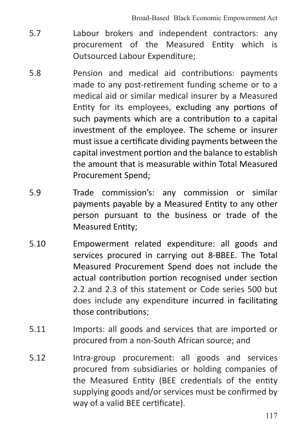- 5.7 Labour brokers and independent contractors: any procurement of the Measured Entity which is Outsourced Labour Expenditure;
- 5.8 Pension and medical aid contributions: payments made to any post-retirement funding scheme or to a medical aid or similar medical insurer by a Measured Entity for its employees, excluding any portions of such payments which are a contribution to a capital investment of the employee. The scheme or insurer must issue a certificate dividing payments between the capital investment portion and the balance to establish the amount that is measurable within Total Measured Procurement Spend;
- 5.9 Trade commission's: any commission or similar payments payable by a Measured Entity to any other person pursuant to the business or trade of the Measured Entity;
- 5.10 Empowerment related expenditure: all goods and services procured in carrying out 8-BBEE. The Total Measured Procurement Spend does not include the actual contribution portion recognised under section 2.2 and 2.3 of this statement or Code series 500 but does include any expenditure incurred in facilitating those contributions;
- 5.11 Imports: all goods and services that are imported or procured from a non-South African source; and
- 5.12 Intra-group procurement: all goods and services procured from subsidiaries or holding companies of the Measured Entity (BEE credentials of the entity supplying goods and/or services must be confirmed by way of a valid BEE certificate).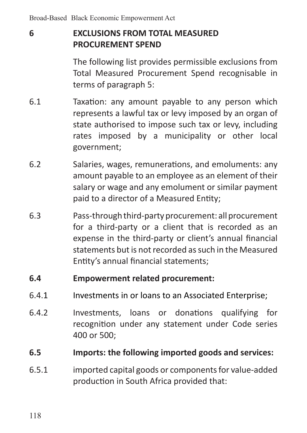# **6 EXCLUSIONS FROM TOTAL MEASURED PROCUREMENT SPEND**

 The following list provides permissible exclusions from Total Measured Procurement Spend recognisable in terms of paragraph 5:

- 6.1 Taxation: any amount payable to any person which represents a lawful tax or levy imposed by an organ of state authorised to impose such tax or levy, including rates imposed by a municipality or other local government;
- 6.2 Salaries, wages, remunerations, and emoluments: any amount payable to an employee as an element of their salary or wage and any emolument or similar payment paid to a director of a Measured Entity;
- 6.3 Pass-throughthird-partyprocurement: allprocurement for a third-party or a client that is recorded as an expense in the third-party or client's annual financial statements but is not recorded as such in the Measured Entity's annual financial statements;

#### **6.4 Empowerment related procurement:**

- 6.4.1 Investments in or loans to an Associated Enterprise;
- 6.4.2 Investments, loans or donations qualifying for recognition under any statement under Code series 400 or 500;

### **6.5 Imports: the following imported goods and services:**

6.5.1 imported capital goods or componentsfor value-added production in South Africa provided that: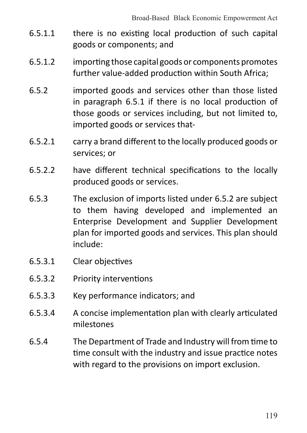- 6.5.1.1 there is no existing local production of such capital goods or components; and
- 6.5.1.2 importing those capital goods or components promotes further value-added production within South Africa;
- 6.5.2 imported goods and services other than those listed in paragraph 6.5.1 if there is no local production of those goods or services including, but not limited to, imported goods or services that-
- 6.5.2.1 carry a brand different to the locally produced goods or services; or
- 6.5.2.2 have different technical specifications to the locally produced goods or services.
- 6.5.3 The exclusion of imports listed under 6.5.2 are subject to them having developed and implemented an Enterprise Development and Supplier Development plan for imported goods and services. This plan should include:
- 6.5.3.1 Clear objectives
- 6.5.3.2 Priority interventions
- 6.5.3.3 Key performance indicators; and
- 6.5.3.4 A concise implementation plan with clearly articulated milestones
- 6.5.4 The Department of Trade and Industry will from time to time consult with the industry and issue practice notes with regard to the provisions on import exclusion.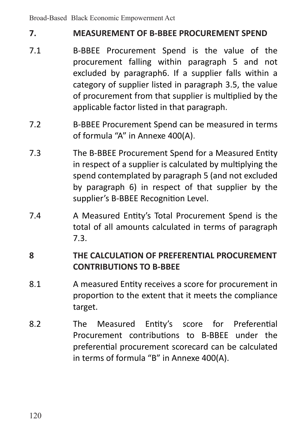## **7. MEASUREMENT OF B-BBEE PROCUREMENT SPEND**

- 7.1 B-BBEE Procurement Spend is the value of the procurement falling within paragraph 5 and not excluded by paragraph6. If a supplier falls within a category of supplier listed in paragraph 3.5, the value of procurement from that supplier is multiplied by the applicable factor listed in that paragraph.
- 7.2 B-BBEE Procurement Spend can be measured in terms of formula "A" in Annexe 400(A).
- 7.3 The B-BBEE Procurement Spend for a Measured Entity in respect of a supplier is calculated by multiplying the spend contemplated by paragraph 5 (and not excluded by paragraph 6) in respect of that supplier by the supplier's B-BBEE Recognition Level.
- 7.4 A Measured Entity's Total Procurement Spend is the total of all amounts calculated in terms of paragraph 7.3.

# **8 THE CALCULATION OF PREFERENTIAL PROCUREMENT CONTRIBUTIONS TO B-BBEE**

- 8.1 A measured Entity receives a score for procurement in proportion to the extent that it meets the compliance target.
- 8.2 The Measured Entity's score for Preferential Procurement contributions to B-BBEE under the preferential procurement scorecard can be calculated in terms of formula "B" in Annexe 400(A).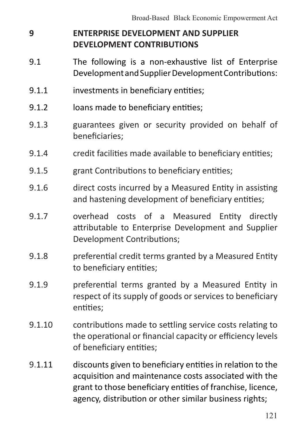# **9 ENTERPRISE DEVELOPMENT AND SUPPLIER DEVELOPMENT CONTRIBUTIONS**

- 9.1 The following is a non-exhaustive list of Enterprise DevelopmentandSupplierDevelopmentContributions:
- 9.1.1 investments in beneficiary entities;
- 9.1.2 **Ioans made to beneficiary entities:**
- 9.1.3 guarantees given or security provided on behalf of beneficiaries;
- 9.1.4 credit facilities made available to beneficiary entities;
- 9.1.5 **grant Contributions to beneficiary entities:**
- 9.1.6 direct costs incurred by a Measured Entity in assisting and hastening development of beneficiary entities;
- 9.1.7 overhead costs of a Measured Entity directly attributable to Enterprise Development and Supplier Development Contributions;
- 9.1.8 preferential credit terms granted by a Measured Entity to beneficiary entities;
- 9.1.9 **preferential terms granted by a Measured Entity in** respect of its supply of goods or services to beneficiary entities;
- 9.1.10 contributions made to settling service costs relating to the operational or financial capacity or efficiency levels of beneficiary entities;
- 9.1.11 discounts given to beneficiary entities in relation to the acquisition and maintenance costs associated with the grant to those beneficiary entities of franchise, licence, agency, distribution or other similar business rights;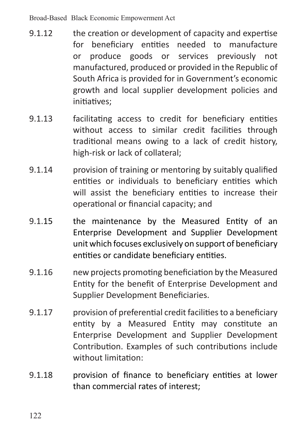- 9.1.12 the creation or development of capacity and expertise for beneficiary entities needed to manufacture or produce goods or services previously not manufactured, produced or provided in the Republic of South Africa is provided for in Government's economic growth and local supplier development policies and initiatives;
- 9.1.13 facilitating access to credit for beneficiary entities without access to similar credit facilities through traditional means owing to a lack of credit history, high-risk or lack of collateral;
- 9.1.14 provision of training or mentoring by suitably qualified entities or individuals to beneficiary entities which will assist the beneficiary entities to increase their operational or financial capacity; and
- 9.1.15 the maintenance by the Measured Entity of an Enterprise Development and Supplier Development unit which focuses exclusively on support of beneficiary entities or candidate beneficiary entities.
- 9.1.16 new projects promoting beneficiation by the Measured Entity for the benefit of Enterprise Development and Supplier Development Beneficiaries.
- 9.1.17 provision of preferential credit facilities to a beneficiary entity by a Measured Entity may constitute an Enterprise Development and Supplier Development Contribution. Examples of such contributions include without limitation:
- 9.1.18 provision of finance to beneficiary entities at lower than commercial rates of interest;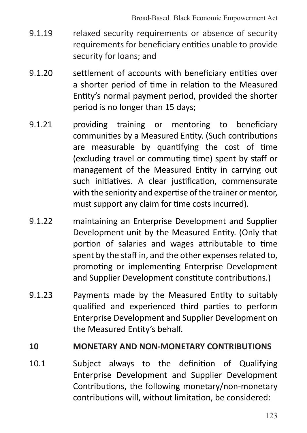- 9.1.19 relaxed security requirements or absence of security requirements for beneficiary entities unable to provide security for loans; and
- 9.1.20 settlement of accounts with beneficiary entities over a shorter period of time in relation to the Measured Entity's normal payment period, provided the shorter period is no longer than 15 days;
- 9.1.21 providing training or mentoring to beneficiary communities by a Measured Entity. (Such contributions are measurable by quantifying the cost of time (excluding travel or commuting time) spent by staff or management of the Measured Entity in carrying out such initiatives. A clear justification, commensurate with the seniority and expertise of the trainer or mentor. must support any claim for time costs incurred).
- 9.1.22 maintaining an Enterprise Development and Supplier Development unit by the Measured Entity. (Only that portion of salaries and wages attributable to time spent by the staff in, and the other expenses related to, promoting or implementing Enterprise Development and Supplier Development constitute contributions.)
- 9.1.23 Payments made by the Measured Entity to suitably qualified and experienced third parties to perform Enterprise Development and Supplier Development on the Measured Entity's behalf.

### **10 MONETARY AND NON-MONETARY CONTRIBUTIONS**

10.1 Subject always to the definition of Qualifying Enterprise Development and Supplier Development Contributions, the following monetary/non-monetary contributions will, without limitation, be considered: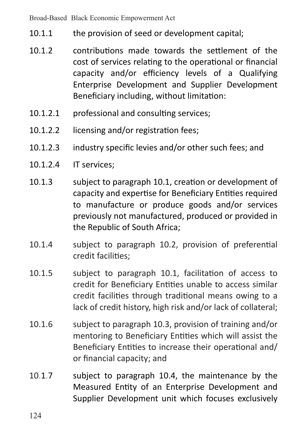- 10.1.1 the provision of seed or development capital;
- 10.1.2 contributions made towards the settlement of the cost of services relating to the operational or financial capacity and/or efficiency levels of a Qualifying Enterprise Development and Supplier Development Beneficiary including, without limitation:
- 10.1.2.1 **professional and consulting services:**
- 10.1.2.2 licensing and/or registration fees;
- 10.1.2.3 industry specific levies and/or other such fees; and
- 10.1.2.4 IT services;
- 10.1.3 subject to paragraph 10.1, creation or development of capacity and expertise for Beneficiary Entities required to manufacture or produce goods and/or services previously not manufactured, produced or provided in the Republic of South Africa;
- 10.1.4 subject to paragraph 10.2, provision of preferential credit facilities;
- 10.1.5 subject to paragraph 10.1, facilitation of access to credit for Beneficiary Entities unable to access similar credit facilities through traditional means owing to a lack of credit history, high risk and/or lack of collateral;
- 10.1.6 subject to paragraph 10.3, provision of training and/or mentoring to Beneficiary Entities which will assist the Beneficiary Entities to increase their operational and/ or financial capacity; and
- 10.1.7 subject to paragraph 10.4, the maintenance by the Measured Entity of an Enterprise Development and Supplier Development unit which focuses exclusively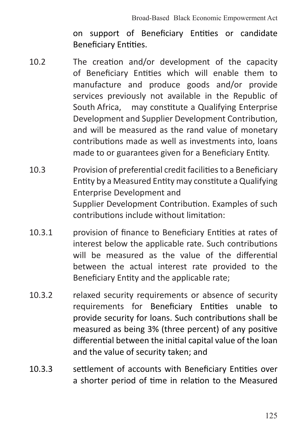on support of Beneficiary Entities or candidate Beneficiary Entities.

- 10.2 The creation and/or development of the capacity of Beneficiary Entities which will enable them to manufacture and produce goods and/or provide services previously not available in the Republic of South Africa. may constitute a Qualifying Enterprise Development and Supplier Development Contribution, and will be measured as the rand value of monetary contributions made as well as investments into, loans made to or guarantees given for a Beneficiary Entity.
- 10.3 Provision of preferential credit facilitiesto a Beneficiary Entity by a Measured Entity may constitute a Qualifying Enterprise Development and Supplier Development Contribution. Examples of such contributions include without limitation:
- 10.3.1 provision of finance to Beneficiary Entities at rates of interest below the applicable rate. Such contributions will be measured as the value of the differential between the actual interest rate provided to the Beneficiary Entity and the applicable rate;
- 10.3.2 relaxed security requirements or absence of security requirements for Beneficiary Entities unable to provide security for loans. Such contributions shall be measured as being 3% (three percent) of any positive differential between the initial capital value of the loan and the value of security taken; and
- 10.3.3 settlement of accounts with Beneficiary Entities over a shorter period of time in relation to the Measured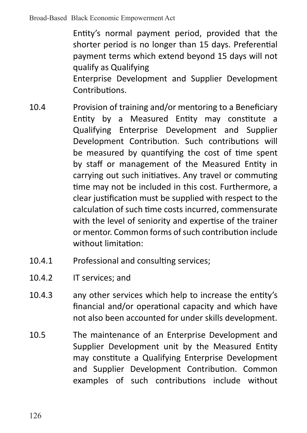Entity's normal payment period, provided that the shorter period is no longer than 15 days. Preferential payment terms which extend beyond 15 days will not qualify as Qualifying Enterprise Development and Supplier Development **Contributions** 

- 10.4 Provision of training and/or mentoring to a Beneficiary Entity by a Measured Entity may constitute a Qualifying Enterprise Development and Supplier Development Contribution. Such contributions will be measured by quantifying the cost of time spent by staff or management of the Measured Entity in carrying out such initiatives. Any travel or commuting time may not be included in this cost. Furthermore, a clear justification must be supplied with respect to the calculation of such time costs incurred, commensurate with the level of seniority and expertise of the trainer or mentor. Common forms of such contribution include without limitation:
- 10.4.1 Professional and consulting services;
- 10.4.2 IT services; and
- 10.4.3 any other services which help to increase the entity's financial and/or operational capacity and which have not also been accounted for under skills development.
- 10.5 The maintenance of an Enterprise Development and Supplier Development unit by the Measured Entity may constitute a Qualifying Enterprise Development and Supplier Development Contribution. Common examples of such contributions include without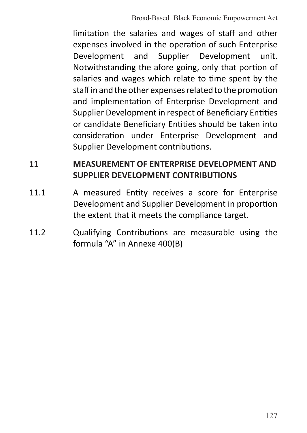limitation the salaries and wages of staff and other expenses involved in the operation of such Enterprise Development and Supplier Development unit. Notwithstanding the afore going, only that portion of salaries and wages which relate to time spent by the staff in and the other expenses related to the promotion and implementation of Enterprise Development and Supplier Development in respect of Beneficiary Entities or candidate Beneficiary Entities should be taken into consideration under Enterprise Development and Supplier Development contributions.

## **11 MEASUREMENT OF ENTERPRISE DEVELOPMENT AND SUPPLIER DEVELOPMENT CONTRIBUTIONS**

- 11.1 A measured Entity receives a score for Enterprise Development and Supplier Development in proportion the extent that it meets the compliance target.
- 11.2 Cualifying Contributions are measurable using the formula "A" in Annexe 400(B)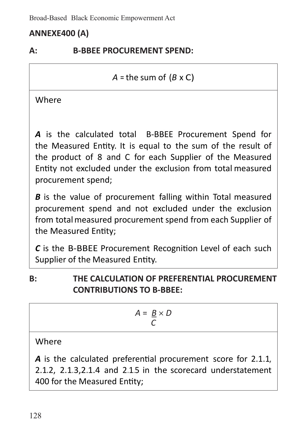# **ANNEXE400 (A)**

## **A: B-BBEE PROCUREMENT SPEND:**

*A* = the sum of (*B* x C)

**Where** 

*A* is the calculated total B-BBEE Procurement Spend for the Measured Entity. It is equal to the sum of the result of the product of 8 and C for each Supplier of the Measured Entity not excluded under the exclusion from total measured procurement spend;

*B* is the value of procurement falling within Total measured procurement spend and not excluded under the exclusion from totalmeasured procurement spend from each Supplier of the Measured Entity;

*C* is the B-BBEE Procurement Recognition Level of each such Supplier of the Measured Entity.

**B: THE CALCULATION OF PREFERENTIAL PROCUREMENT CONTRIBUTIONS TO B-BBEE:**

$$
A = \frac{B}{C} \times D
$$

Where

*A* is the calculated preferential procurement score for 2.1.1, 2.1.2, 2.1.3,2.1.<sup>4</sup> and 2.1.5 in the scorecard understatement 400 for the Measured Entity;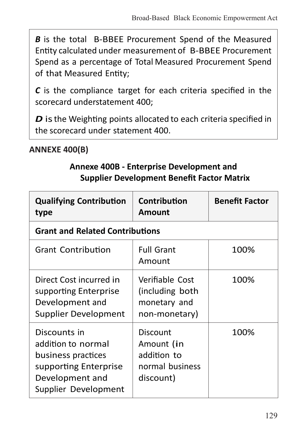*B* is the total B-BBEE Procurement Spend of the Measured Entity calculated under measurement of B-BBEE Procurement Spend as a percentage of Total Measured Procurement Spend of that Measured Entity;

*C* is the compliance target for each criteria specified in the scorecard understatement 400;

*D* is the Weighting points allocated to each criteria specified in the scorecard under statement 400.

### **ANNEXE 400(B)**

## **Annexe 400B - Enterprise Development and Supplier Development Benefit Factor Matrix**

| <b>Qualifying Contribution</b><br>type                                                                                       | Contribution<br>Amount                                                | <b>Benefit Factor</b> |
|------------------------------------------------------------------------------------------------------------------------------|-----------------------------------------------------------------------|-----------------------|
| <b>Grant and Related Contributions</b>                                                                                       |                                                                       |                       |
| <b>Grant Contribution</b>                                                                                                    | <b>Full Grant</b><br>Amount                                           | 100%                  |
| Direct Cost incurred in<br>supporting Enterprise<br>Development and<br>Supplier Development                                  | Verifiable Cost<br>(including both)<br>monetary and<br>non-monetary)  | 100%                  |
| Discounts in<br>addition to normal<br>business practices<br>supporting Enterprise<br>Development and<br>Supplier Development | Discount<br>Amount (in<br>addition to<br>normal business<br>discount) | 100%                  |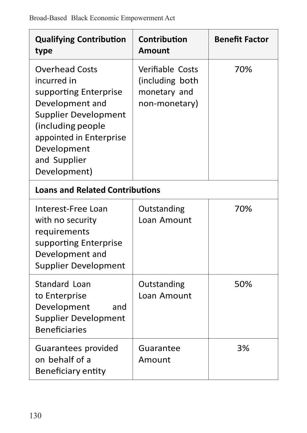| <b>Qualifying Contribution</b><br>type                                                                                                                                                                  | Contribution<br>Amount                                               | <b>Benefit Factor</b> |  |
|---------------------------------------------------------------------------------------------------------------------------------------------------------------------------------------------------------|----------------------------------------------------------------------|-----------------------|--|
| <b>Overhead Costs</b><br>incurred in<br>supporting Enterprise<br>Development and<br>Supplier Development<br>(including people<br>appointed in Enterprise<br>Development<br>and Supplier<br>Development) | Verifiable Costs<br>(including both<br>monetary and<br>non-monetary) | 70%                   |  |
| <b>Loans and Related Contributions</b>                                                                                                                                                                  |                                                                      |                       |  |
| Interest-Free Loan<br>with no security<br>requirements<br>supporting Enterprise<br>Development and<br>Supplier Development                                                                              | Outstanding<br>Loan Amount                                           | 70%                   |  |
| Standard Loan<br>to Enterprise<br>Development<br>and<br><b>Supplier Development</b><br><b>Beneficiaries</b>                                                                                             | Outstanding<br>Loan Amount                                           | 50%                   |  |
| Guarantees provided<br>on behalf of a<br>Beneficiary entity                                                                                                                                             | Guarantee<br>Amount                                                  | 3%                    |  |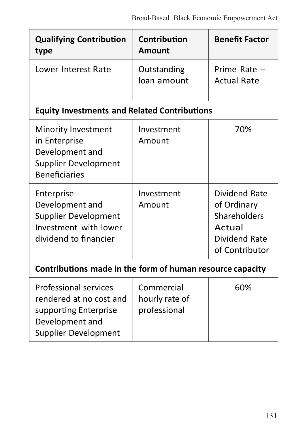| <b>Qualifying Contribution</b><br>type                                                                               | Contribution<br>Amount                       | <b>Benefit Factor</b>                                                                     |
|----------------------------------------------------------------------------------------------------------------------|----------------------------------------------|-------------------------------------------------------------------------------------------|
| Lower Interest Rate                                                                                                  | Outstanding<br>loan amount                   | Prime Rate $-$<br><b>Actual Rate</b>                                                      |
| <b>Equity Investments and Related Contributions</b>                                                                  |                                              |                                                                                           |
| Minority Investment<br>in Enterprise<br>Development and<br>Supplier Development<br><b>Beneficiaries</b>              | Investment<br>Amount                         | 70%                                                                                       |
| Enterprise<br>Development and<br>Supplier Development<br>Investment with lower<br>dividend to financier              | Investment<br>Amount                         | Dividend Rate<br>of Ordinary<br>Shareholders<br>Actual<br>Dividend Rate<br>of Contributor |
| Contributions made in the form of human resource capacity                                                            |                                              |                                                                                           |
| Professional services<br>rendered at no cost and<br>supporting Enterprise<br>Development and<br>Supplier Development | Commercial<br>hourly rate of<br>professional | 60%                                                                                       |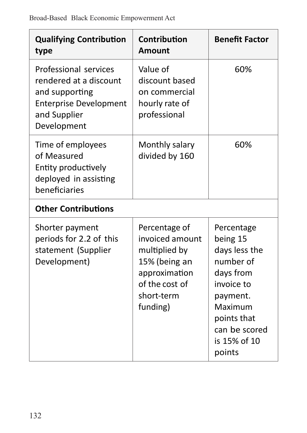| <b>Qualifying Contribution</b><br>type                                                                                            | Contribution<br>Amount                                                                                                          | <b>Benefit Factor</b>                                                                                                                                            |  |
|-----------------------------------------------------------------------------------------------------------------------------------|---------------------------------------------------------------------------------------------------------------------------------|------------------------------------------------------------------------------------------------------------------------------------------------------------------|--|
| Professional services<br>rendered at a discount<br>and supporting<br><b>Enterprise Development</b><br>and Supplier<br>Development | Value of<br>discount based<br>on commercial<br>hourly rate of<br>professional                                                   | 60%                                                                                                                                                              |  |
| Time of employees<br>of Measured<br>Entity productively<br>deployed in assisting<br>heneficiaries                                 | Monthly salary<br>divided by 160                                                                                                | 60%                                                                                                                                                              |  |
| <b>Other Contributions</b>                                                                                                        |                                                                                                                                 |                                                                                                                                                                  |  |
| Shorter payment<br>periods for 2.2 of this<br>statement (Supplier<br>Development)                                                 | Percentage of<br>invoiced amount<br>multiplied by<br>15% (being an<br>approximation<br>of the cost of<br>short-term<br>funding) | Percentage<br>being 15<br>days less the<br>number of<br>days from<br>invoice to<br>payment.<br>Maximum<br>points that<br>can be scored<br>is 15% of 10<br>points |  |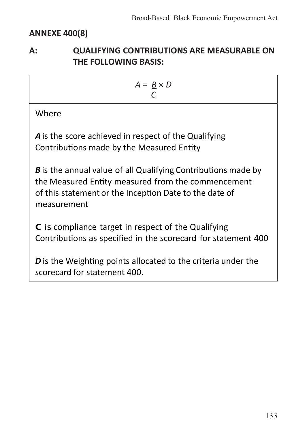## **ANNEXE 400(8)**

## **A: QUALIFYING CONTRIBUTIONS ARE MEASURABLE ON THE FOLLOWING BASIS:**

$$
A = \frac{B}{C} \times D
$$

Where

A is the score achieved in respect of the Qualifying Contributions made by the Measured Entity

*B* is the annual value of all Qualifying Contributions made by the Measured Entity measured from the commencement of this statement or the Inception Date to the date of measurement

**C** is compliance target in respect of the Qualifying Contributions as specified in the scorecard for statement 400

*D* is the Weighting points allocated to the criteria under the scorecard for statement 400.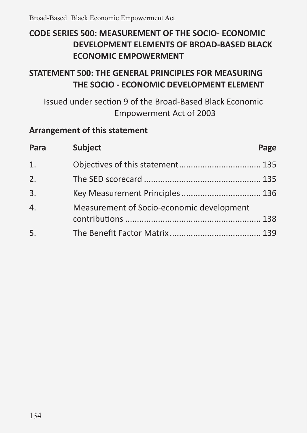# **CODE SERIES 500: MEASUREMENT OF THE SOCIO- ECONOMIC DEVELOPMENT ELEMENTS OF BROAD-BASED BLACK ECONOMIC EMPOWERMENT**

# **STATEMENT 500: THE GENERAL PRINCIPLES FOR MEASURING THE SOCIO - ECONOMIC DEVELOPMENT ELEMENT**

Issued under section 9 of the Broad-Based Black Economic Empowerment Act of 2003

## **Arrangement of this statement**

| Para             | Subject                                   | Page |
|------------------|-------------------------------------------|------|
| 1.               |                                           |      |
| 2.               |                                           |      |
| 3.               |                                           |      |
| $\overline{4}$ . | Measurement of Socio-economic development |      |
| 5.               |                                           |      |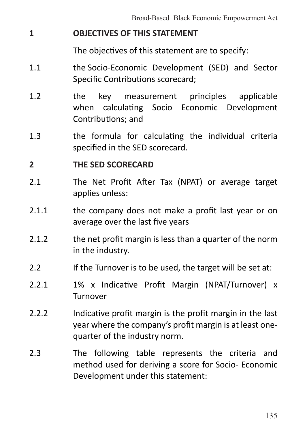### **1 OBJECTIVES OF THIS STATEMENT**

 The objectives of this statement are to specify:

- 1.1 **the Socio-Economic Development (SED)** and Sector Specific Contributions scorecard;
- 1.2 the key measurement principles applicable when calculating Socio Economic Development Contributions; and
- 1.3 the formula for calculating the individual criteria specified in the SED scorecard.

#### **2 THE SED SCORECARD**

- 2.1 The Net Profit After Tax (NPAT) or average target applies unless:
- 2.1.1 **the company does not make a profit last year or on** average over the last five years
- 2.1.2 the net profit margin is less than a quarter of the norm in the industry.
- 2.2 If the Turnover is to be used, the target will be set at:
- 2.2.1 1% x Indicative Profit Margin (NPAT/Turnover) x Turnover
- 2.2.2 Indicative profit margin is the profit margin in the last year where the company's profit margin is at least onequarter of the industry norm.
- 2.3 The following table represents the criteria and method used for deriving a score for Socio- Economic Development under this statement: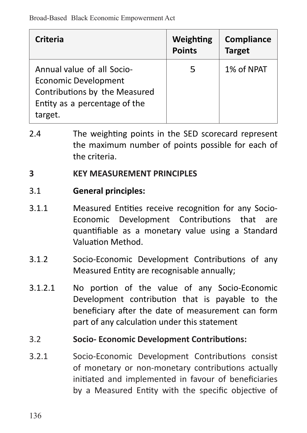| Criteria                                                                                                                               | Weighting<br><b>Points</b> | Compliance<br><b>Target</b> |
|----------------------------------------------------------------------------------------------------------------------------------------|----------------------------|-----------------------------|
| Annual value of all Socio-<br><b>Economic Development</b><br>Contributions by the Measured<br>Entity as a percentage of the<br>target. | 5                          | 1% of NPAT                  |

2.4 The weighting points in the SED scorecard represent the maximum number of points possible for each of the criteria.

#### **3 KEY MEASUREMENT PRINCIPLES**

#### 3.1 **General principles:**

- 3.1.1 Measured Entities receive recognition for any Socio-Economic Development Contributions that are quantifiable as a monetary value using a Standard Valuation Method.
- 3.1.2 Socio-Economic Development Contributions of any Measured Entity are recognisable annually;
- 3.1.2.1 No portion of the value of any Socio-Economic Development contribution that is payable to the beneficiary after the date of measurement can form part of any calculation under this statement

### 3.2 **Socio- Economic Development Contributions:**

3.2.1 Socio-Economic Development Contributions consist of monetary or non-monetary contributions actually initiated and implemented in favour of beneficiaries by a Measured Entity with the specific objective of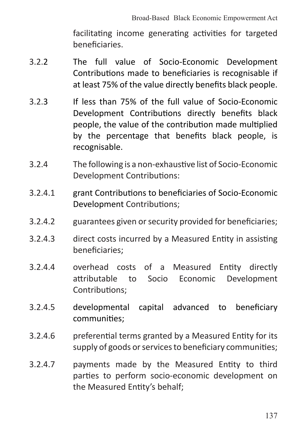facilitating income generating activities for targeted beneficiaries.

- 3.2.2 The full value of Socio-Economic Development Contributions made to beneficiaries is recognisable if at least 75% of the value directly benefits black people.
- 3.2.3 If less than 75% of the full value of Socio-Economic Development Contributions directly benefits black people, the value of the contribution made multiplied by the percentage that benefits black people, is recognisable.
- 3.2.4 The following is a non-exhaustive list of Socio-Economic Development Contributions:
- 3.2.4.1 grant Contributions to beneficiaries of Socio-Economic Development Contributions;
- 3.2.4.2 guarantees given orsecurity provided for beneficiaries;
- 3.2.4.3 direct costs incurred by a Measured Entity in assisting beneficiaries;
- 3.2.4.4 overhead costs of a Measured Entity directly attributable to Socio Economic Development Contributions;
- 3.2.4.5 developmental capital advanced to beneficiary communities;
- 3.2.4.6 preferential terms granted by a Measured Entity for its supply of goods or services to beneficiary communities;
- 3.2.4.7 payments made by the Measured Entity to third parties to perform socio-economic development on the Measured Entity's behalf;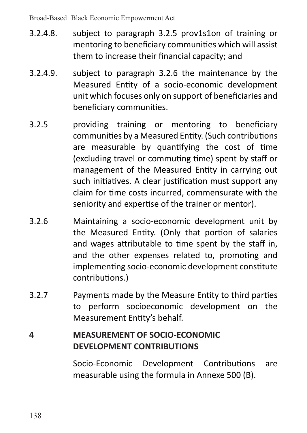- 3.2.4.8. subject to paragraph 3.2.5 prov1s1on of training or mentoring to beneficiary communities which will assist them to increase their financial capacity; and
- 3.2.4.9. subject to paragraph 3.2.6 the maintenance by the Measured Entity of a socio-economic development unit which focuses only on support of beneficiaries and beneficiary communities.
- 3.2.5 providing training or mentoring to beneficiary communities by a Measured Entity. (Such contributions are measurable by quantifying the cost of time (excluding travel or commuting time) spent by staff or management of the Measured Entity in carrying out such initiatives. A clear justification must support any claim for time costs incurred, commensurate with the seniority and expertise of the trainer or mentor).
- 3.2.6 Maintaining a socio-economic development unit by the Measured Entity. (Only that portion of salaries and wages attributable to time spent by the staff in, and the other expenses related to, promoting and implementing socio-economic development constitute contributions.)
- 3.2.7 Payments made by the Measure Entity to third parties to perform socioeconomic development on the Measurement Entity's behalf.

# **4 MEASUREMENT OF SOCIO-ECONOMIC DEVELOPMENT CONTRIBUTIONS**

Socio-Economic Development Contributions are measurable using the formula in Annexe 500 (B).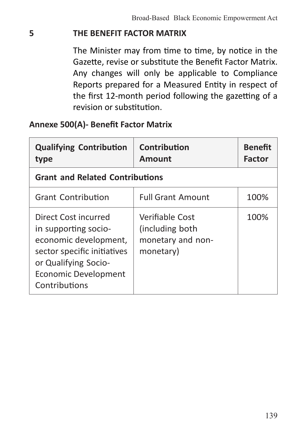## **5 THE BENEFIT FACTOR MATRIX**

The Minister may from time to time, by notice in the Gazette, revise or substitute the Benefit Factor Matrix. Any changes will only be applicable to Compliance Reports prepared for a Measured Entity in respect of the first 12-month period following the gazetting of a revision or substitution.

## **Annexe 500(A)- Benefit Factor Matrix**

| <b>Qualifying Contribution</b><br>type                                                                                                                                | Contribution<br>Amount                                                | <b>Benefit</b><br>Factor |  |
|-----------------------------------------------------------------------------------------------------------------------------------------------------------------------|-----------------------------------------------------------------------|--------------------------|--|
| <b>Grant and Related Contributions</b>                                                                                                                                |                                                                       |                          |  |
| <b>Grant Contribution</b>                                                                                                                                             | <b>Full Grant Amount</b>                                              | 100%                     |  |
| Direct Cost incurred<br>in supporting socio-<br>economic development,<br>sector specific initiatives<br>or Qualifying Socio-<br>Economic Development<br>Contributions | Verifiable Cost<br>(including both)<br>monetary and non-<br>monetary) | 100%                     |  |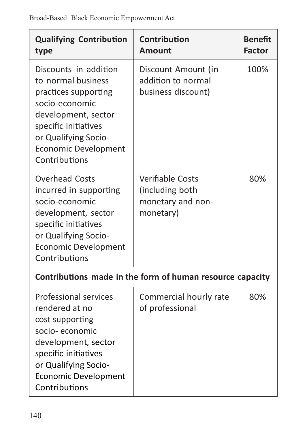| <b>Qualifying Contribution</b><br>type                                                                                                                                                                       | Contribution<br>Amount                                                       | <b>Benefit</b><br>Factor |
|--------------------------------------------------------------------------------------------------------------------------------------------------------------------------------------------------------------|------------------------------------------------------------------------------|--------------------------|
| Discounts in addition<br>to normal business<br>practices supporting<br>socio-economic<br>development, sector<br>specific initiatives<br>or Qualifying Socio-<br><b>Economic Development</b><br>Contributions | Discount Amount (in<br>addition to normal<br>business discount)              | 100%                     |
| <b>Overhead Costs</b><br>incurred in supporting<br>socio-economic<br>development, sector<br>specific initiatives<br>or Qualifying Socio-<br><b>Economic Development</b><br>Contributions                     | <b>Verifiable Costs</b><br>(including both<br>monetary and non-<br>monetary) | 80%                      |
|                                                                                                                                                                                                              | Contributions made in the form of human resource capacity                    |                          |
| Professional services<br>rendered at no<br>cost supporting<br>socio-economic<br>development, sector<br>specific initiatives<br>or Qualifying Socio-<br><b>Economic Development</b><br>Contributions          | Commercial hourly rate<br>of professional                                    | 80%                      |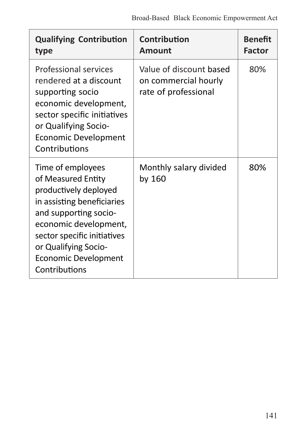| <b>Qualifying Contribution</b><br>type                                                                                                                                                                                                           | Contribution<br>Amount                                                  | <b>Benefit</b><br><b>Factor</b> |
|--------------------------------------------------------------------------------------------------------------------------------------------------------------------------------------------------------------------------------------------------|-------------------------------------------------------------------------|---------------------------------|
| Professional services<br>rendered at a discount<br>supporting socio<br>economic development,<br>sector specific initiatives<br>or Qualifying Socio-<br>Economic Development<br>Contributions                                                     | Value of discount based<br>on commercial hourly<br>rate of professional | 80%                             |
| Time of employees<br>of Measured Entity<br>productively deployed<br>in assisting beneficiaries<br>and supporting socio-<br>economic development,<br>sector specific initiatives<br>or Qualifying Socio-<br>Economic Development<br>Contributions | Monthly salary divided<br>by 160                                        | 80%                             |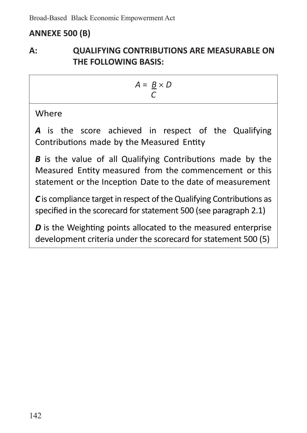# **ANNEXE 500 (B)**

## **A: QUALIFYING CONTRIBUTIONS ARE MEASURABLE ON THE FOLLOWING BASIS:**

$$
A = \frac{B}{C} \times D
$$

**Where** 

A is the score achieved in respect of the Qualifying Contributions made by the Measured Entity

*B* is the value of all Qualifying Contributions made by the Measured Entity measured from the commencement or this statement or the Inception Date to the date of measurement

**C** is compliance target in respect of the Qualifying Contributions as specified in the scorecard for statement 500 (see paragraph 2.1)

*D* is the Weighting points allocated to the measured enterprise development criteria under the scorecard for statement 500 (5)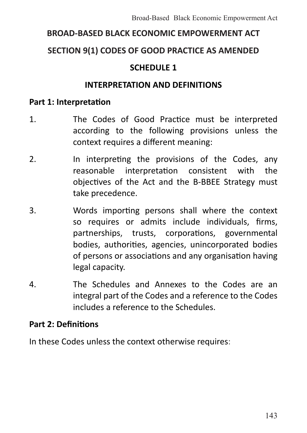# **BROAD-BASED BLACK ECONOMIC EMPOWERMENT ACT**

#### **SECTION 9(1) CODES OF GOOD PRACTICE AS AMENDED**

#### **SCHEDULE 1**

#### **INTERPRETATION AND DEFINITIONS**

#### **Part 1: Interpretation**

- 1. The Codes of Good Practice must be interpreted according to the following provisions unless the context requires a different meaning:
- 2. In interpreting the provisions of the Codes, any reasonable interpretation consistent with the objectives of the Act and the B-BBEE Strategy must take precedence.
- 3. Words importing persons shall where the context so requires or admits include individuals, firms, partnerships, trusts, corporations, governmental bodies, authorities, agencies, unincorporated bodies of persons or associations and any organisation having legal capacity.
- 4. The Schedules and Annexes to the Codes are an integral part of the Codes and a reference to the Codes includes a reference to the Schedules.

#### **Part 2: Definitions**

In these Codes unless the context otherwise requires: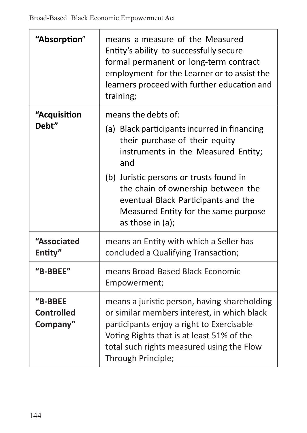J.

| "Absorption"                      | means a measure of the Measured<br>Entity's ability to successfully secure<br>formal permanent or long-term contract<br>employment for the Learner or to assist the<br>learners proceed with further education and<br>training;                                                                                                         |
|-----------------------------------|-----------------------------------------------------------------------------------------------------------------------------------------------------------------------------------------------------------------------------------------------------------------------------------------------------------------------------------------|
| "Acquisition<br>Debt"             | means the debts of:<br>(a) Black participants incurred in financing<br>their purchase of their equity<br>instruments in the Measured Entity;<br>and<br>(b) Juristic persons or trusts found in<br>the chain of ownership between the<br>eventual Black Participants and the<br>Measured Entity for the same purpose<br>as those in (a); |
| "Associated<br>Entity"            | means an Entity with which a Seller has<br>concluded a Qualifying Transaction;                                                                                                                                                                                                                                                          |
| "B-BBEE"                          | means Broad-Based Black Economic<br>Empowerment;                                                                                                                                                                                                                                                                                        |
| "B-BBEE<br>Controlled<br>Company" | means a juristic person, having shareholding<br>or similar members interest, in which black<br>participants enjoy a right to Exercisable<br>Voting Rights that is at least 51% of the<br>total such rights measured using the Flow<br>Through Principle;                                                                                |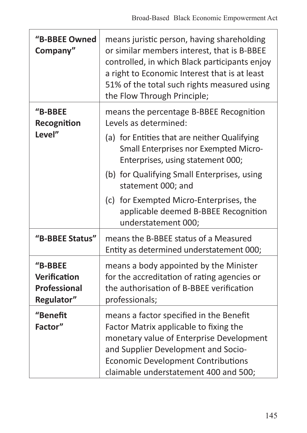| "B-BBEE Owned<br>Company"                             | means juristic person, having shareholding<br>or similar members interest, that is B-BBEE<br>controlled, in which Black participants enjoy<br>a right to Economic Interest that is at least<br>51% of the total such rights measured using<br>the Flow Through Principle; |
|-------------------------------------------------------|---------------------------------------------------------------------------------------------------------------------------------------------------------------------------------------------------------------------------------------------------------------------------|
| "B-BBEE<br>Recognition                                | means the percentage B-BBEE Recognition<br>Levels as determined:                                                                                                                                                                                                          |
| Level"                                                | (a) for Entities that are neither Qualifying<br>Small Enterprises nor Exempted Micro-<br>Enterprises, using statement 000;                                                                                                                                                |
|                                                       | (b) for Qualifying Small Enterprises, using<br>statement 000; and                                                                                                                                                                                                         |
|                                                       | (c) for Exempted Micro-Enterprises, the<br>applicable deemed B-BBEE Recognition<br>understatement 000;                                                                                                                                                                    |
| "B-BBEE Status"                                       | means the B-BBEE status of a Measured<br>Entity as determined understatement 000;                                                                                                                                                                                         |
| "B-BBEE<br>Verification<br>Professional<br>Regulator" | means a body appointed by the Minister<br>for the accreditation of rating agencies or<br>the authorisation of B-BBEE verification<br>professionals;                                                                                                                       |
| "Benefit<br>Factor"                                   | means a factor specified in the Benefit<br>Factor Matrix applicable to fixing the<br>monetary value of Enterprise Development<br>and Supplier Development and Socio-<br><b>Economic Development Contributions</b><br>claimable understatement 400 and 500;                |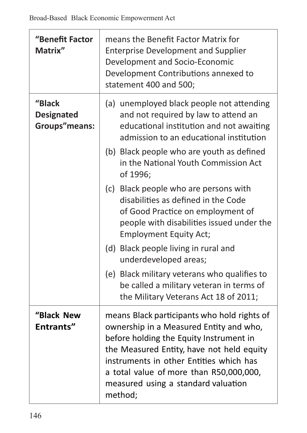| "Benefit Factor<br>Matrix"                   | means the Benefit Factor Matrix for<br><b>Enterprise Development and Supplier</b><br>Development and Socio-Economic<br>Development Contributions annexed to<br>statement 400 and 500;                                                                                                                                  |
|----------------------------------------------|------------------------------------------------------------------------------------------------------------------------------------------------------------------------------------------------------------------------------------------------------------------------------------------------------------------------|
| "Black<br><b>Designated</b><br>Groups"means: | (a) unemployed black people not attending<br>and not required by law to attend an<br>educational institution and not awaiting<br>admission to an educational institution<br>(b) Black people who are youth as defined                                                                                                  |
|                                              | in the National Youth Commission Act<br>of 1996;                                                                                                                                                                                                                                                                       |
|                                              | (c) Black people who are persons with<br>disabilities as defined in the Code<br>of Good Practice on employment of<br>people with disabilities issued under the<br><b>Employment Equity Act;</b>                                                                                                                        |
|                                              | (d) Black people living in rural and<br>underdeveloped areas;                                                                                                                                                                                                                                                          |
|                                              | (e) Black military veterans who qualifies to<br>be called a military veteran in terms of<br>the Military Veterans Act 18 of 2011;                                                                                                                                                                                      |
| "Black New<br>Entrants"                      | means Black participants who hold rights of<br>ownership in a Measured Entity and who,<br>before holding the Equity Instrument in<br>the Measured Entity, have not held equity<br>instruments in other Entities which has<br>a total value of more than R50,000,000,<br>measured using a standard valuation<br>method; |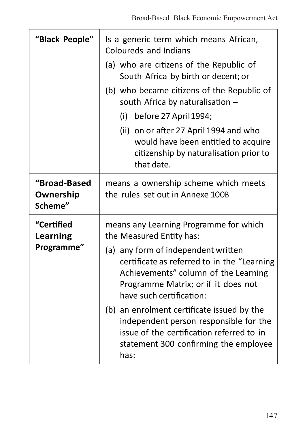| "Black People"                       | Is a generic term which means African,<br>Coloureds and Indians                                                                                                                               |
|--------------------------------------|-----------------------------------------------------------------------------------------------------------------------------------------------------------------------------------------------|
|                                      | (a) who are citizens of the Republic of<br>South Africa by birth or decent; or                                                                                                                |
|                                      | (b) who became citizens of the Republic of<br>south Africa by naturalisation -                                                                                                                |
|                                      | $(i)$ before 27 April 1994;                                                                                                                                                                   |
|                                      | (ii) on or after 27 April 1994 and who<br>would have been entitled to acquire<br>citizenship by naturalisation prior to<br>that date.                                                         |
| "Broad-Based<br>Ownership<br>Scheme" | means a ownership scheme which meets<br>the rules set out in Annexe 100B                                                                                                                      |
| "Certified<br>Learning<br>Programme" | means any Learning Programme for which<br>the Measured Entity has:                                                                                                                            |
|                                      | (a) any form of independent written<br>certificate as referred to in the "Learning<br>Achievements" column of the Learning<br>Programme Matrix; or if it does not<br>have such certification: |
|                                      | (b) an enrolment certificate issued by the<br>independent person responsible for the<br>issue of the certification referred to in<br>statement 300 confirming the employee<br>has:            |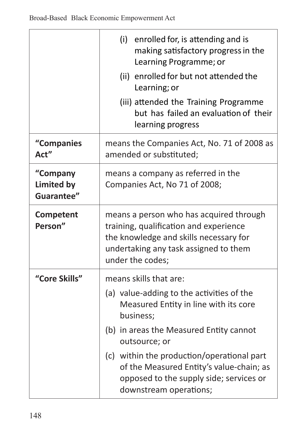J.

|                                             | (i) enrolled for, is attending and is<br>making satisfactory progress in the<br>Learning Programme; or<br>(ii) enrolled for but not attended the<br>Learning; or<br>(iii) attended the Training Programme |
|---------------------------------------------|-----------------------------------------------------------------------------------------------------------------------------------------------------------------------------------------------------------|
|                                             | but has failed an evaluation of their<br>learning progress                                                                                                                                                |
| "Companies<br>Act"                          | means the Companies Act, No. 71 of 2008 as<br>amended or substituted;                                                                                                                                     |
| "Company<br><b>Limited by</b><br>Guarantee" | means a company as referred in the<br>Companies Act, No 71 of 2008;                                                                                                                                       |
| Competent<br>Person"                        | means a person who has acquired through<br>training, qualification and experience<br>the knowledge and skills necessary for<br>undertaking any task assigned to them<br>under the codes;                  |
| "Core Skills"                               | means skills that are:                                                                                                                                                                                    |
|                                             | (a) value-adding to the activities of the<br>Measured Entity in line with its core<br>business:                                                                                                           |
|                                             | (b) in areas the Measured Entity cannot<br>outsource; or                                                                                                                                                  |
|                                             | (c) within the production/operational part<br>of the Measured Entity's value-chain; as<br>opposed to the supply side; services or<br>downstream operations;                                               |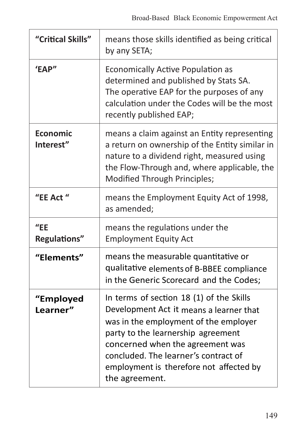| "Critical Skills"     | means those skills identified as being critical<br>by any SETA;                                                                                                                                                                                                                                             |
|-----------------------|-------------------------------------------------------------------------------------------------------------------------------------------------------------------------------------------------------------------------------------------------------------------------------------------------------------|
| 'EAP"                 | Economically Active Population as<br>determined and published by Stats SA.<br>The operative EAP for the purposes of any<br>calculation under the Codes will be the most<br>recently published EAP;                                                                                                          |
| Economic<br>Interest" | means a claim against an Entity representing<br>a return on ownership of the Entity similar in<br>nature to a dividend right, measured using<br>the Flow-Through and, where applicable, the<br>Modified Through Principles;                                                                                 |
| "EE Act "             | means the Employment Equity Act of 1998,<br>as amended;                                                                                                                                                                                                                                                     |
| "EE<br>Regulations"   | means the regulations under the<br><b>Employment Equity Act</b>                                                                                                                                                                                                                                             |
| "Elements"            | means the measurable quantitative or<br>qualitative elements of B-BBEE compliance<br>in the Generic Scorecard and the Codes;                                                                                                                                                                                |
| "Employed<br>Learner" | In terms of section 18 (1) of the Skills<br>Development Act it means a learner that<br>was in the employment of the employer<br>party to the learnership agreement<br>concerned when the agreement was<br>concluded. The learner's contract of<br>employment is therefore not affected by<br>the agreement. |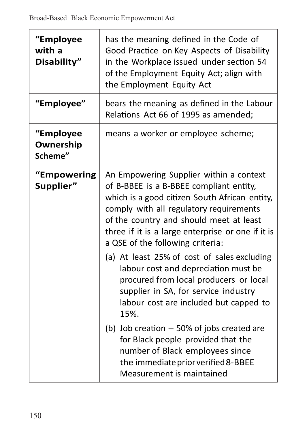| "Employee<br>with a<br>Disability" | has the meaning defined in the Code of<br>Good Practice on Key Aspects of Disability<br>in the Workplace issued under section 54<br>of the Employment Equity Act; align with<br>the Employment Equity Act                                                                                                          |
|------------------------------------|--------------------------------------------------------------------------------------------------------------------------------------------------------------------------------------------------------------------------------------------------------------------------------------------------------------------|
| "Employee"                         | bears the meaning as defined in the Labour<br>Relations Act 66 of 1995 as amended;                                                                                                                                                                                                                                 |
| "Employee<br>Ownership<br>Scheme"  | means a worker or employee scheme;                                                                                                                                                                                                                                                                                 |
| "Empowering<br>Supplier"           | An Empowering Supplier within a context<br>of B-BBEE is a B-BBEE compliant entity,<br>which is a good citizen South African entity,<br>comply with all regulatory requirements<br>of the country and should meet at least<br>three if it is a large enterprise or one if it is<br>a QSE of the following criteria: |
|                                    | (a) At least 25% of cost of sales excluding<br>labour cost and depreciation must be<br>procured from local producers or local<br>supplier in SA, for service industry<br>labour cost are included but capped to<br>15%.                                                                                            |
|                                    | (b) Job creation $-50\%$ of jobs created are<br>for Black people provided that the<br>number of Black employees since<br>the immediate prior verified 8-BBEE<br>Measurement is maintained                                                                                                                          |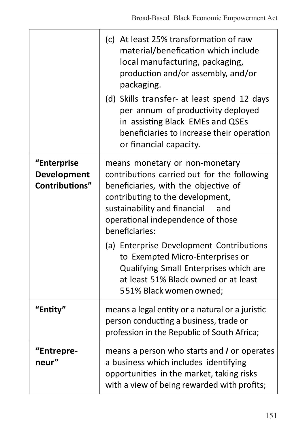|                                              | (c) At least 25% transformation of raw<br>material/benefication which include<br>local manufacturing, packaging,<br>production and/or assembly, and/or<br>packaging.<br>(d) Skills transfer- at least spend 12 days                                     |
|----------------------------------------------|---------------------------------------------------------------------------------------------------------------------------------------------------------------------------------------------------------------------------------------------------------|
|                                              | per annum of productivity deployed<br>in assisting Black EMEs and QSEs<br>beneficiaries to increase their operation<br>or financial capacity.                                                                                                           |
| "Enterprise<br>Development<br>Contributions" | means monetary or non-monetary<br>contributions carried out for the following<br>beneficiaries, with the objective of<br>contributing to the development,<br>sustainability and financial<br>and<br>operational independence of those<br>beneficiaries: |
|                                              | (a) Enterprise Development Contributions<br>to Exempted Micro-Enterprises or<br>Qualifying Small Enterprises which are<br>at least 51% Black owned or at least<br>551% Black women owned;                                                               |
| "Entity"                                     | means a legal entity or a natural or a juristic<br>person conducting a business, trade or<br>profession in the Republic of South Africa;                                                                                                                |
| "Entrepre-<br>neur"                          | means a person who starts and I or operates<br>a business which includes identifying<br>opportunities in the market, taking risks<br>with a view of being rewarded with profits;                                                                        |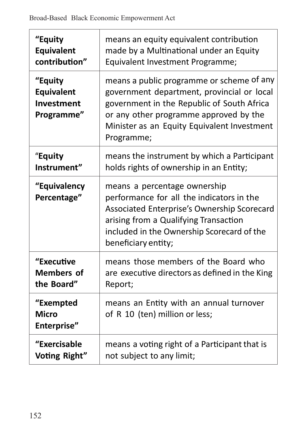| "Equity                                           | means an equity equivalent contribution                                                                                                                                                                                                      |
|---------------------------------------------------|----------------------------------------------------------------------------------------------------------------------------------------------------------------------------------------------------------------------------------------------|
| Equivalent                                        | made by a Multinational under an Equity                                                                                                                                                                                                      |
| contribution"                                     | Equivalent Investment Programme;                                                                                                                                                                                                             |
| "Equity<br>Equivalent<br>Investment<br>Programme" | means a public programme or scheme of any<br>government department, provincial or local<br>government in the Republic of South Africa<br>or any other programme approved by the<br>Minister as an Equity Equivalent Investment<br>Programme; |
| "Equity                                           | means the instrument by which a Participant                                                                                                                                                                                                  |
| Instrument"                                       | holds rights of ownership in an Entity;                                                                                                                                                                                                      |
| "Equivalency<br>Percentage"                       | means a percentage ownership<br>performance for all the indicators in the<br>Associated Enterprise's Ownership Scorecard<br>arising from a Qualifying Transaction<br>included in the Ownership Scorecard of the<br>beneficiary entity;       |
| "Executive                                        | means those members of the Board who                                                                                                                                                                                                         |
| <b>Members of</b>                                 | are executive directors as defined in the King                                                                                                                                                                                               |
| the Board"                                        | Report;                                                                                                                                                                                                                                      |
| "Exempted<br>Micro<br>Enterprise"                 | means an Entity with an annual turnover<br>of R 10 (ten) million or less;                                                                                                                                                                    |
| "Exercisable                                      | means a voting right of a Participant that is                                                                                                                                                                                                |
| Voting Right"                                     | not subject to any limit;                                                                                                                                                                                                                    |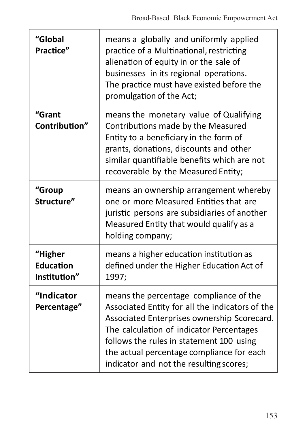| "Global<br>Practice"                 | means a globally and uniformly applied<br>practice of a Multinational, restricting<br>alienation of equity in or the sale of<br>businesses in its regional operations.<br>The practice must have existed before the<br>promulgation of the Act;                                                                          |
|--------------------------------------|--------------------------------------------------------------------------------------------------------------------------------------------------------------------------------------------------------------------------------------------------------------------------------------------------------------------------|
| "Grant<br>Contribution"              | means the monetary value of Qualifying<br>Contributions made by the Measured<br>Entity to a beneficiary in the form of<br>grants, donations, discounts and other<br>similar quantifiable benefits which are not<br>recoverable by the Measured Entity;                                                                   |
| "Group<br>Structure"                 | means an ownership arrangement whereby<br>one or more Measured Entities that are<br>juristic persons are subsidiaries of another<br>Measured Entity that would qualify as a<br>holding company;                                                                                                                          |
| "Higher<br>Education<br>Institution" | means a higher education institution as<br>defined under the Higher Education Act of<br>1997;                                                                                                                                                                                                                            |
| "Indicator<br>Percentage"            | means the percentage compliance of the<br>Associated Entity for all the indicators of the<br>Associated Enterprises ownership Scorecard.<br>The calculation of indicator Percentages<br>follows the rules in statement 100 using<br>the actual percentage compliance for each<br>indicator and not the resulting scores; |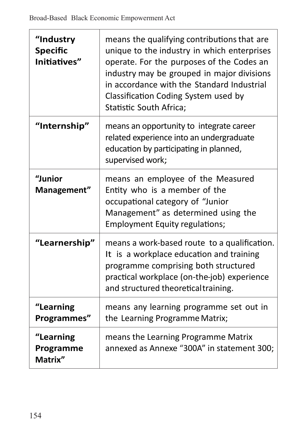| "Industry<br><b>Specific</b><br>Initiatives" | means the qualifying contributions that are<br>unique to the industry in which enterprises<br>operate. For the purposes of the Codes an<br>industry may be grouped in major divisions<br>in accordance with the Standard Industrial<br>Classification Coding System used by<br>Statistic South Africa; |
|----------------------------------------------|--------------------------------------------------------------------------------------------------------------------------------------------------------------------------------------------------------------------------------------------------------------------------------------------------------|
| "Internship"                                 | means an opportunity to integrate career<br>related experience into an undergraduate<br>education by participating in planned,<br>supervised work;                                                                                                                                                     |
| "Junior<br>Management"                       | means an employee of the Measured<br>Entity who is a member of the<br>occupational category of "Junior<br>Management" as determined using the<br><b>Employment Equity regulations;</b>                                                                                                                 |
| "Learnership"                                | means a work-based route to a qualification.<br>It is a workplace education and training<br>programme comprising both structured<br>practical workplace (on-the-job) experience<br>and structured theoretical training.                                                                                |
| "Learning<br>Programmes"                     | means any learning programme set out in<br>the Learning Programme Matrix;                                                                                                                                                                                                                              |
| "Learning<br>Programme<br>Matrix"            | means the Learning Programme Matrix<br>annexed as Annexe "300A" in statement 300;                                                                                                                                                                                                                      |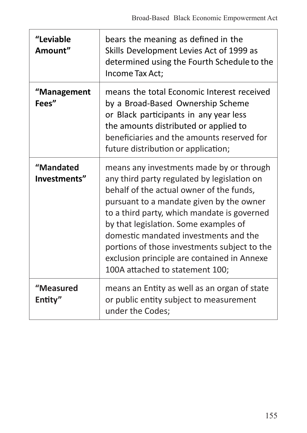| "Leviable<br>Amount"      | bears the meaning as defined in the<br>Skills Development Levies Act of 1999 as<br>determined using the Fourth Schedule to the<br>Income Tax Act;                                                                                                                                                                                                                                                                                                  |
|---------------------------|----------------------------------------------------------------------------------------------------------------------------------------------------------------------------------------------------------------------------------------------------------------------------------------------------------------------------------------------------------------------------------------------------------------------------------------------------|
| "Management<br>Fees"      | means the total Economic Interest received<br>by a Broad-Based Ownership Scheme<br>or Black participants in any year less<br>the amounts distributed or applied to<br>beneficiaries and the amounts reserved for<br>future distribution or application;                                                                                                                                                                                            |
| "Mandated<br>Investments" | means any investments made by or through<br>any third party regulated by legislation on<br>behalf of the actual owner of the funds,<br>pursuant to a mandate given by the owner<br>to a third party, which mandate is governed<br>by that legislation. Some examples of<br>domestic mandated investments and the<br>portions of those investments subject to the<br>exclusion principle are contained in Annexe<br>100A attached to statement 100; |
| "Measured<br>Entity"      | means an Entity as well as an organ of state<br>or public entity subject to measurement<br>under the Codes;                                                                                                                                                                                                                                                                                                                                        |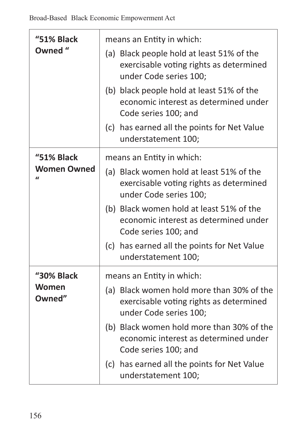| "51% Black<br>Owned "                | means an Entity in which:<br>(a) Black people hold at least 51% of the<br>exercisable voting rights as determined<br>under Code series 100;<br>(b) black people hold at least 51% of the<br>economic interest as determined under<br>Code series 100; and |
|--------------------------------------|-----------------------------------------------------------------------------------------------------------------------------------------------------------------------------------------------------------------------------------------------------------|
|                                      | (c) has earned all the points for Net Value<br>understatement 100;                                                                                                                                                                                        |
| "51% Black                           | means an Entity in which:                                                                                                                                                                                                                                 |
| <b>Women Owned</b><br>$\overline{ }$ | (a) Black women hold at least 51% of the<br>exercisable voting rights as determined<br>under Code series 100;                                                                                                                                             |
|                                      | (b) Black women hold at least 51% of the<br>economic interest as determined under<br>Code series 100; and                                                                                                                                                 |
|                                      | (c) has earned all the points for Net Value<br>understatement 100;                                                                                                                                                                                        |
| "30% Black                           | means an Entity in which:                                                                                                                                                                                                                                 |
| Women<br>Owned"                      | (a) Black women hold more than 30% of the<br>exercisable voting rights as determined<br>under Code series 100;                                                                                                                                            |
|                                      | (b) Black women hold more than 30% of the<br>economic interest as determined under<br>Code series 100; and                                                                                                                                                |
|                                      | (c) has earned all the points for Net Value<br>understatement 100;                                                                                                                                                                                        |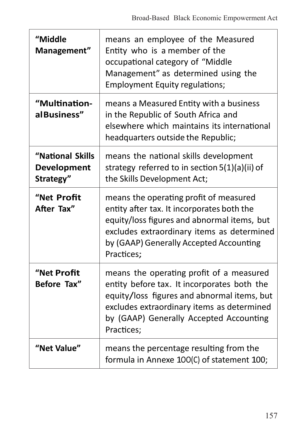| "Middle<br>Management"                       | means an employee of the Measured<br>Entity who is a member of the<br>occupational category of "Middle<br>Management" as determined using the<br><b>Employment Equity regulations;</b>                                                        |
|----------------------------------------------|-----------------------------------------------------------------------------------------------------------------------------------------------------------------------------------------------------------------------------------------------|
| "Multination-<br>al Business"                | means a Measured Entity with a business<br>in the Republic of South Africa and<br>elsewhere which maintains its international<br>headquarters outside the Republic;                                                                           |
| "National Skills<br>Development<br>Strategy" | means the national skills development<br>strategy referred to in section 5(1)(a)(ii) of<br>the Skills Development Act;                                                                                                                        |
| "Net Profit<br>After Tax"                    | means the operating profit of measured<br>entity after tax. It incorporates both the<br>equity/loss figures and abnormal items, but<br>excludes extraordinary items as determined<br>by (GAAP) Generally Accepted Accounting<br>Practices;    |
| "Net Profit<br>Before Tax"                   | means the operating profit of a measured<br>entity before tax. It incorporates both the<br>equity/loss figures and abnormal items, but<br>excludes extraordinary items as determined<br>by (GAAP) Generally Accepted Accounting<br>Practices: |
| "Net Value"                                  | means the percentage resulting from the<br>formula in Annexe 100(C) of statement 100;                                                                                                                                                         |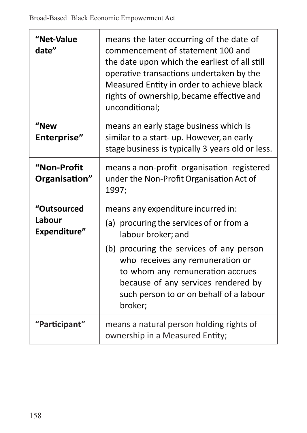| "Net-Value<br>date"                   | means the later occurring of the date of<br>commencement of statement 100 and<br>the date upon which the earliest of all still<br>operative transactions undertaken by the<br>Measured Entity in order to achieve black<br>rights of ownership, became effective and<br>unconditional;                               |
|---------------------------------------|----------------------------------------------------------------------------------------------------------------------------------------------------------------------------------------------------------------------------------------------------------------------------------------------------------------------|
| "New<br>Enterprise"                   | means an early stage business which is<br>similar to a start- up. However, an early<br>stage business is typically 3 years old or less.                                                                                                                                                                              |
| "Non-Profit<br>Organisation"          | means a non-profit organisation registered<br>under the Non-Profit Organisation Act of<br>1997;                                                                                                                                                                                                                      |
| "Outsourced<br>Labour<br>Expenditure" | means any expenditure incurred in:<br>(a) procuring the services of or from a<br>labour broker; and<br>(b) procuring the services of any person<br>who receives any remuneration or<br>to whom any remuneration accrues<br>because of any services rendered by<br>such person to or on behalf of a labour<br>broker; |
| "Participant"                         | means a natural person holding rights of<br>ownership in a Measured Entity;                                                                                                                                                                                                                                          |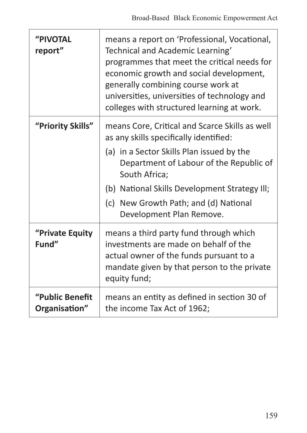| "PIVOTAL<br>report"              | means a report on 'Professional, Vocational,<br>Technical and Academic Learning'<br>programmes that meet the critical needs for<br>economic growth and social development,<br>generally combining course work at<br>universities, universities of technology and<br>colleges with structured learning at work. |
|----------------------------------|----------------------------------------------------------------------------------------------------------------------------------------------------------------------------------------------------------------------------------------------------------------------------------------------------------------|
| "Priority Skills"                | means Core, Critical and Scarce Skills as well<br>as any skills specifically identified:                                                                                                                                                                                                                       |
|                                  | (a) in a Sector Skills Plan issued by the<br>Department of Labour of the Republic of<br>South Africa;                                                                                                                                                                                                          |
|                                  | (b) National Skills Development Strategy Ill;                                                                                                                                                                                                                                                                  |
|                                  | (c) New Growth Path; and (d) National<br>Development Plan Remove.                                                                                                                                                                                                                                              |
| "Private Equity<br>Fund"         | means a third party fund through which<br>investments are made on behalf of the<br>actual owner of the funds pursuant to a<br>mandate given by that person to the private<br>equity fund;                                                                                                                      |
| "Public Benefit<br>Organisation" | means an entity as defined in section 30 of<br>the income Tax Act of 1962;                                                                                                                                                                                                                                     |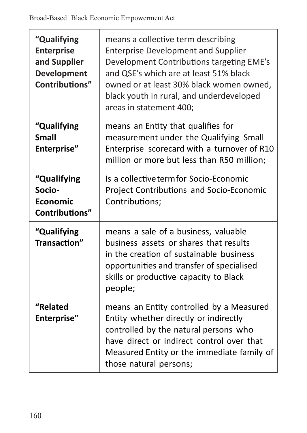| "Qualifying<br><b>Enterprise</b><br>and Supplier<br>Development<br>Contributions" | means a collective term describing<br><b>Enterprise Development and Supplier</b><br>Development Contributions targeting EME's<br>and QSE's which are at least 51% black<br>owned or at least 30% black women owned,<br>black youth in rural, and underdeveloped<br>areas in statement 400; |
|-----------------------------------------------------------------------------------|--------------------------------------------------------------------------------------------------------------------------------------------------------------------------------------------------------------------------------------------------------------------------------------------|
| "Qualifying<br><b>Small</b><br>Enterprise"                                        | means an Entity that qualifies for<br>measurement under the Qualifying Small<br>Enterprise scorecard with a turnover of R10<br>million or more but less than R50 million;                                                                                                                  |
| "Qualifying<br>Socio-<br><b>Economic</b><br>Contributions"                        | Is a collective termfor Socio-Economic<br>Project Contributions and Socio-Economic<br>Contributions;                                                                                                                                                                                       |
| "Qualifying<br>Transaction"                                                       | means a sale of a business, valuable<br>business assets or shares that results<br>in the creation of sustainable business<br>opportunities and transfer of specialised<br>skills or productive capacity to Black<br>people;                                                                |
| "Related<br>Enterprise"                                                           | means an Entity controlled by a Measured<br>Entity whether directly or indirectly<br>controlled by the natural persons who<br>have direct or indirect control over that<br>Measured Entity or the immediate family of<br>those natural persons;                                            |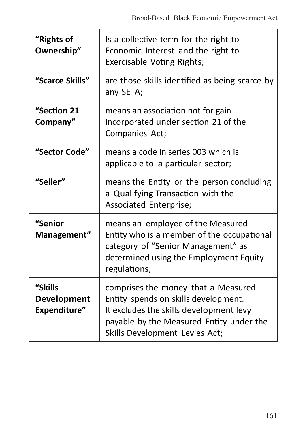| "Rights of<br>Ownership"               | Is a collective term for the right to<br>Economic Interest and the right to<br>Exercisable Voting Rights;                                                                                            |
|----------------------------------------|------------------------------------------------------------------------------------------------------------------------------------------------------------------------------------------------------|
| "Scarce Skills"                        | are those skills identified as being scarce by<br>any SETA;                                                                                                                                          |
| "Section 21<br>Company"                | means an association not for gain<br>incorporated under section 21 of the<br>Companies Act;                                                                                                          |
| "Sector Code"                          | means a code in series 003 which is<br>applicable to a particular sector;                                                                                                                            |
| "Seller"                               | means the Entity or the person concluding<br>a Qualifying Transaction with the<br>Associated Enterprise;                                                                                             |
| "Senior<br>Management"                 | means an employee of the Measured<br>Entity who is a member of the occupational<br>category of "Senior Management" as<br>determined using the Employment Equity<br>regulations;                      |
| "Skills<br>Development<br>Expenditure" | comprises the money that a Measured<br>Entity spends on skills development.<br>It excludes the skills development levy<br>payable by the Measured Entity under the<br>Skills Development Levies Act; |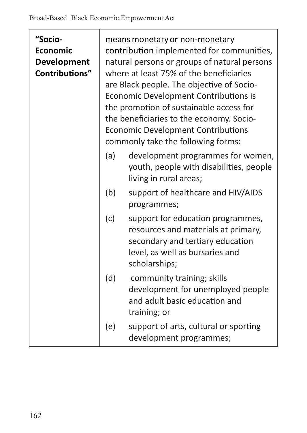| "Socio-<br>Economic<br><b>Development</b><br>Contributions" | means monetary or non-monetary<br>contribution implemented for communities,<br>natural persons or groups of natural persons<br>where at least 75% of the beneficiaries<br>are Black people. The objective of Socio-<br>Economic Development Contributions is<br>the promotion of sustainable access for<br>the beneficiaries to the economy. Socio-<br><b>Economic Development Contributions</b><br>commonly take the following forms: |                                                                                                                                                                  |
|-------------------------------------------------------------|----------------------------------------------------------------------------------------------------------------------------------------------------------------------------------------------------------------------------------------------------------------------------------------------------------------------------------------------------------------------------------------------------------------------------------------|------------------------------------------------------------------------------------------------------------------------------------------------------------------|
|                                                             | (a)                                                                                                                                                                                                                                                                                                                                                                                                                                    | development programmes for women,<br>youth, people with disabilities, people<br>living in rural areas;                                                           |
|                                                             | (b)                                                                                                                                                                                                                                                                                                                                                                                                                                    | support of healthcare and HIV/AIDS<br>programmes;                                                                                                                |
|                                                             | (c)                                                                                                                                                                                                                                                                                                                                                                                                                                    | support for education programmes,<br>resources and materials at primary,<br>secondary and tertiary education<br>level, as well as bursaries and<br>scholarships; |
|                                                             | (d)                                                                                                                                                                                                                                                                                                                                                                                                                                    | community training; skills<br>development for unemployed people<br>and adult basic education and<br>training; or                                                 |
|                                                             | (e)                                                                                                                                                                                                                                                                                                                                                                                                                                    | support of arts, cultural or sporting<br>development programmes;                                                                                                 |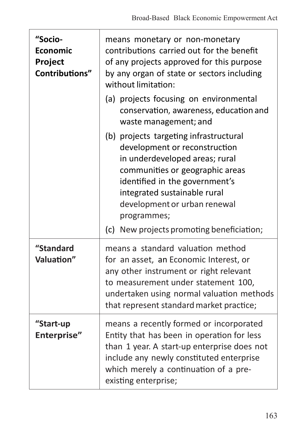| "Socio-<br>Economic<br>Project<br>Contributions" | means monetary or non-monetary<br>contributions carried out for the benefit<br>of any projects approved for this purpose<br>by any organ of state or sectors including<br>without limitation:                                                                                                              |  |
|--------------------------------------------------|------------------------------------------------------------------------------------------------------------------------------------------------------------------------------------------------------------------------------------------------------------------------------------------------------------|--|
|                                                  | (a) projects focusing on environmental<br>conservation, awareness, education and<br>waste management; and                                                                                                                                                                                                  |  |
|                                                  | (b) projects targeting infrastructural<br>development or reconstruction<br>in underdeveloped areas; rural<br>communities or geographic areas<br>identified in the government's<br>integrated sustainable rural<br>development or urban renewal<br>programmes;<br>(c) New projects promoting beneficiation; |  |
| "Standard<br>Valuation"                          | means a standard valuation method<br>for an asset, an Economic Interest, or<br>any other instrument or right relevant<br>to measurement under statement 100,<br>undertaken using normal valuation methods<br>that represent standard market practice;                                                      |  |
| "Start-up<br>Enterprise"                         | means a recently formed or incorporated<br>Entity that has been in operation for less<br>than 1 year. A start-up enterprise does not<br>include any newly constituted enterprise<br>which merely a continuation of a pre-<br>existing enterprise;                                                          |  |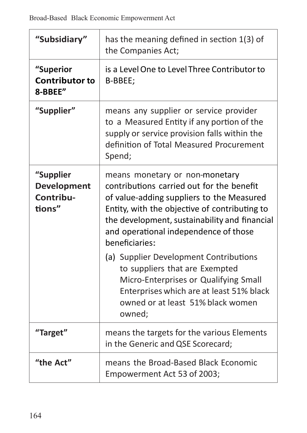| "Subsidiary"                                    | has the meaning defined in section 1(3) of<br>the Companies Act;                                                                                                                                                                                                                      |
|-------------------------------------------------|---------------------------------------------------------------------------------------------------------------------------------------------------------------------------------------------------------------------------------------------------------------------------------------|
| "Superior<br><b>Contributor to</b><br>8-BBEE"   | is a Level One to Level Three Contributor to<br>B-BBEE;                                                                                                                                                                                                                               |
| "Supplier"                                      | means any supplier or service provider<br>to a Measured Entity if any portion of the<br>supply or service provision falls within the<br>definition of Total Measured Procurement<br>Spend;                                                                                            |
| "Supplier<br>Development<br>Contribu-<br>tions" | means monetary or non-monetary<br>contributions carried out for the benefit<br>of value-adding suppliers to the Measured<br>Entity, with the objective of contributing to<br>the development, sustainability and financial<br>and operational independence of those<br>heneficiaries: |
|                                                 | (a) Supplier Development Contributions<br>to suppliers that are Exempted<br>Micro-Enterprises or Qualifying Small<br>Enterprises which are at least 51% black<br>owned or at least 51% black women<br>owned;                                                                          |
| "Target"                                        | means the targets for the various Elements<br>in the Generic and QSE Scorecard;                                                                                                                                                                                                       |
| "the Act"                                       | means the Broad-Based Black Economic<br>Empowerment Act 53 of 2003;                                                                                                                                                                                                                   |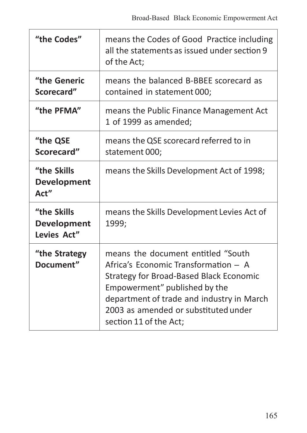| "the Codes"                                | means the Codes of Good Practice including<br>all the statements as issued under section 9<br>of the Act;                                                                                                                                                             |
|--------------------------------------------|-----------------------------------------------------------------------------------------------------------------------------------------------------------------------------------------------------------------------------------------------------------------------|
| "the Generic<br>Scorecard"                 | means the balanced B-BBEE scorecard as<br>contained in statement 000;                                                                                                                                                                                                 |
| "the PFMA"                                 | means the Public Finance Management Act<br>1 of 1999 as amended;                                                                                                                                                                                                      |
| "the QSE<br>Scorecard"                     | means the QSE scorecard referred to in<br>statement 000;                                                                                                                                                                                                              |
| "the Skills<br>Development<br>Act"         | means the Skills Development Act of 1998;                                                                                                                                                                                                                             |
| "the Skills"<br>Development<br>Levies Act" | means the Skills Development Levies Act of<br>1999;                                                                                                                                                                                                                   |
| "the Strategy<br>Document"                 | means the document entitled "South<br>Africa's Economic Transformation - A<br>Strategy for Broad-Based Black Economic<br>Empowerment" published by the<br>department of trade and industry in March<br>2003 as amended or substituted under<br>section 11 of the Act; |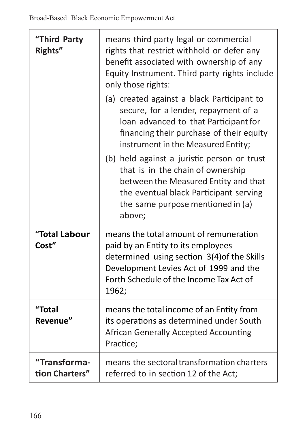-J.

| "Third Party<br>Rights"        | means third party legal or commercial<br>rights that restrict withhold or defer any<br>benefit associated with ownership of any<br>Equity Instrument. Third party rights include<br>only those rights:                    |  |
|--------------------------------|---------------------------------------------------------------------------------------------------------------------------------------------------------------------------------------------------------------------------|--|
|                                | (a) created against a black Participant to<br>secure, for a lender, repayment of a<br>loan advanced to that Participant for<br>financing their purchase of their equity<br>instrument in the Measured Entity;             |  |
|                                | (b) held against a juristic person or trust<br>that is in the chain of ownership<br>between the Measured Entity and that<br>the eventual black Participant serving<br>the same purpose mentioned in (a)<br>above;         |  |
| "Total Labour<br>Cost"         | means the total amount of remuneration<br>paid by an Entity to its employees<br>determined using section 3(4) of the Skills<br>Development Levies Act of 1999 and the<br>Forth Schedule of the Income Tax Act of<br>1962; |  |
| "Total<br>Revenue"             | means the total income of an Entity from<br>its operations as determined under South<br>African Generally Accepted Accounting<br>Practice;                                                                                |  |
| "Transforma-<br>tion Charters" | means the sectoral transformation charters<br>referred to in section 12 of the Act;                                                                                                                                       |  |